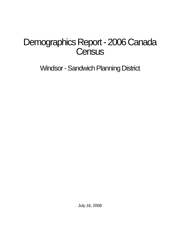# Demographics Report - 2006 Canada **Census**

Windsor - Sandwich Planning District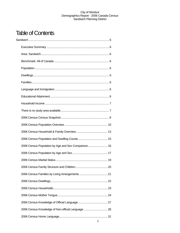# **Table of Contents**

| 2006 Census Population by Age and Sex Comparison 16 |  |
|-----------------------------------------------------|--|
|                                                     |  |
|                                                     |  |
|                                                     |  |
|                                                     |  |
|                                                     |  |
|                                                     |  |
|                                                     |  |
|                                                     |  |
| 2006 Census Knowledge of Non-official Language  28  |  |
|                                                     |  |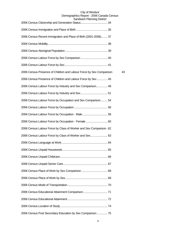| Oanuwiun Fianning District                                          |    |
|---------------------------------------------------------------------|----|
|                                                                     |    |
| 2006 Census Recent Immigration and Place of Birth (2001-2006) 37    |    |
|                                                                     |    |
|                                                                     |    |
|                                                                     |    |
|                                                                     |    |
| 2006 Census Presence of Children and Labour Force by Sex Comparison | 43 |
| 2006 Census Presence of Children and Labour Force by Sex  45        |    |
| 2006 Census Labour Force by Industry and Sex Comparison 49          |    |
|                                                                     |    |
| 2006 Census Labour Force by Occupation and Sex Comparison 54        |    |
|                                                                     |    |
|                                                                     |    |
| 2006 Census Labour Force by Occupation - Female  60                 |    |
| 2006 Census Labour Force by Class of Worker and Sex Comparison. 62  |    |
| 2006 Census Labour Force by Class of Worker and Sex 63              |    |
|                                                                     |    |
|                                                                     |    |
|                                                                     |    |
|                                                                     |    |
|                                                                     |    |
|                                                                     |    |
|                                                                     |    |
|                                                                     |    |
|                                                                     |    |
|                                                                     |    |
| 2006 Census Post Secondary Education by Sex Comparison  75          |    |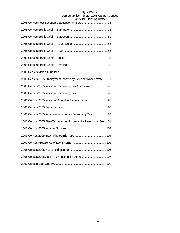| טוטוען שוויוויווער דוטווי                                          |
|--------------------------------------------------------------------|
|                                                                    |
|                                                                    |
|                                                                    |
|                                                                    |
|                                                                    |
|                                                                    |
|                                                                    |
| 2006 Census 2005 Employment Income by Sex and Work Activity  91    |
| 2006 Census 2005 Individual Income by Sex Comparison 92            |
|                                                                    |
| 2006 Census 2005 Individual After-Tax Income by Sex 95             |
|                                                                    |
| 2006 Census 2005 Income of Non-family Persons by Sex  99           |
| 2006 Census 2005 After-Tax Income of Non-family Persons by Sex 101 |
|                                                                    |
|                                                                    |
|                                                                    |
|                                                                    |
| 2006 Census 2005 After-Tax Household Income  107                   |
|                                                                    |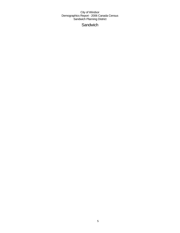# **Sandwich**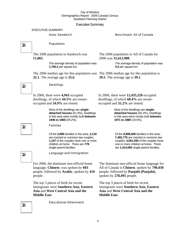#### Executive Summary

#### EXECUTIVE SUMMARY

#### Area: Sandwich Benchmark: All of Canada

 $\overline{\mathbf{z}}$ 

 $\overline{\phantom{a}}$ 

#### Population

Dwellings

In 2006, there were **4,943** occupied dwellings, of which **44.5%** are owner-

occupied and **54.9%** are rented.

Families

The 2006 population in Sandwich was **11,865**.

> The average density of population was **1,750.2** per square km.

The 2006 median age for this population was The 2006 median age for this population is **32.1**. The average age is **35.6**.

The 2006 population in All of Canada for 2006 was **31,612,900**.

> The average density of population was **3.5** per square km.

**39.5**. The average age is **39.1**.

In 2006, there were **12,435,520** occupied dwellings, of which **68.4%** are owneroccupied and **31.2%** are rented.

> Most of the dwellings are **singledetached houses** (55.3%). Dwellings in this area were mostly built **between 1971 to 1980** (19.5%).

Of the **8,896,840** families in the area, **7,482,775** are married or common law couples; **4,061,930** of the couples have one or more children at home. There are **1,414,060** single-parent families.

Z.

Language and Immigration

Of the **2,895** families in the area, **2,110**  are married or common law couples; **1,147** of the couples have one or more children at home. There are **778** 

Most of the dwellings are **singledetached houses** (51.0%). Dwellings in this area were mostly built **between** 

**1946 to 1960** (29.2%).

single-parent families.

For 2006, the dominant non-official home language, **Chinese**, was spoken by **603** people, followed by **Arabic**, spoken by **410** people.

The top 3 places of birth for recent immigrants were **Southern Asia**, **Eastern Asia** and **West Central Asia and the Middle East**.

Educational Attainment

The dominant non-official home language for All of Canada is **Chinese**, spoken by **790,030** people, followed by **Panjabi (Punjabi)**, spoken by **278,495** people.

The top 3 places of birth for recent immigrants were **Southern Asia**, **Eastern Asia** and **West Central Asia and the Middle East**.

Z.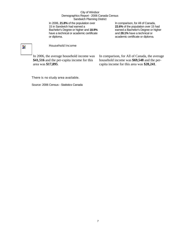In 2006, **21.8%** of the population over 15 in Sandwich had earned a Bachelor's Degree or higher and **18.9%** have a technical or academic certificate or diploma.

In comparison, for All of Canada, **22.6%** of the population over 15 had earned a Bachelor's Degree or higher and **28.1%** have a technical or academic certificate or diploma.

# $\overline{\phantom{a}}$

#### Household Income

In 2006, the average household income was **\$41,516** and the per-capita income for this area was **\$17,895**.

In comparison, for All of Canada, the average household income was **\$69,548** and the percapita income for this area was **\$28,241**.

#### There is no study area available.

Source: 2006 Census - Statistics Canada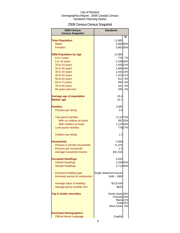# 2006 Census Census Snapshot

| 2006 Census<br><b>Census Snapshot</b> | <b>Sandwich</b>        |         |
|---------------------------------------|------------------------|---------|
|                                       |                        | %       |
| <b>Total Population</b>               | 11,865                 |         |
| <b>Males</b>                          | 5,88350%               |         |
| <b>Females</b>                        | 5,981 50%              |         |
|                                       |                        |         |
| <b>2006 Population by Age</b>         | 11,865                 |         |
| 0 to 4 years                          | 776                    | 7%      |
| 5 to 19 years                         | 2,349 20%              |         |
| 20 to 24 years                        | 1,455 12%              |         |
| 25 to 34 years                        | 1,868 16%              |         |
| 35 to 44 years                        | 1,641 14%              |         |
| 45 to 54 years                        | 1,321 11%              |         |
| 55 to 64 years                        |                        | 912 8%  |
| 65 to 74 years                        |                        | 684 6%  |
| 75 to 84 years                        | 541I                   | 5%      |
| 85 years and over                     | 283                    | 2%      |
|                                       |                        |         |
| <b>Average age of population</b>      | 35.6<br>32.1           |         |
| <b>Median age</b>                     |                        |         |
| <b>Families</b>                       |                        |         |
|                                       | 2,895                  |         |
| Persons per family                    | 3.0                    |         |
| <b>Two-parent families</b>            | 2,110 73%              |         |
| With no children at home              |                        | 947 33% |
| With children at home                 | 1,14740%               |         |
| Lone-parent families                  |                        | 77827%  |
|                                       |                        |         |
| Children per family                   | 1.3                    |         |
| Households                            | 4,958                  |         |
| Persons in private households         | 11,476                 |         |
| Persons per household                 | 2.3                    |         |
| Average household income              | \$41,516               |         |
|                                       |                        |         |
| <b>Occupied Dwellings</b>             | 4,943                  |         |
| <b>Owned Dwellings</b>                | 2,200 45%              |         |
| <b>Rented Dwellings</b>               | 2,71255%               |         |
|                                       |                        |         |
| Dominant building type                | Single detached houses |         |
| Dominant period of construction       | 1946 - 1960            |         |
|                                       |                        |         |
| Average value of dwelling             | \$123,426              |         |
| Average gross monthly rent            | \$626                  |         |
| <b>Top 5 visible minorities</b>       | South Asian 26%        |         |
|                                       | Chinese <sub>24%</sub> |         |
|                                       | Black <sub>21%</sub>   |         |
|                                       | Arab <sub>15%</sub>    |         |
|                                       | <b>West Asian</b>      | 6%      |
|                                       |                        |         |
| <b>Dominant Demographics</b>          |                        |         |
| <b>Official Home Language</b>         | English                |         |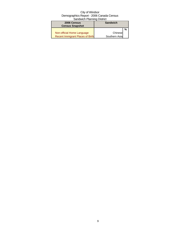| 2006 Census<br><b>Census Snapshot</b>   | <b>Sandwich</b> |   |
|-----------------------------------------|-----------------|---|
|                                         |                 | % |
| Non-official Home Language              | Chinese         |   |
| <b>Recent Immigrant Places of Birth</b> | Southern Asia   |   |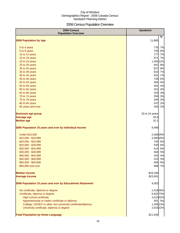# 2006 Census Population Overview

| 2006 Census<br><b>Population Overview</b>                   | <b>Sandwich</b> |
|-------------------------------------------------------------|-----------------|
| 2006 Population by Age                                      | %<br>11,865     |
|                                                             |                 |
| 0 to 4 years                                                | 776<br>7%       |
| 5 to 9 years                                                | 700<br>6%       |
| 10 to 14 years                                              | 777<br>7%       |
| 15 to 19 years                                              | 871<br>7%       |
| 20 to 24 years                                              | 1,455 12%       |
| 25 to 29 years                                              | 941<br>8%       |
| 30 to 34 years                                              | 927<br>8%       |
| 35 to 39 years                                              | 810 7%          |
| 40 to 44 years                                              | 831<br>7%       |
| 45 to 49 years                                              | 728<br>6%       |
| 50 to 54 years                                              | 593<br>5%       |
| 55 to 59 years                                              | 491<br>4%       |
| 60 to 64 years                                              | 421<br>4%       |
| 65 to 69 years                                              | 3%<br>325       |
| 70 to 74 years                                              | 3%<br>359       |
| 75 to 79 years                                              | 294<br>2%       |
| 80 to 84 years                                              | 247<br>2%       |
| 85 years and over                                           | 283<br>2%       |
| <b>Dominant age group</b>                                   | 20 to 24 years  |
| <b>Average age</b>                                          | 35.6            |
| <b>Median age</b>                                           | 32.1            |
| 2006 Population 15 years and over by Individual Income      | 8,489           |
| <b>Under \$10,000</b>                                       | 2,466 29%       |
| \$10,000 - \$19,999                                         | 2,083 25%       |
| \$20,000 - \$24,999                                         | 740 9%          |
| \$25,000 - \$29,999                                         | 530 6%          |
| \$30,000 - \$34,999                                         | 514<br>6%       |
| \$35,000 - \$39,999                                         | 464<br>5%       |
| \$40,000 - \$44,999                                         | 342<br>4%       |
| \$45,000 - \$49,999                                         | 224<br>3%       |
| \$50,000 - \$59,999                                         | 450<br>5%       |
| \$60,000 and over                                           | 588 7%          |
| <b>Median income</b>                                        | \$18,166        |
| <b>Average income</b>                                       | \$23,691        |
| 2006 Population 15 years and over by Educational Attainment | 9,303           |
| No certificate, diploma or degree                           | 2,418 26%       |
| Certificate, diploma or degree                              | 6,832 73%       |
| High school certificate                                     | 3,010 32%       |
| Apprenticeship or trades certificate or diploma             | 501 5%          |
| College, CEGEP or other non-university certificate/diploma  | 1,256 13%       |
| University certificate, diploma or degree                   | 2,033 22%       |
| <b>Total Population by Home Language</b>                    | \$11,535        |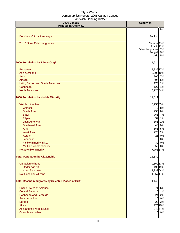| 2006 Census<br><b>Population Overview</b>                  | <b>Sandwich</b>        |
|------------------------------------------------------------|------------------------|
|                                                            | %                      |
|                                                            |                        |
| <b>Dominant Official Language</b>                          | English                |
| Top 5 Non-official Languages                               | Chinese <sup>33%</sup> |
|                                                            | Arabic 22%             |
|                                                            | Other languages 7%     |
|                                                            | Bengali 5%<br>Urdu 5%  |
|                                                            |                        |
| 2006 Population by Ethnic Origin                           | 11,514                 |
| European                                                   | 8,839 77%              |
| Asian, Oceanic                                             | 2,203 19%              |
| Arab                                                       | 860 7%                 |
| African                                                    | 596 5%                 |
| Latin, Central and South American                          | 178 2%                 |
| Caribbean                                                  | 127 1%                 |
| <b>North American</b>                                      | 3,926 34%              |
| 2006 Population by Visible Minority                        | 11,511                 |
| <b>Visible minorities</b>                                  | 3,755 33%              |
| <b>Chinese</b>                                             | 872 8%                 |
| South Asian                                                | 953 8%                 |
| <b>Black</b>                                               | 766 7%                 |
| Filipino                                                   | 59 1%                  |
| <b>Latin American</b>                                      | 155 1%                 |
| <b>Southeast Asian</b>                                     | 0%<br>43               |
| Arab                                                       | 555 5%                 |
| <b>West Asian</b>                                          | 2%<br>220              |
| Korean                                                     | 0%<br>25               |
| Japanese                                                   | 0%<br>$\overline{0}$   |
| Visible minority, n.i.e.                                   | 30 0%                  |
| Multiple visible minority                                  | 0%<br>52               |
| Not a visible minority                                     | 7,756 67%              |
| <b>Total Population by Citizenship</b>                     | 11,540                 |
| Canadian citizens                                          | 9,56983%               |
| Under age 18                                               | 2,199 19%              |
| Age 18 and over                                            | 7,33364%               |
| Not Canadian citizens                                      | 1,95717%               |
| <b>Total Recent Immigrants by Selected Places of Birth</b> | 1,142                  |
|                                                            |                        |
| <b>United States of America</b>                            | 71 6%                  |
| <b>Central America</b>                                     | 10 1%                  |
| <b>Caribbean and Bermuda</b>                               | 24 2%                  |
| <b>South America</b>                                       | 0 0%                   |
| Europe                                                     | 20 2%                  |
| Africa                                                     | 170 15%                |
| Asia and the Middle East<br>Oceania and other              | 84874%<br>0 0%         |
|                                                            |                        |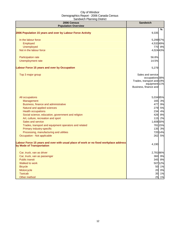| 2006 Census<br><b>Population Overview</b>                                                                          | <b>Sandwich</b>                                                                                             |
|--------------------------------------------------------------------------------------------------------------------|-------------------------------------------------------------------------------------------------------------|
|                                                                                                                    | %                                                                                                           |
| 2006 Population 15 years and over by Labour Force Activity                                                         | 9,335                                                                                                       |
| In the labour force                                                                                                | 5,299 57%                                                                                                   |
| Employed                                                                                                           | 4,53249%                                                                                                    |
| Unemployed                                                                                                         | 770 8%                                                                                                      |
| Not in the labour force                                                                                            | 4,024 43%                                                                                                   |
| Participation rate                                                                                                 | 56.8%                                                                                                       |
| Unemployment rate                                                                                                  | 14.5%                                                                                                       |
| Labour Force 15 years and over by Occupation                                                                       | 5,279                                                                                                       |
| Top 3 major group                                                                                                  | Sales and service<br>occupations 38%<br>Trades, transport and 19%<br>equipment 11%<br>Business, finance and |
| All occupations                                                                                                    | 5,034 95%                                                                                                   |
| Management                                                                                                         | 165 3%                                                                                                      |
| Business, finance and administrative                                                                               | 477 9%                                                                                                      |
| Natural and applied sciences                                                                                       | 279 5%                                                                                                      |
| <b>Health occupations</b>                                                                                          | 234 4%                                                                                                      |
| Social science, education, government and religion                                                                 | 426 8%                                                                                                      |
| Art, culture, recreation and sport                                                                                 | 115 2%                                                                                                      |
| Sales and service                                                                                                  | 1,608 30%                                                                                                   |
| Trades, transport and equipment operators and related                                                              | 781 15%                                                                                                     |
| Primary industry-specific                                                                                          | 135 3%                                                                                                      |
| Processing, manufacturing and utilities                                                                            | 720 14%                                                                                                     |
| Occupation - Not applicable                                                                                        | 262 5%                                                                                                      |
| Labour Force 15 years and over with usual place of work or no fixed workplace address<br>by Mode of Transportation | 4,190                                                                                                       |
| Car, truck, van as driver                                                                                          | 2,781 66%                                                                                                   |
| Car, truck, van as passenger                                                                                       | 360 9%                                                                                                      |
| <b>Public transit</b>                                                                                              | 345 8%                                                                                                      |
| Walked to work                                                                                                     | 507 12%                                                                                                     |
| <b>Bicycle</b>                                                                                                     | 50 1%                                                                                                       |
| Motorcycle                                                                                                         | 20 0%                                                                                                       |
| <b>Taxicab</b>                                                                                                     | 35<br>1%                                                                                                    |
| Other method                                                                                                       | 25<br>1%                                                                                                    |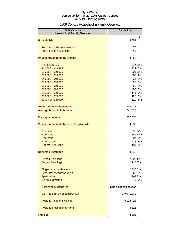# 2006 Census Household & Family Overview

| 2006 Census<br><b>Household &amp; Family Overview</b> | <b>Sandwich</b>        |         |
|-------------------------------------------------------|------------------------|---------|
|                                                       |                        | $\%$    |
| <b>Households</b>                                     | 4,958                  |         |
| Persons in private households                         | 11,476                 |         |
| Persons per household                                 | 2.3                    |         |
|                                                       |                        |         |
| <b>Private households by Income</b>                   | 4,858                  |         |
| <b>Under \$10,000</b>                                 |                        | 717 15% |
| \$10,000 - \$19,999                                   |                        | 823 17% |
| \$20,000 - \$29,999                                   |                        | 709 15% |
| \$30,000 - \$39,999                                   |                        | 567 12% |
| \$40,000 - \$49,999                                   | 336                    | 7%      |
| \$50,000 - \$59,999                                   | 396                    | 8%      |
| \$60,000 - \$69,999                                   | 358                    | 7%      |
| \$70,000 - \$79,999                                   | 289                    | 6%      |
| \$80,000 - \$89,999                                   | 144                    | 3%      |
| \$90,000 - \$99,999                                   | 126                    | 3%      |
| \$100,000 and over                                    | 310                    | 6%      |
| <b>Median Household Income</b>                        | \$32,432               |         |
| <b>Average household income</b>                       | \$41,516               |         |
| Per capita income                                     | \$17,576               |         |
| Private households by size of household               | 4,958                  |         |
| 1 person                                              | 1,697 34%              |         |
| 2 persons                                             | 1,56131%               |         |
| 3 persons                                             |                        | 807 16% |
| 4 - 5 persons                                         |                        | 728 15% |
| 6 or more persons                                     | <b>181</b>             | 4%      |
| <b>Occupied Dwellings</b>                             | 4,943                  |         |
| <b>Owned Dwellings</b>                                | 2,200 45%              |         |
| <b>Rented Dwellings</b>                               | 2,712 55%              |         |
| Single detached houses                                | 2,53751%               |         |
| Semi-detached/row/duplex                              |                        | 665 13% |
| <b>Apartments</b>                                     | 1,769 36%              |         |
| Movable dwelling                                      | 0                      | 0%      |
|                                                       |                        |         |
| Dominant building type                                | Single detached houses |         |
| Dominant period of construction                       | 1946 - 1960            |         |
| Average value of dwelling                             | \$123,426              |         |
| Average gross monthly rent                            | \$626                  |         |
| <b>Families</b>                                       | 2,895                  |         |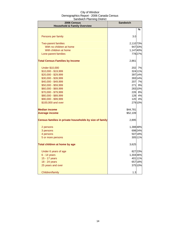| 2006 Census<br><b>Household &amp; Family Overview</b>   | <b>Sandwich</b> |         |
|---------------------------------------------------------|-----------------|---------|
|                                                         |                 | ℅       |
| Persons per family                                      | 3.0             |         |
| <b>Two-parent families</b>                              | 2,110 73%       |         |
| With no children at home                                |                 | 94733%  |
| With children at home                                   | 1,14740%        |         |
| Lone-parent families                                    |                 | 77827%  |
| <b>Total Census Families by Income</b>                  | 2,861           |         |
| <b>Under \$10,000</b>                                   | 202             | 7%      |
| \$10,000 - \$19,999                                     |                 | 324 11% |
| \$20,000 - \$29,999                                     |                 | 397 14% |
| \$30,000 - \$39,999                                     |                 | 39314%  |
| \$40,000 - \$49,999                                     | 207             | 7%      |
| \$50,000 - \$59,999                                     | 271             | 9%      |
| \$60,000 - \$69,999                                     |                 | 28310%  |
| \$70,000 - \$79,999                                     | 226             | 8%      |
| \$80,000 - \$89,999                                     | 128             | 4%      |
| \$90,000 - \$99,999                                     | 120             | 4%      |
| \$100,000 and over                                      |                 | 279 10% |
| <b>Median income</b>                                    | \$44,781        |         |
| <b>Average income</b>                                   | \$52,109        |         |
| Census families in private households by size of family | 2,895           |         |
| 2 persons                                               | 1,38848%        |         |
| 3 persons                                               |                 | 698 24% |
| 4 persons                                               |                 | 507 18% |
| 5 or more persons                                       |                 | 305 11% |
| Total children at home by age                           | 3,625           |         |
| Under 6 years of age                                    |                 | 827 23% |
| 6 - 14 years                                            | 1,304 36%       |         |
| 15 - 17 years                                           |                 | 401 11% |
| 18 - 24 years                                           |                 | 657 18% |
| 25 years and over                                       |                 | 375 10% |
| Children/family                                         | 1.3             |         |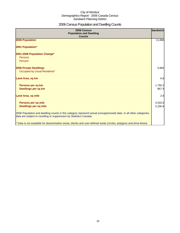# 2006 Census Population and Dwelling Counts

| 2006 Census<br><b>Population and Dwelling</b><br><b>Counts</b>                                                                                                                           | <b>Sandwich</b> |
|------------------------------------------------------------------------------------------------------------------------------------------------------------------------------------------|-----------------|
| 2006 Population                                                                                                                                                                          | 11,868          |
| 2001 Population*                                                                                                                                                                         |                 |
| 2001-2006 Population Change*                                                                                                                                                             |                 |
| Persons                                                                                                                                                                                  |                 |
| Percent                                                                                                                                                                                  |                 |
| <b>2006 Private Dwellings</b>                                                                                                                                                            | 5,882           |
| Occupied by Usual Residents*                                                                                                                                                             |                 |
| Land Area, sq km                                                                                                                                                                         | 6.8             |
| Persons per sq km                                                                                                                                                                        | 1,750.2         |
| Dwellings per sq km                                                                                                                                                                      | 867.4           |
| <b>Land Area, sq mile</b>                                                                                                                                                                | 2.6             |
| Persons per sq mile                                                                                                                                                                      | 4,533.0         |
| <b>Dwellings per sq mile</b>                                                                                                                                                             | 2,246.6         |
| 2006 Population and dwelling counts in this category represent actual (unsuppressed) data. In all other categories,<br>data are subject to rounding or suppression by Statistics Canada. |                 |
| * Data is not available for dissemination areas, blocks and user-defined areas (circles, polygons and drive-times)                                                                       |                 |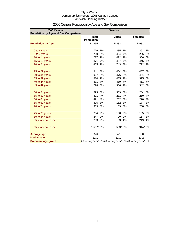| 2006 Census<br>Population by Age and Sex Comparison | <b>Sandwich</b>                   |    |                                                          |           |                |         |
|-----------------------------------------------------|-----------------------------------|----|----------------------------------------------------------|-----------|----------------|---------|
|                                                     | <b>Total</b><br><b>Population</b> |    | <b>Males</b>                                             |           | <b>Females</b> |         |
| <b>Population by Age</b>                            | 11,865                            |    | 5,883                                                    |           | 5,981          |         |
| 0 to 4 years                                        | 776                               | 7% | 385                                                      | 7%        | 391            | 7%      |
| 5 to 9 years                                        | 700                               | 6% | 404                                                      | 7%        | 296            | 5%      |
| 10 to 14 years                                      | 777                               | 7% | 422                                                      | 7%        | 356            | 6%      |
| 15 to 19 years                                      | 871                               | 7% | 427                                                      | 7%        | 445            | 7%      |
| 20 to 24 years                                      | 1,455 12%                         |    |                                                          | 743 13%   |                | 71212%  |
| 25 to 29 years                                      | 941                               | 8% | 454                                                      | 8%        | 487            | 8%      |
| 30 to 34 years                                      | 927                               | 8% | 476                                                      | 8%        | 451            | 8%      |
| 35 to 39 years                                      | 810                               | 7% | 435                                                      | 7%        | 375            | 6%      |
| 40 to 44 years                                      | 831                               | 7% | 419                                                      | 7%        | 411            | 7%      |
| 45 to 49 years                                      | 728                               | 6% | 386                                                      | 7%        | 342            | 6%      |
| 50 to 54 years                                      | 593                               | 5% | 309                                                      | 5%        | 284            | 5%      |
| 55 to 59 years                                      | 491                               | 4% | 231                                                      | 4%        | 260            | 4%      |
| 60 to 64 years                                      | 421                               | 4% | 202                                                      | 3%        | 220            | 4%      |
| 65 to 69 years                                      | 325                               | 3% | 152                                                      | <b>3%</b> | 174            | 3%      |
| 70 to 74 years                                      | 359                               | 3% | 159                                                      | 3%        | 200            | 3%      |
| 75 to 79 years                                      | 294                               | 2% | 130                                                      | 2%        | 165            | 3%      |
| 80 to 84 years                                      | 247                               | 2% | 90                                                       | 2%        | 157            | 3%      |
| 85 years and over                                   | 283                               | 2% | 63                                                       | 1%        | 219            | 4%      |
| 65 years and over                                   | 1,507 13%                         |    |                                                          | 593 10%   |                | 914 15% |
| <b>Average age</b>                                  | 35.6                              |    | 34.1                                                     |           | 37.0           |         |
| <b>Median age</b>                                   | 32.1                              |    | 31.1                                                     |           | 33.2           |         |
| Dominant age group                                  |                                   |    | 20 to 24 years 12% 20 to 24 years 13% 20 to 24 years 12% |           |                |         |

# 2006 Census Population by Age and Sex Comparison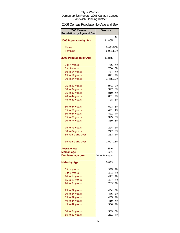# 2006 Census Population by Age and Sex

| 2006 Census<br><b>Population by Age and Sex</b> | <b>Sandwich</b> |         |
|-------------------------------------------------|-----------------|---------|
|                                                 |                 | %       |
| <b>2006 Population by Sex</b>                   | 11,865          |         |
| <b>Males</b>                                    | 5,88350%        |         |
| <b>Females</b>                                  | 5,98150%        |         |
|                                                 |                 |         |
| <b>2006 Population by Age</b>                   | 11,865          |         |
| 0 to 4 years                                    | 776             | 7%      |
| 5 to 9 years                                    |                 | 700 6%  |
| 10 to 14 years                                  | 777             | 7%      |
| 15 to 19 years                                  | 871             | 7%      |
| 20 to 24 years                                  | 1,455 12%       |         |
|                                                 |                 |         |
| 25 to 29 years                                  | 941             | 8%      |
| 30 to 34 years                                  | 927             | 8%      |
| 35 to 39 years                                  | 810             | 7%      |
| 40 to 44 years                                  | 831             | 7%      |
| 45 to 49 years                                  | 728             | 6%      |
|                                                 |                 |         |
| 50 to 54 years                                  | 593             | 5%      |
| 55 to 59 years                                  | 491             | 4%      |
| 60 to 64 years                                  | 421             | 4%      |
| 65 to 69 years                                  | 325             | 3%      |
| 70 to 74 years                                  | 359             | 3%      |
|                                                 |                 |         |
| 75 to 79 years                                  | 294             | 2%      |
| 80 to 84 years                                  | 247             | 2%      |
| 85 years and over                               | 283             | 2%      |
| 65 years and over                               | 1,507 13%       |         |
| <b>Average age</b>                              | 35.6            |         |
| <b>Median age</b>                               | 32.1            |         |
| <b>Dominant age group</b>                       | 20 to 24 years  |         |
| <b>Males by Age</b>                             | 5,883           |         |
|                                                 |                 |         |
| 0 to 4 years                                    | 385             | 7%      |
| 5 to 9 years                                    | 404             | 7%      |
| 10 to 14 years                                  | 422             | 7%      |
| 15 to 19 years                                  | 427             | 7%      |
| 20 to 24 years                                  |                 | 743 13% |
| 25 to 29 years                                  | 454             | 8%      |
| 30 to 34 years                                  | 476             | 8%      |
| 35 to 39 years                                  | 435             | 7%      |
| 40 to 44 years                                  | 419             | 7%      |
| 45 to 49 years                                  | 3861            | 7%      |
| 50 to 54 years                                  | 309             | 5%      |
| 55 to 59 years                                  | 231             | 4%      |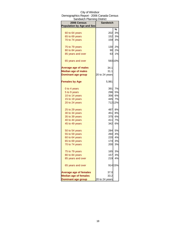| Sandwich Planning District       |                 |         |
|----------------------------------|-----------------|---------|
| 2006 Census                      | <b>Sandwich</b> |         |
| <b>Population by Age and Sex</b> |                 |         |
|                                  |                 | %       |
| 60 to 64 years                   | 202             | 3%      |
| 65 to 69 years                   | 152             | 3%      |
| 70 to 74 years                   | 159             | 3%      |
| 75 to 79 years                   | 130             | 2%      |
| 80 to 84 years                   | 90              | 2%      |
| 85 years and over                | 63              | 1%      |
| 65 years and over                |                 | 593 10% |
| <b>Average age of males</b>      | 34.1            |         |
| <b>Median age of males</b>       | 31.1            |         |
| <b>Dominant age group</b>        | 20 to 24 years  |         |
| <b>Females by Age</b>            | 5,981           |         |
| 0 to 4 years                     | 391             | 7%      |
| 5 to 9 years                     | 296             | 5%      |
| 10 to 14 years                   | 356             | 6%      |
| 15 to 19 years                   | 445             | 7%      |
| 20 to 24 years                   |                 | 71212%  |
| 25 to 29 years                   | 487             | 8%      |
| 30 to 34 years                   | 451             | 8%      |
| 35 to 39 years                   | 375             | 6%      |
| 40 to 44 years                   | 411             | 7%      |
| 45 to 49 years                   | 342             | 6%      |
| 50 to 54 years                   | 284             | 5%      |
| 55 to 59 years                   | 260             | 4%      |
| 60 to 64 years                   | 220             | 4%      |
|                                  | 174             | 3%      |
| 65 to 69 years<br>70 to 74 years | 200             | 3%      |
|                                  |                 |         |
| 75 to 79 years                   | 165             | 3%      |
| 80 to 84 years                   | 157             | 3%      |
| 85 years and over                | 219             | 4%      |
| 65 years and over                |                 | 914 15% |
| <b>Average age of females</b>    | 37.0            |         |
| <b>Median age of females</b>     | 33.2            |         |
| <b>Dominant age group</b>        | 20 to 24 years  |         |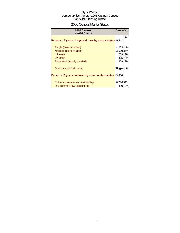### 2006 Census Marital Status

| 2006 Census<br><b>Marital Status</b>                            | <b>Sandwich</b> |    |
|-----------------------------------------------------------------|-----------------|----|
| <b>Persons 15 years of age and over by marital status</b> 9,641 |                 | %  |
| Single (never married)                                          | 4,25344%        |    |
| Married (not separated)                                         | 3,519 36%       |    |
| Widowed                                                         | 729             | 8% |
| <b>Divorced</b>                                                 | 805             | 8% |
| Separated (legally married)                                     | 309             | 3% |
| Dominant marital status                                         | Single 44%      |    |
| Persons 15 years and over by common-law status                  | 9,654           |    |
| Not in a common-law relationship                                | 8,78691%        |    |
| In a common-law relationship                                    | 880             | 9% |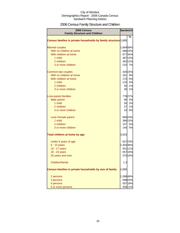# 2006 Census Family Structure and Children

| 2006 Census<br><b>Family Structure and Children</b>             |           | <b>Sandwich</b> |
|-----------------------------------------------------------------|-----------|-----------------|
|                                                                 |           | %               |
| Census families in private households by family structure 2,895 |           |                 |
| <b>Married couples</b>                                          | 1,68458%  |                 |
| With no children at home                                        |           | 686 24%         |
| With children at home                                           |           | 97734%          |
| 1 child                                                         |           | 387 13%         |
| 2 children                                                      |           | 362 12%         |
| 3 or more children                                              |           | 210 7%          |
| Common-law couples                                              |           | 426 15%         |
| With no children at home                                        | 261       | 9%              |
| With children at home                                           |           | 170 6%          |
| 1 child                                                         | 110       | 4%              |
| 2 children                                                      | 40        | 1%              |
| 3 or more children                                              | 30        | 1%              |
| Lone-parent families                                            |           | 778 27%         |
| Male parent                                                     |           | 90 3%           |
| 1 child                                                         |           | 50 2%           |
| 2 children                                                      | 27        | 1%              |
| 3 or more children                                              | 10        | 0%              |
| Lone Female parent                                              |           | 66623%          |
| 1 child                                                         |           | 366 13%         |
| 2 children                                                      |           | 157 5%          |
| 3 or more children                                              |           | 140 5%          |
| Total children at home by age                                   | 3,625     |                 |
| Under 6 years of age                                            |           | 827 23%         |
| $6 - 14$ years                                                  | 1,304 36% |                 |
| 15 - 17 years                                                   |           | 401 11%         |
| 18 - 24 years                                                   |           | 657 18%         |
| 25 years and over                                               |           | 375 10%         |
| Children/family                                                 | 1.3       |                 |
| Census families in private households by size of family         | 2,895     |                 |
| 2 persons                                                       | 1,38848%  |                 |
| 3 persons                                                       |           | 698 24%         |
| 4 persons                                                       |           | 507 18%         |
| 5 or more persons                                               |           | 305 11%         |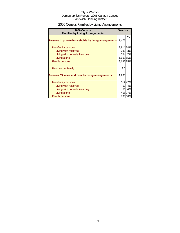# 2006 Census Families by Living Arrangements

| 2006 Census<br><b>Families by Living Arrangements</b>       | <b>Sandwich</b> |        |
|-------------------------------------------------------------|-----------------|--------|
|                                                             |                 | %      |
| Persons in private households by living arrangements 11,476 |                 |        |
| Non-family persons                                          | 2,811 24%       |        |
| Living with relatives                                       |                 | 339 3% |
| Living with non-relatives only                              |                 | 764 7% |
| Living alone                                                | 1,693 15%       |        |
| <b>Family persons</b>                                       | 8,637 75%       |        |
|                                                             |                 |        |
| Persons per family                                          | 3.0             |        |
| Persons 65 years and over by living arrangements            | 1,233           |        |
| Non-family persons                                          |                 | 51242% |
| Living with relatives                                       |                 | 50 4%  |
| Living with non-relatives only                              |                 | 50 4%  |
| Living alone                                                |                 | 45537% |
| <b>Family persons</b>                                       |                 | 73860% |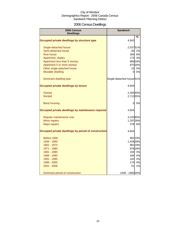# 2006 Census Dwellings

| 2006 Census<br><b>Dwellings</b>                      | <b>Sandwich</b>                      |         |
|------------------------------------------------------|--------------------------------------|---------|
|                                                      |                                      | %       |
| Occupied private dwellings by structure type         | 4,943                                |         |
| Single-detached house                                | 2,53751%                             |         |
| Semi-detached house                                  | 82                                   | 2%      |
| Row house                                            | 394I                                 | 8%      |
| Apartment, duplex                                    | 173                                  | 4%      |
| Apartment less than 5 storeys                        |                                      | 899 18% |
| Apartment 5 or more storeys                          |                                      | 870 18% |
| Other single-attached house                          | 15                                   | 0%      |
| Movable dwelling                                     | $\Omega$                             | 0%      |
| Dominant dwelling type                               | Single-detached house <sup>51%</sup> |         |
| Occupied private dwellings by tenure                 | 4,943                                |         |
| Owned                                                | 2,200 45%                            |         |
| <b>Rented</b>                                        | 2,712 55%                            |         |
| <b>Band housing</b>                                  | 0                                    | 0%      |
| Occupied private dwellings by maintenance required   | 4,943                                |         |
| Regular maintenance only                             | 3,220 65%                            |         |
| Minor repairs                                        | 1,297 26%                            |         |
| <b>Major repairs</b>                                 | 378                                  | 8%      |
| Occupied private dwellings by period of construction | 4,943                                |         |
| Before 1946                                          |                                      | 962 19% |
| 1946 - 1960                                          | 1,429 29%                            |         |
| 1961 - 1970                                          |                                      | 962 19% |
| 1971 - 1980                                          |                                      | 878 18% |
| 1981 - 1985                                          | 150                                  | 3%      |
| 1986 - 1990                                          | 184                                  | 4%      |
| 1991 - 1995                                          | 103                                  | 2%      |
| 1996 - 2000                                          | 174                                  | 4%      |
| 2001 - 2006                                          | 51                                   | 1%      |
| Dominant period of construction                      | 1946 - 1960 29%                      |         |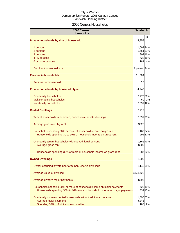### 2006 Census Households

| 2006 Census<br><b>Households</b>                                          |              | <b>Sandwich</b>   |
|---------------------------------------------------------------------------|--------------|-------------------|
| Private households by size of household                                   | 4,958        | %                 |
| 1 person                                                                  | 1,697 34%    |                   |
| 2 persons                                                                 | 1,561 31%    |                   |
| 3 persons                                                                 |              | 807 16%           |
| 4 - 5 persons                                                             |              | 728 15%<br>181 4% |
| 6 or more persons                                                         |              |                   |
| Dominant household size                                                   | 1 person 34% |                   |
| <b>Persons in households</b>                                              | 11,504       |                   |
| Persons per household                                                     | 2.3          |                   |
| Private households by household type                                      | 4,943        |                   |
| One-family households                                                     | 2,770 56%    |                   |
| Multiple-family households                                                | 60           | 1%                |
| Non-family households                                                     | 2,097 42%    |                   |
| <b>Rented Dwellings</b>                                                   | 2,712        |                   |
| Tenant households in non-farm, non-reserve private dwellings              | 2,697 99%    |                   |
| Average gross monthly rent                                                | \$626        |                   |
| Households spending 30% or more of household income on gross rent         | 1,46254%     |                   |
| Households spending 30 to 99% of household income on gross rent           |              | 992 37%           |
| One-family tenant households without additional persons                   | 1,16643%     |                   |
| Average gross rent                                                        | \$609        |                   |
| Households spending 30% or more of household income on gross rent         |              | 58722%            |
| <b>Owned Dwellings</b>                                                    | 2,200        |                   |
| Owner-occupied private non-farm, non-reserve dwellings                    | 2,146 98%    |                   |
| Average value of dwelling                                                 | \$123,426    |                   |
| Average owner's major payments                                            | \$796        |                   |
| Households spending 30% or more of household income on major payments     |              | 42319%            |
| Households spending 30% to 99% more of household income on major payments |              | 339 15%           |
| One-family owner-occupied households without additional persons           | 1,395 63%    |                   |
| Average major payments                                                    | \$845        |                   |
| Spending 30%+ of hh income on shelter                                     |              | 188 9%            |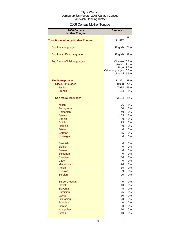# 2006 Census Mother Tongue

| 2006 Census<br><b>Mother Tongue</b>      | <b>Sandwich</b>                                                               |                      |
|------------------------------------------|-------------------------------------------------------------------------------|----------------------|
|                                          |                                                                               | %                    |
| <b>Total Population by Mother Tongue</b> | 11,537                                                                        |                      |
| Dominant language                        | English                                                                       | 71%                  |
| Dominant official language               | English                                                                       | 98%                  |
| Top 5 non-official languages             | Chinese <sub>25.2%</sub><br>Arabic 17.4%<br>Urdu<br>Other languages<br>Somali | 7.5%<br>6.5%<br>5.3% |
| <b>Single responses</b>                  | 11,321                                                                        | 98%                  |
| <b>Official languages</b>                | 8,098                                                                         | 70%                  |
| <b>English</b>                           | 7,934                                                                         | 69%                  |
| French                                   | 164                                                                           | 1%                   |
|                                          |                                                                               |                      |
| Non-official languages                   | 3,194                                                                         | 28%                  |
| <b>Italian</b>                           | 76                                                                            | 1%                   |
| Portuguese                               | 30                                                                            | 0%                   |
| Romanian                                 | 40                                                                            | 0%                   |
|                                          | 135                                                                           | 1%                   |
| Spanish                                  |                                                                               |                      |
| Danish                                   | 0                                                                             | 0%                   |
| <b>Dutch</b>                             | 25                                                                            | 0%                   |
| Flemish                                  | 0                                                                             | 0%                   |
| Frisian                                  | 0                                                                             | 0%                   |
| German                                   | 55                                                                            | 0%                   |
| Norwegian                                | 0                                                                             | 0%                   |
| <b>Swedish</b>                           | 0                                                                             | 0%                   |
| <b>Yiddish</b>                           | 0                                                                             | 0%                   |
| <b>Bosnian</b>                           | 0                                                                             | 0%                   |
| <b>Bulgarian</b>                         | 0                                                                             | 0%                   |
| Croatian                                 | 30                                                                            | 0%                   |
| Czech                                    |                                                                               |                      |
| Macedonian                               | U<br>20                                                                       | U% <br>0%            |
| Polish                                   | 35                                                                            | 0%                   |
|                                          |                                                                               |                      |
| <b>Russian</b>                           | 39                                                                            | 0%                   |
| <b>Serbian</b>                           | 20                                                                            | 0%                   |
| Serbo-Croatian                           | 0                                                                             | 0%                   |
| Slovak                                   | 10                                                                            | 0%                   |
| Slovenian                                | 5                                                                             | 0%                   |
| <b>Ukrainian</b>                         | 25                                                                            | 0%                   |
| Latvian                                  | 10                                                                            | 0%                   |
| Lithuanian                               | 20                                                                            | 0%                   |
| Estonian                                 | 0                                                                             | 0%                   |
| Finnish                                  | 0                                                                             | 0%                   |
| Hungarian                                | 10                                                                            | 0%                   |
| <b>Greek</b>                             | 10                                                                            | 0%                   |
|                                          |                                                                               |                      |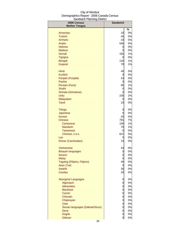| 2006 Census                     | <b>Sandwich</b> |               |
|---------------------------------|-----------------|---------------|
| <b>Mother Tongue</b>            |                 | $\frac{1}{2}$ |
| Armenian                        | 10              | 0%            |
| <b>Turkish</b>                  | 45              | 0%            |
| Amharic                         | 10              | 0%            |
| Arabic                          | 546             | 5%            |
| <b>Hebrew</b>                   | 0               | 0%            |
| <b>Maltese</b>                  | 0               | 0%            |
| Somali                          | 165             | 1%            |
| <b>Tigrigna</b>                 | 0               | 0%            |
| Bengali                         | 132             | 1%            |
| Gujarati                        | 70              | 1%            |
| Hindi                           | 40              | 0%            |
| <b>Kurdish</b>                  | 0               | 0%            |
| Panjabi (Punjabi)               | 24              | 0%            |
| Pashto                          | 0               | 0%            |
| Persian (Farsi)                 | 95              | 1%            |
| Sindhi                          | 0               | 0%            |
| Sinhala (Sinhalese)             | 0               | 0%<br>2%      |
| Urdu<br>Malayalam               | 235             | 0%            |
| Tamil                           | 0<br>10         | 0%            |
|                                 |                 |               |
| <b>Telugu</b>                   | 0<br>0          | 0%<br>0%      |
| Japanese<br>Korean              |                 | 0%            |
| Chinese                         | 20<br>791       | 7%            |
| Cantonese                       | 100             | 1%            |
| <b>Mandarin</b>                 | 70              | 1%            |
| Taiwanese                       | 0               | 0%            |
| Chinese, n.o.s.                 | 621             | 5%            |
| Lao                             | 0               | 0%            |
| Khmer (Cambodian)               | 15              | 0%            |
| Vietnamese                      | 34              | 0%            |
| <b>Bisayan languages</b>        | 0               | 0%            |
| Ilocano                         | 0               | 0%            |
| <b>Malay</b>                    | 0               | 0%            |
| Tagalog (Pilipino, Filipino)    | 40              | 0%            |
| Akan (Twi)                      | 0               | 0%            |
| Swahili                         | 30              | 0%            |
| <b>Creoles</b>                  | 20              | 0%            |
| <b>Aboriginal Languages</b>     | 0               | 0%            |
| Algonquin                       | 0               | 0%            |
| Atikamekw                       | 0               | 0%            |
| <b>Blackfoot</b>                | 0               | 0%            |
| Carrier                         | 0               | 0%            |
| Chilcotin                       | 0               | 0%            |
| Chipewyan                       | 0               | 0%            |
| <b>Cree</b>                     | 0               | 0%            |
| Siouan languages (Dakota/Sioux) | 0               | 0%<br>0%      |
| Dene<br><b>Dogrib</b>           | 0<br>0          | 0%            |
| Gitksan                         | 0               | $0\%$         |
|                                 |                 |               |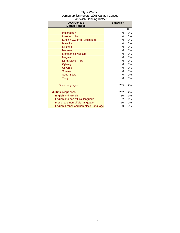| City of Windsor                          |
|------------------------------------------|
| Demographics Report - 2006 Canada Census |
| Sandwich Planning District               |

| 2006 Census<br><b>Mother Tongue</b>       | <b>Sandwich</b> |    |
|-------------------------------------------|-----------------|----|
|                                           |                 | %  |
| Inuinnagtun                               | 0               | 0% |
| Inuktitut, n.i.e.                         | 0               | 0% |
| Kutchin-Gwich'in (Loucheux)               | 0               | 0% |
| <b>Malecite</b>                           | 0               | 0% |
| Mi'kmag                                   | 0               | 0% |
| <b>Mohawk</b>                             | 0               | 0% |
| Montagnais-Naskapi                        | 0               | 0% |
| Nisga'a                                   | 0               | 0% |
| North Slave (Hare)                        | 0               | 0% |
| Ojibway                                   | 0               | 0% |
| Oji-Cree                                  | 0               | 0% |
| Shuswap                                   | 0               | 0% |
| <b>South Slave</b>                        | 0               | 0% |
| <b>Tlingit</b>                            | 0               | 0% |
| Other languages                           | 205             | 2% |
| <b>Multiple responses</b>                 | 232             | 2% |
| <b>English and French</b>                 | 60              | 1% |
| English and non-official language         | 162             | 1% |
| French and non-official language          | 10              | 0% |
| English, French and non-official language | 0               | 0% |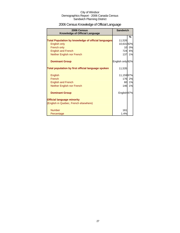# 2006 Census Knowledge of Official Language

| 2006 Census<br><b>Knowledge of Official Language</b>       | <b>Sandwich</b>        |    |
|------------------------------------------------------------|------------------------|----|
|                                                            |                        | %  |
| <b>Total Population by knowledge of official languages</b> | 11,526                 |    |
| English only                                               | 10,63192%              |    |
| French only                                                | 10                     | 0% |
| <b>English and French</b>                                  | 724                    | 6% |
| Neither English nor French                                 | 137                    | 1% |
| <b>Dominant Group</b>                                      | English only 92%       |    |
| Total population by first official language spoken         | 11,535                 |    |
| English                                                    | 11,15997%              |    |
| French                                                     | 176                    | 2% |
| <b>English and French</b>                                  | 60                     | 1% |
| Neither English nor French                                 | 146                    | 1% |
| <b>Dominant Group</b>                                      | English <sub>97%</sub> |    |
| <b>Official language minority</b>                          |                        |    |
| (English in Quebec, French elsewhere)                      |                        |    |
| <b>Number</b>                                              | 161                    |    |
| Percentage                                                 | 1.4%                   |    |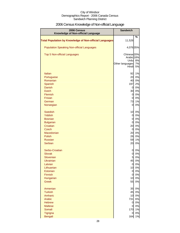# 2006 Census Knowledge of Non-official Language

| 2006 Census<br>Knowledge of Non-official Language              | <b>Sandwich</b>        |          |
|----------------------------------------------------------------|------------------------|----------|
|                                                                |                        | $\%$     |
| <b>Total Population by Knowledge of Non-official Languages</b> | 11,526                 |          |
| <b>Population Speaking Non-official Languages</b>              | 4,076 35%              |          |
| <b>Top 5 Non-official Languages</b>                            | Chinese <sub>20%</sub> |          |
|                                                                | Arabic 18%<br>Urdu     | 8%       |
|                                                                | Other languages        | 7%       |
|                                                                | Hindi                  | 5%       |
| <b>Italian</b>                                                 | 92                     | 1%       |
| Portuguese                                                     | 20                     | 0%       |
| Romanian                                                       | 40                     | 0%       |
| Spanish                                                        | 197                    | 2%       |
| <b>Danish</b>                                                  | $\overline{0}$         | 0%       |
| <b>Dutch</b>                                                   | 30                     | 0%       |
| Flemish<br>Frisian                                             | $\overline{0}$         | 0%<br>0% |
| German                                                         | $\overline{0}$<br>73   | 1%       |
| Norwegian                                                      | $\overline{0}$         | 0%       |
| <b>Swedish</b>                                                 | 10                     | 0%       |
| <b>Yiddish</b>                                                 | $\overline{0}$         | 0%       |
| <b>Bosnian</b>                                                 | 0                      | 0%       |
| <b>Bulgarian</b>                                               | $\overline{0}$         | 0%       |
| Croatian                                                       | 20                     | 0%       |
| Czech                                                          | $\mathbf 0$            | 0%       |
| Macedonian                                                     | 20                     | 0%       |
| <b>Polish</b>                                                  | 26                     | 0%       |
| <b>Russian</b>                                                 | 59                     | 1%       |
| <b>Serbian</b>                                                 | 20                     | 0%       |
| Serbo-Croatian                                                 | 0                      | 0%       |
| <b>Slovak</b><br>Slovenian                                     | 0                      | 0%       |
| <b>Ukrainian</b>                                               | 5<br>45                | 0%<br>0% |
| Latvian                                                        | $\overline{0}$         | 0%       |
| Lithuanian                                                     | 10                     | 0%       |
| Estonian                                                       | $\mathbf 0$            | 0%       |
| Finnish                                                        | 0                      | 0%       |
| Hungarian                                                      | 10                     | 0%       |
| <b>Greek</b>                                                   | 55                     | 0%       |
| Armenian                                                       | 35                     | 0%       |
| <b>Turkish</b>                                                 | 45                     | 0%       |
| Amharic<br>Arabic                                              | 10<br>731              | 0%<br>6% |
| <b>Hebrew</b>                                                  | 0                      | 0%       |
| <b>Maltese</b>                                                 | $\overline{0}$         | 0%       |
| Somali                                                         | 170                    | 1%       |
| Tigrigna                                                       | $\overline{0}$         | 0%       |
| <b>Bengali</b>                                                 | 164                    | 1%       |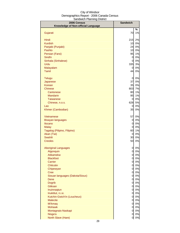| 2006 Census<br>Knowledge of Non-official Language | <b>Sandwich</b>                |          |
|---------------------------------------------------|--------------------------------|----------|
|                                                   |                                | $\%$     |
| Gujarati                                          | 70                             | 1%       |
| Hindi                                             | 215                            | 2%       |
| <b>Kurdish</b>                                    | 10                             | 0%       |
| Panjabi (Punjabi)                                 | 24                             | 0%       |
| Pashto                                            | 10                             | 0%       |
| Persian (Farsi)                                   | 95                             | 1%       |
| Sindhi                                            | $\overline{0}$                 | 0%       |
| Sinhala (Sinhalese)                               | 0                              | 0%       |
| Urdu                                              | 335                            | 3%       |
| Malayalam                                         | $\overline{0}$                 | 0%       |
| <b>Tamil</b>                                      | 44                             | 0%       |
| <b>Telugu</b>                                     | $\overline{0}$                 | 0%       |
| Japanese                                          | 37                             | 0%       |
| Korean                                            | 35                             | 0%       |
| <b>Chinese</b>                                    | 803                            | 7%       |
| Cantonese                                         | 80                             | 1%       |
| <b>Mandarin</b>                                   | 95                             | 1%       |
| <b>Taiwanese</b>                                  | $\overline{0}$                 | 0%       |
| Chinese, n.o.s.                                   | 628                            | 5%<br>0% |
| Lao<br>Khmer (Cambodian)                          | 0<br>35                        | 0%       |
| <b>Vietnamese</b>                                 | 57                             | 0%       |
| <b>Bisayan languages</b>                          | 0                              | 0%       |
| Ilocano                                           | 0                              | 0%       |
| <b>Malay</b>                                      | 0                              | 0%       |
| Tagalog (Pilipino, Filipino)                      | 60                             | 1%       |
| Akan (Twi)                                        | $\overline{0}$                 | 0%       |
| Swahili                                           | 30                             | 0%       |
| <b>Creoles</b>                                    | 50                             | 0%       |
| <b>Aboriginal Languages</b>                       | 0                              | 0%       |
| Algonquin                                         | $\overline{0}$                 | 0%       |
| Atikamekw                                         | $\overline{0}$                 | 0%       |
| <b>Blackfoot</b>                                  | $\overline{0}$                 | 0%       |
| Carrier                                           | $\overline{0}$                 | 0%       |
| Chilcotin                                         | $\overline{0}$                 | 0%       |
| Chipewyan                                         | $\overline{0}$                 | 0%       |
| <b>Cree</b>                                       | $\overline{0}$                 | 0%       |
| Siouan languages (Dakota/Sioux)<br>Dene           | $\overline{0}$<br><sub>0</sub> | 0%<br>0% |
| <b>Dogrib</b>                                     | <sub>0</sub>                   | 0%       |
| Gitksan                                           | <sub>0</sub>                   | 0%       |
| Inuinnaqtun                                       | $\overline{0}$                 | 0%       |
| Inuktitut, n.i.e.                                 | $\overline{0}$                 | 0%       |
| Kutchin-Gwich'in (Loucheux)                       | $\overline{0}$                 | 0%       |
| <b>Malecite</b>                                   | $\overline{0}$                 | 0%       |
| Mi'kmaq                                           | $\overline{0}$                 | 0%       |
| <b>Mohawk</b>                                     | $\overline{O}$                 | 0%       |
| Montagnais-Naskapi                                | 0                              | 0%       |
| Nisga'a                                           | 0                              | 0%       |
| North Slave (Hare)                                | $\overline{0}$                 | $0\%$    |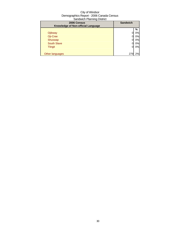| 2006 Census<br>Knowledge of Non-official Language | <b>Sandwich</b> |    |
|---------------------------------------------------|-----------------|----|
|                                                   |                 | %  |
| Ojibway                                           |                 | 0% |
| Oji-Cree                                          |                 | 0% |
| Shuswap                                           |                 | 0% |
| <b>South Slave</b>                                |                 | 0% |
| <b>Tlingit</b>                                    | 0               | 0% |
|                                                   |                 |    |
| Other languages                                   | 279             | 2% |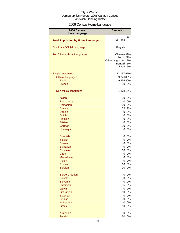# 2006 Census Home Language

| 2006 Census                              | <b>Sandwich</b>                                                            |                |
|------------------------------------------|----------------------------------------------------------------------------|----------------|
| <b>Home Language</b>                     |                                                                            |                |
| <b>Total Population by Home Language</b> | \$11,535                                                                   | %              |
| <b>Dominant Official Language</b>        | English                                                                    |                |
| <b>Top 5 Non-official Languages</b>      | Chinese <sub>33%</sub><br>Arabic 22%<br>Other languages<br>Bengali<br>Urdu | 7%<br>5%<br>5% |
| Single responses                         | 11,13797%                                                                  |                |
| <b>Official languages</b>                | 9,246 80%                                                                  |                |
| <b>English</b>                           | 9,236 80%                                                                  |                |
| French                                   | 10                                                                         | 0%             |
| Non-official languages                   | 1,878 16%                                                                  |                |
| <b>Italian</b>                           | 10                                                                         | 0%             |
| Portuguese                               | $\overline{0}$                                                             | 0%             |
| Romanian                                 | 20                                                                         | 0%             |
| Spanish                                  | 65                                                                         | 1%             |
| Danish                                   | 0                                                                          | 0%             |
| <b>Dutch</b>                             | 0                                                                          | 0%             |
| Flemish                                  | 0                                                                          | 0%             |
| <b>Frisian</b>                           | 0                                                                          | 0%             |
| German                                   | 10                                                                         | 0%             |
| Norwegian                                | 0                                                                          | 0%             |
| <b>Swedish</b>                           | 0                                                                          | 0%             |
| Yiddish                                  | 0                                                                          | 0%             |
| <b>Bosnian</b>                           | $\overline{0}$                                                             | 0%             |
| <b>Bulgarian</b>                         | $\overline{O}$                                                             | 0%             |
| Croatian                                 | 10                                                                         | 0%             |
| <b>Czech</b>                             | 0                                                                          | 0%             |
| Macedonian                               | 0                                                                          | 0%             |
| Polish                                   | 0I                                                                         | 0%             |
| <b>Russian</b>                           | 10                                                                         | 0%             |
| <b>Serbian</b>                           | 10                                                                         | 0%             |
| Serbo-Croatian                           | 0                                                                          | 0%             |
| <b>Slovak</b>                            | 0                                                                          | 0%             |
| Slovenian                                | $\overline{O}$                                                             | 0%             |
| <b>Ukrainian</b>                         | $5\overline{a}$                                                            | 0%             |
| Latvian                                  | $\overline{0}$                                                             | 0%             |
| Lithuanian                               | 10                                                                         | 0%             |
| Estonian                                 | 0                                                                          | 0%             |
| <b>Finnish</b>                           | 0                                                                          | 0%             |
| Hungarian                                | 0                                                                          | 0%             |
| <b>Greek</b>                             | 10                                                                         | 0%             |
| Armenian                                 | 0                                                                          | 0%             |
| <b>Turkish</b>                           | 30                                                                         | 0%             |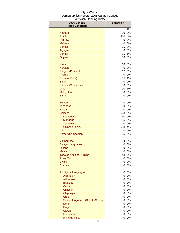| 2006 Census                     | <b>Sandwich</b>    |             |
|---------------------------------|--------------------|-------------|
| <b>Home Language</b>            |                    |             |
|                                 |                    | %           |
| Amharic                         | 10                 | $0\%$       |
| Arabic                          | 410                | 4%          |
| <b>Hebrew</b>                   | 0                  | $0\%$       |
| <b>Maltese</b>                  | 0                  | 0%<br>$0\%$ |
| Somali                          | 35                 | $0\%$       |
| Tigrigna                        | <sub>0</sub><br>95 | 1%          |
| Bengali<br>Gujarati             | 50                 | 0%          |
|                                 |                    |             |
| Hindi                           | 10                 | 0%          |
| <b>Kurdish</b>                  | 0                  | $0\%$       |
| Panjabi (Punjabi)               | 17                 | $0\%$       |
| Pashto                          | 0                  | $0\%$       |
| Persian (Farsi)                 | 85                 | 1%          |
| Sindhi                          | 0                  | $0\%$       |
| Sinhala (Sinhalese)             | 0                  | 0%          |
| Urdu                            | 90                 | 1%          |
| Malayalam                       | 0                  | 0%          |
| <b>Tamil</b>                    | 0                  | 0%          |
| <b>Telugu</b>                   | 0                  | $0\%$       |
| Japanese                        | 0                  | 0%          |
| Korean                          | 20                 | 0%          |
| Chinese                         | 603                | 5%          |
| Cantonese                       | 30                 | 0%          |
| <b>Mandarin</b>                 | 55                 | 0%          |
| <b>Taiwanese</b>                | 0                  | 0%          |
| Chinese, n.o.s.                 | 518                | 4%          |
| Lao                             | 0                  | 0%          |
| Khmer (Cambodian)               | 15                 | 0%          |
| Vietnamese                      | 34                 | 0%          |
| <b>Bisayan languages</b>        | 0                  | 0%          |
| Ilocano                         | 0                  | 0%          |
| <b>Malay</b>                    | 0                  | 0%          |
| Tagalog (Pilipino, Filipino)    | 48                 | 0%          |
| Akan (Twi)                      | 0                  | 0%          |
| <b>Swahili</b>                  | 0                  | 0%          |
| <b>Creoles</b>                  | 0                  | 0%          |
| <b>Aboriginal Languages</b>     | 0                  | 0%          |
| Algonquin                       | $\overline{0}$     | $0\%$       |
| <b>Atikamekw</b>                | $\overline{O}$     | $0\%$       |
| <b>Blackfoot</b>                | <sub>0</sub>       | $0\%$       |
| <b>Carrier</b>                  | 0                  | $0\%$       |
| Chilcotin                       | $\overline{O}$     | 0%          |
| Chipewyan                       | <sub>0</sub>       | $0\%$       |
| <b>Cree</b>                     | 0                  | $0\%$       |
| Siouan languages (Dakota/Sioux) | <sub>0</sub>       | 0%          |
| Dene                            | <sub>0</sub>       | $0\%$       |
| <b>Dogrib</b>                   | <sub>0</sub>       | $0\%$       |
| Gitksan<br>Inuinnaqtun          | $\mathbf 0$        | $0\%$<br>0% |
| Inuktitut, n.i.e.               | 0<br>0             | 0%          |
|                                 |                    |             |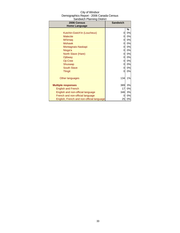| 2006 Census                               | <b>Sandwich</b> |    |
|-------------------------------------------|-----------------|----|
| <b>Home Language</b>                      |                 |    |
|                                           |                 | %  |
| Kutchin-Gwich'in (Loucheux)               | 0               | 0% |
| <b>Malecite</b>                           | 0               | 0% |
| Mi'kmaq                                   | 0               | 0% |
| <b>Mohawk</b>                             | 0               | 0% |
| Montagnais-Naskapi                        | 0               | 0% |
| Nisga'a                                   | 0               | 0% |
| North Slave (Hare)                        | 0               | 0% |
| Ojibway                                   | 0               | 0% |
| Oji-Cree                                  | 0               | 0% |
| Shuswap                                   | 0               | 0% |
| <b>South Slave</b>                        | 0               | 0% |
| <b>Tlingit</b>                            | 0               | 0% |
|                                           |                 |    |
| Other languages                           | 134             | 1% |
|                                           |                 |    |
| <b>Multiple responses</b>                 | 389             | 3% |
| <b>English and French</b>                 | 17              | 0% |
| English and non-official language         | 346             | 3% |
| French and non-official language          | 0               | 0% |
| English, French and non-official language | 25              | 0% |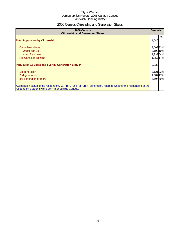# 2006 Census Citizenship and Generation Status

| 2006 Census<br><b>Citizenship and Generation Status</b>                                                                                                                       | <b>Sandwich</b> |   |
|-------------------------------------------------------------------------------------------------------------------------------------------------------------------------------|-----------------|---|
| <b>Total Population by Citizenship</b>                                                                                                                                        | 11,540          | % |
| Canadian citizens                                                                                                                                                             | 9.56983%        |   |
| Under age 18                                                                                                                                                                  | 2,19919%        |   |
| Age 18 and over                                                                                                                                                               | 7,33364%        |   |
| Not Canadian citizens                                                                                                                                                         | 1,957 17%       |   |
| Population 15 years and over by Generation Status*                                                                                                                            | 9,330           |   |
| 1st generation                                                                                                                                                                | 3,121 33%       |   |
| 2nd generation                                                                                                                                                                | 1,587 17%       |   |
| 3rd generation or more                                                                                                                                                        | 4.60449%        |   |
| *Generation status of the respondent, i.e. "1st", "2nd" or "3rd+" generation, refers to whether the respondent or the<br>respondent's parents were born in or outside Canada. |                 |   |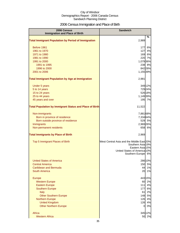# 2006 Census Immigration and Place of Birth

| 2006 Census<br><b>Immigration and Place of Birth</b>           | <b>Sandwich</b>                                                |
|----------------------------------------------------------------|----------------------------------------------------------------|
| <b>Total Immigrant Population by Period of Immigration</b>     | %<br>2,989                                                     |
|                                                                |                                                                |
| Before 1961                                                    | 6%<br>177                                                      |
| 1961 to 1970                                                   | 4%<br>127                                                      |
| 1971 to 1980                                                   | 6%<br>169                                                      |
| 1981 to 1990                                                   | 220<br>7%                                                      |
| 1991 to 2000<br>1991 to 1995                                   | 1,079 36%<br>238 8%                                            |
| 1996 to 2000                                                   | 842 28%                                                        |
| 2001 to 2006                                                   | 1,155 39%                                                      |
| <b>Total Immigrant Population by Age at Immigration</b>        | 2,981                                                          |
| Under 5 years                                                  | 349 12%                                                        |
| 5 to 14 years                                                  | 72924%                                                         |
| 15 to 24 years                                                 | 526 18%                                                        |
| 25 to 44 years                                                 | 1,149 39%                                                      |
| 45 years and over                                              | 195 7%                                                         |
| <b>Total Population by Immigrant Status and Place of Birth</b> | 11,522                                                         |
| Non-immigrants                                                 | 7,881 68%                                                      |
| Born in province of residence                                  | 7,33464%                                                       |
| Born outside province of residence                             | 529 5%                                                         |
| Immigrants                                                     | 2,969 26%                                                      |
| Non-permanent residents                                        | 658 6%                                                         |
| <b>Total Immigrants by Place of Birth</b>                      | 2,969                                                          |
| Top 5 Immigrant Places of Birth                                | West Central Asia and the Middle East 20%<br>Southern Asia 19% |
|                                                                | Eastern Asia 15%                                               |
|                                                                | United States of America 10%                                   |
|                                                                | Southern Europe 6%                                             |
| <b>United States of America</b>                                | 286 10%                                                        |
| <b>Central America</b>                                         | 5%<br>150                                                      |
| <b>Caribbean and Bermuda</b>                                   | 1%<br>44                                                       |
| <b>South America</b>                                           | 1%<br>20                                                       |
| <b>Europe</b>                                                  | 443 15%                                                        |
| <b>Western Europe</b>                                          | 2%<br>60                                                       |
| <b>Eastern Europe</b>                                          | 4%<br>$111$                                                    |
| <b>Southern Europe</b>                                         | 6%<br>177                                                      |
| <b>Italy</b><br><b>Other Southern Europe</b>                   | 2%<br>61<br>5%<br>148                                          |
| <b>Northern Europe</b>                                         | 4%<br>126                                                      |
| <b>United Kingdom</b>                                          | 4%<br>126                                                      |
| <b>Other Northern Europe</b>                                   | 0%<br>01                                                       |
| Africa                                                         | 345 12%                                                        |
| <b>Western Africa</b>                                          | 50 2%                                                          |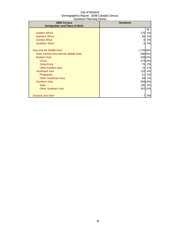| sanamon nammig sisaist<br>2006 Census | <b>Sandwich</b> |         |
|---------------------------------------|-----------------|---------|
| <b>Immigration and Place of Birth</b> |                 |         |
|                                       |                 | %       |
| <b>Eastern Africa</b>                 | 170             | 6%      |
| <b>Northern Africa</b>                | 80              | 3%      |
| <b>Central Africa</b>                 | 0               | 0%      |
| <b>Southern Africa</b>                | $\Omega$        | 0%      |
|                                       |                 |         |
| Asia and the Middle East              | 1,73258%        |         |
| West Central Asia and the Middle East |                 | 580 20% |
| Eastern Asia                          |                 | 438 15% |
| China                                 |                 | 373 13% |
| Hong Kong                             | 70              | 2%      |
| <b>Other Eastern Asia</b>             | 15              | 1%      |
| Southeast Asia                        | 116             | 4%      |
| <b>Philippines</b>                    | 51              | 2%      |
| <b>Other Southeast Asia</b>           | 68              | 2%      |
| <b>Southern Asia</b>                  |                 | 558 19% |
| India                                 |                 | 180 6%  |
| <b>Other Southern Asia</b>            |                 | 38713%  |
|                                       |                 |         |
| Oceania and other                     |                 | 0%      |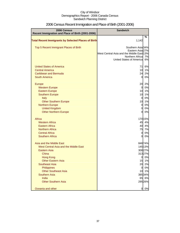| 2006 Census<br>Recent Immigration and Place of Birth (2001-2006) | <b>Sandwich</b>                           |               |
|------------------------------------------------------------------|-------------------------------------------|---------------|
|                                                                  |                                           | %             |
| <b>Total Recent Immigrants by Selected Places of Birth</b>       | 1,142                                     |               |
| Top 5 Recent Immigrant Places of Birth                           | Southern Asia 34%<br>Eastern Asia 27%     |               |
|                                                                  | West Central Asia and the Middle East 13% |               |
|                                                                  | Northern Africa                           | 7%            |
|                                                                  | United States of Americal                 | 6%            |
| <b>United States of America</b>                                  | 71                                        | 6%            |
| <b>Central America</b>                                           | 10                                        | 1%            |
| Caribbean and Bermuda                                            | 24                                        | 2%            |
| <b>South America</b>                                             | $\overline{0}$                            | 0%            |
| Europe                                                           | 20                                        | 2%            |
| <b>Western Europe</b>                                            | $\overline{0}$                            | 0%            |
| <b>Eastern Europe</b>                                            | 10                                        | 1%            |
| <b>Southern Europe</b>                                           | 10                                        | 1%            |
| <b>Italy</b>                                                     | $\overline{0}$                            | 0%            |
| <b>Other Southern Europe</b>                                     | 10                                        | 1%            |
| <b>Northern Europe</b>                                           | $\mathbf 0$                               | 0%            |
| <b>United Kingdom</b>                                            | $\mathbf 0$                               | 0%            |
| <b>Other Northern Europe</b>                                     | $\overline{0}$                            | 0%            |
| Africa                                                           |                                           | 170 15%       |
| <b>Western Africa</b>                                            | 45                                        | 4%            |
| <b>Eastern Africa</b>                                            | 40                                        | 4%            |
| <b>Northern Africa</b>                                           | 75                                        | 7%            |
| <b>Central Africa</b>                                            | $\overline{0}$                            | 0%            |
| <b>Southern Africa</b>                                           | 0                                         | 0%            |
| Asia and the Middle East                                         |                                           | 84874%        |
| West Central Asia and the Middle East                            |                                           | 145 13%       |
| <b>Eastern Asia</b>                                              |                                           | 308 27%       |
| China                                                            |                                           | 31327%        |
| <b>Hong Kong</b>                                                 | 0                                         | 0%            |
| <b>Other Eastern Asia</b>                                        | 15                                        | 1%            |
| <b>Southeast Asia</b>                                            | 20                                        | 2%            |
| Philippines                                                      | $\overline{0}$                            | 0%            |
| <b>Other Southeast Asia</b><br>Southern Asia                     | 10                                        | 1%            |
| India                                                            | 65                                        | 38534%        |
| <b>Other Southern Asia</b>                                       |                                           | 6%<br>295 26% |
|                                                                  |                                           |               |
| Oceania and other                                                | 0                                         | 0%            |

# 2006 Census Recent Immigration and Place of Birth (2001-2006)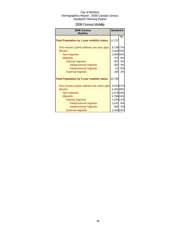# 2006 Census Mobility

| 2006 Census<br><b>Mobility</b>                                                                                                                                                                        |                                                                                          | <b>Sandwich</b>      |
|-------------------------------------------------------------------------------------------------------------------------------------------------------------------------------------------------------|------------------------------------------------------------------------------------------|----------------------|
| <b>Total Population by 1 year mobility status</b>                                                                                                                                                     | 11,372                                                                                   | %                    |
| Non-movers (same address one year ago)<br><b>Movers</b><br>Non-migrants<br><b>Migrants</b><br>Internal migrants<br>Intraprovincial migrants<br>Interprovincial migrants                               | 8,738 77%<br>2,620 23%<br>1,859 16%<br>723<br>407<br>342<br>52                           | 6%<br>4%<br>3%<br>0% |
| <b>External migrants</b><br><b>Total Population by 5 year mobility status</b>                                                                                                                         | 335<br>10,799                                                                            | 3%                   |
| Non-movers (same address five years ago)<br><b>Movers</b><br>Non-migrants<br><b>Migrants</b><br>Internal migrants<br>Intraprovincial migrants<br>Interprovincial migrants<br><b>External migrants</b> | 5,32347%<br>5,44248%<br>2,675 24%<br>2,786 24%<br>1,294 11%<br>1,032<br>266<br>1,434 13% | 9%<br>2%             |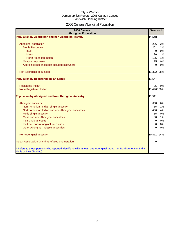# 2006 Census Aboriginal Population

| 2006 Census<br><b>Aboriginal Population</b>                                                                                                    | <b>Sandwich</b> |     |
|------------------------------------------------------------------------------------------------------------------------------------------------|-----------------|-----|
| Population by Aboriginal* and non-Aboriginal Identity                                                                                          | 11,540          |     |
|                                                                                                                                                |                 |     |
| Aboriginal population                                                                                                                          | 206             | 2%  |
| <b>Single Response</b>                                                                                                                         | 201             | 2%  |
| <b>Inuit</b>                                                                                                                                   | $\overline{0}$  | 0%  |
| <b>Metis</b>                                                                                                                                   | 96              | 1%  |
| North American Indian                                                                                                                          | 105             | 1%  |
| Multiple responses                                                                                                                             | 15              | 0%  |
| Aboriginal responses not included elsewhere                                                                                                    | $\Omega$        | 0%  |
| Non-Aboriginal population                                                                                                                      | 11,322          | 98% |
| <b>Population by Registered Indian Status</b>                                                                                                  | 11,547          |     |
| <b>Registered Indian</b>                                                                                                                       | 35              | 0%  |
| Not a Registered Indian                                                                                                                        | 11,496 100%     |     |
| <b>Population by Aboriginal and Non-Aboriginal Ancestry</b>                                                                                    | 11,511          |     |
| Aboriginal ancestry                                                                                                                            | 638             | 6%  |
| North American Indian single ancestry                                                                                                          | 65              | 1%  |
| North American Indian and non-Aboriginal ancestries                                                                                            | 436             | 4%  |
| Métis single ancestry                                                                                                                          | 55              | 0%  |
| Métis and non-Aboriginal ancestries                                                                                                            | 80              | 1%  |
| Inuit single ancestry                                                                                                                          | $\mathbf 0$     | 0%  |
| Inuit and non-Aboriginal ancestries                                                                                                            | $\mathbf 0$     | 0%  |
| Other Aboriginal multiple ancestries                                                                                                           | $\Omega$        | 0%  |
| Non-Aboriginal ancestry                                                                                                                        | 10,871          | 94% |
| Indian Reservation DAs that refused enumeration                                                                                                | 0               |     |
| * Refers to those persons who reported identifying with at least one Aboriginal group, i.e. North American Indian,<br>Métis or Inuit (Eskimo). |                 |     |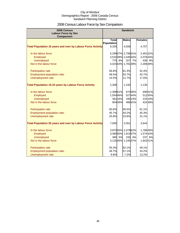# 2006 Census Labour Force by Sex Comparison

| 2006 Census                                                        | <b>Sandwich</b>            |         |                     |         |                |         |
|--------------------------------------------------------------------|----------------------------|---------|---------------------|---------|----------------|---------|
| <b>Labour Force by Sex</b><br>Comparison                           |                            |         |                     |         |                |         |
|                                                                    | <b>Total</b>               |         | <b>Males</b>        |         | <b>Females</b> |         |
| <b>Total Population 15 years and over by Labour Force Activity</b> | <b>Population</b><br>9,335 |         | 4,556               |         | 4,757          |         |
|                                                                    |                            |         |                     |         |                |         |
| In the labour force                                                |                            |         | 5,29957% 2,79561%   |         | 2,491 52%      |         |
| Employed                                                           |                            |         | 4,53249% 2,44554%   |         | 2,078 44%      |         |
| <b>Unemployed</b>                                                  | 770                        | 8%      | 327                 | 7%      | 438            | 9%      |
| Not in the labour force                                            |                            |         | 4,024 43% 1,781 39% |         | 2,268 48%      |         |
| Participation rate                                                 | 56.8%                      |         | 61.3%               |         | 52.4%          |         |
| Employment-population ratio                                        | 48.5%                      |         | 53.7%               |         | 43.7%          |         |
| Unemployment rate                                                  | 14.5%                      |         | 11.7%               |         | 17.6%          |         |
| <b>Total Population 15-24 years by Labour Force Activity</b>       | 2,308                      |         | 1,193               |         | 1,130          |         |
| In the labour force                                                | 1,39961%                   |         |                     | 67456%  |                | 69061%  |
| Employed                                                           | 1,054 46%                  |         |                     | 52744%  |                | 51245%  |
| <b>Unemployed</b>                                                  |                            | 361 16% |                     | 160 13% |                | 215 19% |
| Not in the labour force                                            |                            | 904 39% |                     | 48941%  |                | 424 38% |
| Participation rate                                                 | 60.6%                      |         | 56.5%               |         | 61.1%          |         |
| Employment-population ratio                                        | 45.7%                      |         | 44.2%               |         | 45.3%          |         |
| Unemployment rate                                                  | 25.8%                      |         | 23.8%               |         | 31.1%          |         |
| <b>Total Population 25 years and over by Labour Force Activity</b> | 7,000                      |         | 3,351               |         | 3,644          |         |
| In the labour force                                                |                            |         | 3,870 55% 2,079 62% |         | 1,788 49%      |         |
| Employed                                                           |                            |         | 3,480 50% 1,913 57% |         | 1,574 43%      |         |
| <b>Unemployed</b>                                                  | 380                        | 5%      |                     | 150 4%  | 237            | 6%      |
| Not in the labour force                                            |                            |         | 3,12545% 1,24537%   |         | 1,84251%       |         |
| Participation rate                                                 | 55.3%                      |         | 62.1%               |         | 49.1%          |         |
| <b>Employment-population ratio</b>                                 | 49.7%                      |         | 57.1%               |         | 43.2%          |         |
| Unemployment rate                                                  | 9.8%                       |         | 7.2%                |         | 13.2%          |         |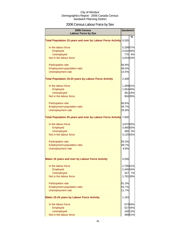# 2006 Census Labour Force by Sex

| 2006 Census<br><b>Labour Force by Sex</b>                          |           | <b>Sandwich</b> |
|--------------------------------------------------------------------|-----------|-----------------|
|                                                                    |           | %               |
| <b>Total Population 15 years and over by Labour Force Activity</b> | 9,335     |                 |
| In the labour force                                                | 5,299 57% |                 |
| Employed                                                           | 4,53249%  |                 |
| <b>Unemployed</b>                                                  |           | 770 8%          |
| Not in the labour force                                            | 4,024 43% |                 |
| Participation rate                                                 | 56.8%     |                 |
| <b>Employment-population ratio</b>                                 | 48.5%     |                 |
| Unemployment rate                                                  | 14.5%     |                 |
| <b>Total Population 15-24 years by Labour Force Activity</b>       | 2,308     |                 |
| In the labour force                                                | 1,39961%  |                 |
| Employed                                                           | 1,054 46% |                 |
| <b>Unemployed</b>                                                  |           | 361 16%         |
| Not in the labour force                                            |           | 904 39%         |
| Participation rate                                                 | 60.6%     |                 |
| <b>Employment-population ratio</b>                                 | 45.7%     |                 |
| Unemployment rate                                                  | 25.8%     |                 |
| <b>Total Population 25 years and over by Labour Force Activity</b> | 7,000     |                 |
| In the labour force                                                | 3,870 55% |                 |
| Employed                                                           | 3,480 50% |                 |
| <b>Unemployed</b>                                                  |           | 380 5%          |
| Not in the labour force                                            | 3,12545%  |                 |
| Participation rate                                                 | 55.3%     |                 |
| <b>Employment-population ratio</b>                                 | 49.7%     |                 |
| Unemployment rate                                                  | 9.8%      |                 |
| Males 15 years and over by Labour Force Activity                   | 4,556     |                 |
| In the labour force                                                | 2,795 61% |                 |
| Employed                                                           | 2,445 54% |                 |
| <b>Unemployed</b>                                                  |           | 327 7%          |
| Not in the labour force                                            | 1,781 39% |                 |
| <b>Participation rate</b>                                          | 61.3%     |                 |
| Employment-population ratio                                        | 53.7%     |                 |
| Unemployment rate                                                  | 11.7%     |                 |
| <b>Males 15-24 years by Labour Force Activity</b>                  | 1,193     |                 |
| In the labour force                                                |           | 67456%          |
| Employed                                                           |           | 52744%          |
| <b>Unemployed</b>                                                  |           | 160 13%         |
| Not in the labour force                                            |           | 48941%          |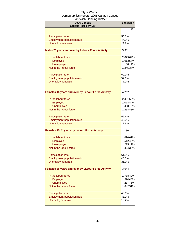| <b>Participation rate</b><br>56.5%<br><b>Employment-population ratio</b><br>44.2%<br>Unemployment rate<br>23.8% | ℅         |
|-----------------------------------------------------------------------------------------------------------------|-----------|
|                                                                                                                 |           |
|                                                                                                                 |           |
|                                                                                                                 |           |
|                                                                                                                 |           |
| Males 25 years and over by Labour Force Activity<br>3,351                                                       |           |
| In the labour force                                                                                             | 2,079 62% |
| Employed                                                                                                        | 1,91357%  |
| <b>Unemployed</b>                                                                                               | 150 4%    |
| Not in the labour force                                                                                         | 1,245 37% |
| 62.1%                                                                                                           |           |
| <b>Participation rate</b><br>Employment-population ratio<br>57.1%                                               |           |
| 7.2%                                                                                                            |           |
| Unemployment rate                                                                                               |           |
| <b>Females 15 years and over by Labour Force Activity</b><br>4,757                                              |           |
| In the labour force                                                                                             | 2,491 52% |
| Employed                                                                                                        | 2,078 44% |
| <b>Unemployed</b>                                                                                               | 438 9%    |
| Not in the labour force                                                                                         | 2,268 48% |
| 52.4%<br>Participation rate                                                                                     |           |
| 43.7%<br><b>Employment-population ratio</b>                                                                     |           |
| Unemployment rate<br>17.6%                                                                                      |           |
| <b>Females 15-24 years by Labour Force Activity</b><br>1,130                                                    |           |
| In the labour force                                                                                             | 69061%    |
| Employed                                                                                                        | 51245%    |
| <b>Unemployed</b>                                                                                               | 215 19%   |
| Not in the labour force                                                                                         | 42438%    |
| 61.1%<br><b>Participation rate</b>                                                                              |           |
| 45.3%<br><b>Employment-population ratio</b>                                                                     |           |
| 31.1%<br>Unemployment rate                                                                                      |           |
| <b>Females 25 years and over by Labour Force Activity</b><br>3,644                                              |           |
| In the labour force                                                                                             | 1,788 49% |
| Employed                                                                                                        | 1,574 43% |
| <b>Unemployed</b><br>237                                                                                        | 6%        |
| Not in the labour force                                                                                         | 1,84251%  |
| 49.1%<br><b>Participation rate</b>                                                                              |           |
| 43.2%<br><b>Employment-population ratio</b>                                                                     |           |
| Unemployment rate<br>13.2%                                                                                      |           |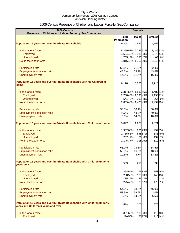# 2006 Census Presence of Children and Labour Force by Sex Comparison

| 2006 Census<br>Presence of Children and Labour Force by Sex Comparison                                          | <b>Sandwich</b>   |         |                   |         |           |
|-----------------------------------------------------------------------------------------------------------------|-------------------|---------|-------------------|---------|-----------|
|                                                                                                                 | <b>Total</b>      |         | <b>Males</b>      |         | Females   |
|                                                                                                                 | <b>Population</b> |         |                   |         |           |
| <b>Population 15 years and over in Private Households</b>                                                       | 9,304             |         | 4,543             |         | 4,752     |
| In the labour force                                                                                             |                   |         | 5,26957% 2,78561% |         | 2,489 52% |
| Employed                                                                                                        |                   |         | 4,52449% 2,41853% |         | 2,073 44% |
| <b>Unemployed</b>                                                                                               |                   | 755 8%  |                   | 327 7%  | 408 9%    |
| Not in the labour force                                                                                         |                   |         | 4,01543% 1,75639% |         | 2,245 47% |
| Participation rate                                                                                              | 56.6%             |         | 61.3%             |         | 52.4%     |
| Employment-population ratio                                                                                     | 48.6%             |         | 53.2%             |         | 43.6%     |
| Unemployment rate                                                                                               | 14.3%             |         | 11.7%             |         | 16.4%     |
| Population 15 years and over in Private Households with No Children at<br><b>Home</b>                           | 6,190             |         | 3,263             |         | 2,918     |
| In the labour force                                                                                             |                   |         | 3,31454% 1,83056% |         | 1,48251%  |
| Employed                                                                                                        |                   |         | 2,76845% 1,59349% |         | 1,19041%  |
| <b>Unemployed</b>                                                                                               |                   | 541 9%  |                   | 261 8%  | 266 9%    |
| Not in the labour force                                                                                         |                   |         | 2,86946% 1,40843% |         | 1,434 49% |
| Participation rate                                                                                              | 53.5%             |         | 56.1%             |         | 50.8%     |
| Employment-population ratio                                                                                     | 44.7%             |         | 48.8%             |         | 40.8%     |
| Unemployment rate                                                                                               | 16.3%             |         | 14.3%             |         | 18.0%     |
| Population 15 years and over in Private Households with Children at Home                                        | 3,097             |         | 1,267             |         | 1,821     |
| In the labour force                                                                                             | 1,952 63%         |         |                   | 926 73% | 994 55%   |
| Employed                                                                                                        | 1,735 56%         |         |                   | 845 67% | 88649%    |
| <b>Unemployed</b>                                                                                               |                   | 207 7%  |                   | 80 6%   | 132 7%    |
| Not in the labour force                                                                                         | 1,145 37%         |         |                   | 315 25% | 81245%    |
| Participation rate                                                                                              | 63.0%             |         | 73.1%             |         | 54.6%     |
| <b>Employment-population ratio</b>                                                                              | 56.0%             |         | 66.7%             |         | 48.6%     |
| Unemployment rate                                                                                               | 10.6%             |         | 8.7%              |         | 13.2%     |
| Population 15 years and over in Private Households with Children under 6<br>years only                          | 559               |         | 210               |         | 333       |
| In the labour force                                                                                             |                   | 358 64% |                   | 17583%  | 15346%    |
| Employed                                                                                                        |                   | 298 53% |                   | 12560%  | 14343%    |
| Unemployed                                                                                                      |                   | 35 6%   |                   | 2512%   | 10 3%     |
| Not in the labour force                                                                                         |                   | 22540%  |                   | 3517%   | 17051%    |
| Participation rate                                                                                              | 64.0%             |         | 83.3%             |         | 46.0%     |
| Employment-population ratio                                                                                     | 53.3%             |         | 59.5%             |         | 43.0%     |
| Unemployment rate                                                                                               | 9.8%              |         | 14.2%             |         | 6.5%      |
| Population 15 years and over in Private Households with Children under 6<br>years and Children 6 years and over | 518               |         | 200               |         | 275       |
| In the labour force                                                                                             |                   | 351 68% |                   | 18593%  | 11040%    |
| Employed                                                                                                        |                   | 290 56% |                   | 17587%  | 120 44%   |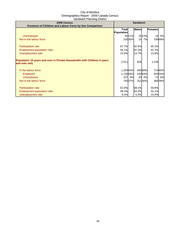| 2006 Census<br>Presence of Children and Labour Force by Sex Comparison                    | <b>Sandwich</b>            |        |              |        |                |        |
|-------------------------------------------------------------------------------------------|----------------------------|--------|--------------|--------|----------------|--------|
|                                                                                           | <b>Total</b><br>Population |        | <b>Males</b> |        | <b>Females</b> |        |
| <b>Unemployed</b>                                                                         |                            | 55 11% |              | 2513%  | 15             | 5%     |
| Not in the labour force                                                                   |                            | 15530% | 15           | 7%     |                | 19069% |
| <b>Participation rate</b>                                                                 | 67.7%                      |        | 92.5%        |        | 40.1%          |        |
| Employment-population ratio                                                               | 56.1%                      |        | 87.3%        |        | 43.7%          |        |
| Unemployment rate                                                                         | 15.8%                      |        | 13.7%        |        | 13.6%          |        |
| Population 15 years and over in Private Households with Children 6 years<br>and over only | 2,011                      |        | 826          |        | 1,193          |        |
| In the labour force                                                                       | 1,264 63%                  |        |              | 56568% |                | 71460% |
| <b>Employed</b>                                                                           | 1,13556%                   |        |              | 53064% |                | 64554% |
| <b>Unemployed</b>                                                                         |                            | 107 5% | 30           | 4%     |                | 72 6%  |
| Not in the labour force                                                                   |                            | 74037% |              | 25130% |                | 46039% |
| <b>Participation rate</b>                                                                 | 62.8%                      |        | 68.4%        |        | 59.8%          |        |
| Employment-population ratio                                                               | 56.4%                      |        | 64.2%        |        | 54.1%          |        |
| Unemployment rate                                                                         | 8.4%                       |        | 5.3%         |        | 10.0%          |        |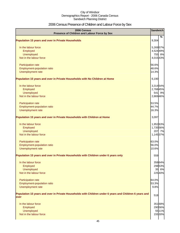# 2006 Census Presence of Children and Labour Force by Sex

| 2006 Census<br>Presence of Children and Labour Force by Sex                                                     | <b>Sandwich</b> |         |
|-----------------------------------------------------------------------------------------------------------------|-----------------|---------|
| <b>Population 15 years and over in Private Households</b>                                                       | 9,304           | %       |
| In the labour force                                                                                             | 5,269 57%       |         |
| Employed                                                                                                        | 4,524 49%       |         |
| <b>Unemployed</b>                                                                                               |                 | 755 8%  |
| Not in the labour force                                                                                         | 4,01543%        |         |
| <b>Participation rate</b>                                                                                       | 56.6%           |         |
| Employment-population ratio                                                                                     | 48.6%           |         |
| Unemployment rate                                                                                               | 14.3%           |         |
| Population 15 years and over in Private Households with No Children at Home                                     | 6,190           |         |
| In the labour force                                                                                             | 3,314 54%       |         |
| Employed                                                                                                        | 2,768 45%       |         |
| Unemployed                                                                                                      |                 | 541 9%  |
| Not in the labour force                                                                                         | 2,869 46%       |         |
| Participation rate                                                                                              | 53.5%           |         |
| Employment-population ratio                                                                                     | 44.7%           |         |
| Unemployment rate                                                                                               | 16.3%           |         |
| Population 15 years and over in Private Households with Children at Home                                        | 3,097           |         |
| In the labour force                                                                                             | 1,952 63%       |         |
| Employed                                                                                                        | 1,735 56%       |         |
| Unemployed                                                                                                      |                 | 207 7%  |
| Not in the labour force                                                                                         | 1,145 37%       |         |
| Participation rate                                                                                              | 63.0%           |         |
| Employment-population ratio                                                                                     | 56.0%           |         |
| Unemployment rate                                                                                               | 10.6%           |         |
| Population 15 years and over in Private Households with Children under 6 years only                             | 559             |         |
| In the labour force                                                                                             |                 | 35864%  |
| Employed                                                                                                        |                 | 29853%  |
| Unemployed                                                                                                      |                 | 35 6%   |
| Not in the labour force                                                                                         |                 | 22540%  |
| Participation rate                                                                                              | 64.0%           |         |
| Employment-population ratio                                                                                     | 53.3%           |         |
| Unemployment rate                                                                                               | 9.8%            |         |
| Population 15 years and over in Private Households with Children under 6 years and Children 6 years and<br>over | 518             |         |
|                                                                                                                 |                 |         |
| In the labour force                                                                                             |                 | 351 68% |
| Employed                                                                                                        |                 | 29056%  |
| Unemployed                                                                                                      |                 | 5511%   |
| Not in the labour force                                                                                         |                 | 15530%  |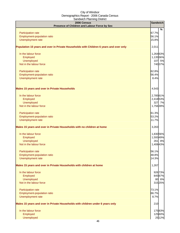| - - - - - - -<br>2006 Census<br>Presence of Children and Labour Force by Sex           | <b>Sandwich</b> |
|----------------------------------------------------------------------------------------|-----------------|
|                                                                                        | %               |
| Participation rate                                                                     | 67.7%           |
| Employment-population ratio                                                            | 56.1%           |
| Unemployment rate                                                                      | 15.8%           |
| Population 15 years and over in Private Households with Children 6 years and over only | 2,011           |
| In the labour force                                                                    | 1,264 63%       |
| Employed                                                                               | 1,135 56%       |
| Unemployed                                                                             | 107 5%          |
| Not in the labour force                                                                | 740 37%         |
| Participation rate                                                                     | 62.8%           |
| Employment-population ratio                                                            | 56.4%           |
| Unemployment rate                                                                      | 8.4%            |
| <b>Males 15 years and over in Private Households</b>                                   | 4,543           |
| In the labour force                                                                    | 2,785 61%       |
| Employed                                                                               | 2,418 53%       |
| Unemployed                                                                             | 327 7%          |
| Not in the labour force                                                                | 1,756 39%       |
| Participation rate                                                                     | 61.3%           |
| Employment-population ratio                                                            | 53.2%           |
| Unemployment rate                                                                      | 11.7%           |
| Males 15 years and over in Private Households with no children at home                 | 3,263           |
| In the labour force                                                                    | 1,830 56%       |
| Employed                                                                               | 1,593 49%       |
| Unemployed                                                                             | 261 8%          |
| Not in the labour force                                                                | 1,408 43%       |
| <b>Participation rate</b>                                                              | 56.1%           |
| <b>Employment-population ratio</b>                                                     | 48.8%           |
| Unemployment rate                                                                      | 14.3%           |
| Males 15 years and over in Private Households with children at home                    | 1,267           |
| In the labour force                                                                    | 926 73%         |
| Employed                                                                               | 845 67%         |
| Unemployed                                                                             | 80 6%           |
| Not in the labour force                                                                | 315 25%         |
| Participation rate                                                                     | 73.1%           |
| Employment-population ratio                                                            | 66.7%           |
| Unemployment rate                                                                      | 8.7%            |
| Males 15 years and over in Private Households with children under 6 years only         | 210             |
| In the labour force                                                                    | 17583%          |
| Employed                                                                               | 12560%          |
| Unemployed                                                                             | 25 1 2%         |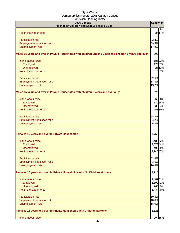|                                                                                                         | $-0.000$<br>2006 Census<br>Presence of Children and Labour Force by Sex | <b>Sandwich</b>       |         |
|---------------------------------------------------------------------------------------------------------|-------------------------------------------------------------------------|-----------------------|---------|
|                                                                                                         |                                                                         |                       | %       |
| Not in the labour force                                                                                 |                                                                         |                       | 35 17%  |
|                                                                                                         |                                                                         |                       |         |
| Participation rate                                                                                      |                                                                         | 83.3%                 |         |
| Employment-population ratio                                                                             |                                                                         | 59.5%                 |         |
| Unemployment rate                                                                                       |                                                                         | 14.2%                 |         |
| Males 15 years and over in Private Households with children under 6 years and children 6 years and over |                                                                         | 200                   |         |
| In the labour force                                                                                     |                                                                         |                       | 18593%  |
| Employed                                                                                                |                                                                         |                       | 17587%  |
| Unemployed                                                                                              |                                                                         |                       | 25 13%  |
| Not in the labour force                                                                                 |                                                                         |                       | 15 7%   |
| Participation rate                                                                                      |                                                                         | 92.5%                 |         |
| Employment-population ratio                                                                             |                                                                         | 87.3%                 |         |
| Unemployment rate                                                                                       |                                                                         | 13.7%                 |         |
|                                                                                                         |                                                                         |                       |         |
| Males 15 years and over in Private Households with children 6 years and over only                       |                                                                         | 826                   |         |
| In the labour force                                                                                     |                                                                         |                       | 56568%  |
| Employed                                                                                                |                                                                         |                       | 53064%  |
| Unemployed                                                                                              |                                                                         |                       | 30 4%   |
| Not in the labour force                                                                                 |                                                                         |                       | 251 30% |
| Participation rate                                                                                      |                                                                         | 68.4%                 |         |
| Employment-population ratio                                                                             |                                                                         | 64.2%                 |         |
| Unemployment rate                                                                                       |                                                                         | 5.3%                  |         |
| Females 15 years and over in Private Households                                                         |                                                                         | 4,752                 |         |
| In the labour force                                                                                     |                                                                         | 2,489 52%             |         |
| Employed                                                                                                |                                                                         | 2,073 44%             |         |
| <b>Unemployed</b>                                                                                       |                                                                         |                       | 408 9%  |
| Not in the labour force                                                                                 |                                                                         | 2.24547%              |         |
| Participation rate                                                                                      |                                                                         | 52.4%                 |         |
| Employment-population ratio                                                                             |                                                                         | 43.6%                 |         |
| Unemployment rate                                                                                       |                                                                         | 16.4%                 |         |
| Females 15 years and over in Private Households with No Children at Home                                |                                                                         | 2,918                 |         |
|                                                                                                         |                                                                         |                       |         |
| In the labour force<br>Employed                                                                         |                                                                         | 1,482 51%<br>1,19041% |         |
| Unemployed                                                                                              |                                                                         |                       | 266 9%  |
| Not in the labour force                                                                                 |                                                                         | 1,434 49%             |         |
|                                                                                                         |                                                                         |                       |         |
| Participation rate                                                                                      |                                                                         | 50.8%                 |         |
| Employment-population ratio                                                                             |                                                                         | 40.8%                 |         |
| Unemployment rate                                                                                       |                                                                         | 18.0%                 |         |
| Females 15 years and over in Private Households with Children at Home                                   |                                                                         | 1,821                 |         |
| In the labour force                                                                                     |                                                                         |                       | 99455%  |
|                                                                                                         | 17                                                                      |                       |         |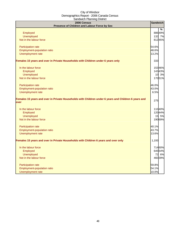| 2006 Census<br>Presence of Children and Labour Force by Sex                                                  | <b>Sandwich</b> |
|--------------------------------------------------------------------------------------------------------------|-----------------|
|                                                                                                              | $\frac{9}{6}$   |
| Employed                                                                                                     | 88649%          |
| Unemployed                                                                                                   | 132 7%          |
| Not in the labour force                                                                                      | 81245%          |
| Participation rate                                                                                           | 54.6%           |
| Employment-population ratio                                                                                  | 48.6%           |
| Unemployment rate                                                                                            | 13.2%           |
| Females 15 years and over in Private Households with Children under 6 years only                             | 333             |
| In the labour force                                                                                          | 15346%          |
| Employed                                                                                                     | 14343%          |
| <b>Unemployed</b>                                                                                            | 10 3%           |
| Not in the labour force                                                                                      | 17051%          |
| Participation rate                                                                                           | 46.0%           |
| Employment-population ratio                                                                                  | 43.0%           |
| Unemployment rate                                                                                            | 6.5%            |
| Females 15 years and over in Private Households with Children under 6 years and Children 6 years and<br>over | 275             |
| In the labour force                                                                                          | 110 40%         |
| Employed                                                                                                     | 12044%          |
| <b>Unemployed</b>                                                                                            | 15 5%           |
| Not in the labour force                                                                                      | 19069%          |
| Participation rate                                                                                           | 40.1%           |
| Employment-population ratio                                                                                  | 43.7%           |
| Unemployment rate                                                                                            | 13.6%           |
| Females 15 years and over in Private Households with Children 6 years and over only                          | 1,193           |
| In the labour force                                                                                          | 71460%          |
| Employed                                                                                                     | 645 54%         |
| <b>Unemployed</b>                                                                                            | 72 6%           |
| Not in the labour force                                                                                      | 460 39%         |
| Participation rate                                                                                           | 59.8%           |
| Employment-population ratio                                                                                  | 54.1%           |
| Unemployment rate                                                                                            | 10.0%           |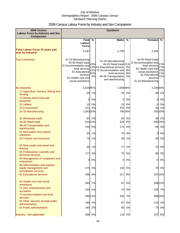# 2006 Census Labour Force by Industry and Sex Comparison

| 2006 Census<br><b>Labour Force by Industry and Sex</b><br><b>Comparison</b> |                                                                                                                                                             |                  | <b>Sandwich</b>                                                                                                                                                      |                      |                                                                                                                                                             |                                 |
|-----------------------------------------------------------------------------|-------------------------------------------------------------------------------------------------------------------------------------------------------------|------------------|----------------------------------------------------------------------------------------------------------------------------------------------------------------------|----------------------|-------------------------------------------------------------------------------------------------------------------------------------------------------------|---------------------------------|
|                                                                             | Total $\overline{\%}$                                                                                                                                       |                  | <b>Males</b>                                                                                                                                                         | $\frac{0}{0}$        | <b>Females</b>                                                                                                                                              | %                               |
|                                                                             | Labour<br>Force                                                                                                                                             |                  |                                                                                                                                                                      |                      |                                                                                                                                                             |                                 |
| <b>Total Labour Force 15 years and</b><br>over by Industry*                 | 5,287                                                                                                                                                       |                  | 2,790                                                                                                                                                                |                      | 2,491                                                                                                                                                       |                                 |
| <b>Top 5 Industries</b>                                                     | 31-33 Manufacturing<br>44-45 Retail trade<br>72 Accommodation and<br>food services<br>61 Educational<br>services<br>62 Health care and<br>social assistance | 22%<br>10%<br>8% | 31-33 Manufacturing<br>44-45 Retail trade 31%<br>13% 61 Educational services<br>12% 72 Accommodation and<br>food services<br>48-49 Transportation<br>and warehousing | 9%<br>8%<br>8%<br>7% | 44-45 Retail trade<br>72 Accommodation and<br>food services<br>62 Health care and<br>social assistance<br>61 Educational<br>services<br>31-33 Manufacturing | 17%<br>17%<br>13%<br>11%<br>11% |
| <b>All industries</b>                                                       | 5,02695%                                                                                                                                                    |                  | 2,668 96%                                                                                                                                                            |                      | 2,33694%                                                                                                                                                    |                                 |
| 11 Agriculture, forestry, fishing and<br>hunting                            |                                                                                                                                                             | 65 1%            | 45                                                                                                                                                                   | 2%                   | 40                                                                                                                                                          | 2%                              |
| 21 Mining and oil and gas<br>extraction                                     | $\overline{0}$                                                                                                                                              | 0%               | $\overline{0}$                                                                                                                                                       | 0%                   | 0                                                                                                                                                           | 0%                              |
| <b>22 Utilities</b>                                                         | 10                                                                                                                                                          | 0%               | 10                                                                                                                                                                   | 0%                   | 0                                                                                                                                                           | 0%                              |
| 23 Construction                                                             | <b>211</b>                                                                                                                                                  | 4%               | 155                                                                                                                                                                  | 6%                   | 20                                                                                                                                                          | 1%                              |
| 31-33 Manufacturing                                                         | 1,063 20%                                                                                                                                                   |                  |                                                                                                                                                                      | 790 28%              |                                                                                                                                                             | 253 10%                         |
| 41 Wholesale trade<br>44-45 Retail trade                                    |                                                                                                                                                             | 93 2%<br>614 12% | 85<br>229                                                                                                                                                            | 3%<br>8%             |                                                                                                                                                             | 38 2%<br>400 16%                |
| 48-49 Transportation and<br>warehousing                                     |                                                                                                                                                             | 244 5%           | 175                                                                                                                                                                  | 6%                   | 66                                                                                                                                                          | 3%                              |
| 51 Information and cultural<br>industries                                   | 50                                                                                                                                                          | 1%               | 70                                                                                                                                                                   | 3%                   | 0                                                                                                                                                           | 0%                              |
| 52 Finance and insurance                                                    |                                                                                                                                                             | 70 1%            | 30                                                                                                                                                                   | 1%                   | 55                                                                                                                                                          | 2%                              |
| 53 Real estate and rental and<br>leasing                                    | 40                                                                                                                                                          | 1%               | 17                                                                                                                                                                   | 1%                   | 10                                                                                                                                                          | 0%                              |
| 54 Professional, scientific and<br>technical services                       | 177                                                                                                                                                         | 3%               | 75                                                                                                                                                                   | 3%                   | 80                                                                                                                                                          | 3%                              |
| 55 Management of companies and<br>enterprises                               |                                                                                                                                                             | 0 0%             | 0I                                                                                                                                                                   | 0%                   | $\overline{0}$                                                                                                                                              | 0%                              |
| 56 Administrative and support,<br>waste management and                      | 175                                                                                                                                                         | 3%               | 140                                                                                                                                                                  | 5%                   | 70                                                                                                                                                          | 3%                              |
| remediation services<br>61 Educational services                             |                                                                                                                                                             | 498 9%           | 217                                                                                                                                                                  | 8%                   |                                                                                                                                                             | 257 10%                         |
| 62 Health care and social<br>assistance                                     |                                                                                                                                                             | 383 7%           | 87                                                                                                                                                                   | 3%                   |                                                                                                                                                             | 30612%                          |
| 71 Arts, entertainment and<br>recreation                                    |                                                                                                                                                             | 230 4%           | 75                                                                                                                                                                   | 3%                   |                                                                                                                                                             | 185 7%                          |
| 72 Accommodation and food<br>services                                       |                                                                                                                                                             | 58511%           | 204                                                                                                                                                                  | 7%                   |                                                                                                                                                             | 396 16%                         |
| 81 Other services (except public                                            |                                                                                                                                                             | 190 4%           | 87                                                                                                                                                                   | 3%                   | 110                                                                                                                                                         | 4%                              |
| administration)<br>91 Public administration                                 |                                                                                                                                                             | 160 3%           | 60                                                                                                                                                                   | 2%                   | 75                                                                                                                                                          | 3%                              |
| Industry - Not applicable                                                   |                                                                                                                                                             | 266 5%           |                                                                                                                                                                      | 115 4%               |                                                                                                                                                             | 157 6%                          |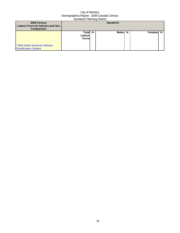| 2006 Census<br>Labour Force by Industry and Sex<br><b>Comparison</b> |                                    |  | <b>Sandwich</b> |   |           |  |
|----------------------------------------------------------------------|------------------------------------|--|-----------------|---|-----------|--|
| * 2002 North American Industry<br><b>Classification System</b>       | Total %<br>Labourl<br><b>Force</b> |  | Malesl          | % | Females % |  |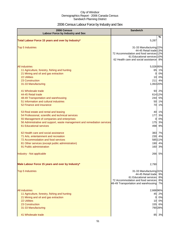# 2006 Census Labour Force by Industry and Sex

| 2006 Census<br><b>Labour Force by Industry and Sex</b>                         | <b>Sandwich</b>                                                                                                                                                       |
|--------------------------------------------------------------------------------|-----------------------------------------------------------------------------------------------------------------------------------------------------------------------|
| Total Labour Force 15 years and over by Industry*                              | ℅<br>5,287                                                                                                                                                            |
| <b>Top 5 Industries</b>                                                        | 31-33 Manufacturing 22%<br>44-45 Retail trade 13%<br>72 Accommodation and food services 12%<br>61 Educational services 10%<br>62 Health care and social assistance 8% |
| <b>All industries</b>                                                          | 5,02695%                                                                                                                                                              |
| 11 Agriculture, forestry, fishing and hunting                                  | 65 1%                                                                                                                                                                 |
| 21 Mining and oil and gas extraction                                           | 0%<br>O                                                                                                                                                               |
| <b>22 Utilities</b>                                                            | 10 0%                                                                                                                                                                 |
| 23 Construction                                                                | 4%<br>211<br>1,063 20%                                                                                                                                                |
| 31-33 Manufacturing                                                            |                                                                                                                                                                       |
| 41 Wholesale trade                                                             | 93 2%                                                                                                                                                                 |
| 44-45 Retail trade                                                             | 614 12%                                                                                                                                                               |
| 48-49 Transportation and warehousing<br>51 Information and cultural industries | 244 5%                                                                                                                                                                |
| 52 Finance and insurance                                                       | 50 1%<br>70 1%                                                                                                                                                        |
|                                                                                |                                                                                                                                                                       |
| 53 Real estate and rental and leasing                                          | 1%<br>40                                                                                                                                                              |
| 54 Professional, scientific and technical services                             | 177<br>3%                                                                                                                                                             |
| 55 Management of companies and enterprises                                     | 0%<br>O                                                                                                                                                               |
| 56 Administrative and support, waste management and remediation services       | 175 3%                                                                                                                                                                |
| 61 Educational services                                                        | 498<br>9%                                                                                                                                                             |
| 62 Health care and social assistance                                           | 383<br>7%                                                                                                                                                             |
| 71 Arts, entertainment and recreation                                          | 230<br>4%                                                                                                                                                             |
| 72 Accommodation and food services                                             | 585 11%                                                                                                                                                               |
| 81 Other services (except public administration)                               | 190<br>4%                                                                                                                                                             |
| 91 Public administration                                                       | 160<br>3%                                                                                                                                                             |
| Industry - Not applicable                                                      | 266 5%                                                                                                                                                                |
| Male Labour Force 15 years and over by Industry*                               | 2,790                                                                                                                                                                 |
|                                                                                |                                                                                                                                                                       |
| <b>Top 5 Industries</b>                                                        | 31-33 Manufacturing 31%                                                                                                                                               |
|                                                                                | 44-45 Retail trade 9%<br>61 Educational services                                                                                                                      |
|                                                                                | 8%<br>72 Accommodation and food services<br>8%                                                                                                                        |
|                                                                                | 48-49 Transportation and warehousing<br>7%                                                                                                                            |
| <b>All industries</b>                                                          | 2,66896%                                                                                                                                                              |
| 11 Agriculture, forestry, fishing and hunting                                  | 45 2%                                                                                                                                                                 |
| 21 Mining and oil and gas extraction                                           | 0%<br>$\overline{0}$                                                                                                                                                  |
| <b>22 Utilities</b>                                                            | 10 0%                                                                                                                                                                 |
| 23 Construction                                                                | 155 6%                                                                                                                                                                |
| 31-33 Manufacturing                                                            | 790 28%                                                                                                                                                               |
| 41 Wholesale trade                                                             | 85 3%                                                                                                                                                                 |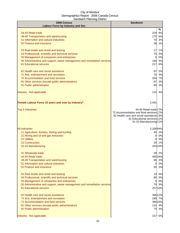| 2006 Census<br>Labour Force by Industry and Sex                                                     | <b>Sandwich</b>                                                         |
|-----------------------------------------------------------------------------------------------------|-------------------------------------------------------------------------|
|                                                                                                     | %                                                                       |
| 44-45 Retail trade                                                                                  | 229<br>8%                                                               |
| 48-49 Transportation and warehousing                                                                | 6%<br>175                                                               |
| 51 Information and cultural industries<br>52 Finance and insurance                                  | 70<br>3%<br>30 1%                                                       |
|                                                                                                     |                                                                         |
| 53 Real estate and rental and leasing                                                               | 17<br>1%                                                                |
| 54 Professional, scientific and technical services                                                  | 75<br>3%                                                                |
| 55 Management of companies and enterprises                                                          | 0%<br>$\mathbf{0}$                                                      |
| 56 Administrative and support, waste management and remediation services<br>61 Educational services | 140 5%<br>217<br>8%                                                     |
|                                                                                                     |                                                                         |
| 62 Health care and social assistance                                                                | 87<br>3%                                                                |
| 71 Arts, entertainment and recreation                                                               | 75<br>3%                                                                |
| 72 Accommodation and food services                                                                  | 204 7%                                                                  |
| 81 Other services (except public administration)<br>91 Public administration                        | 3%<br>87<br>60<br>2%                                                    |
|                                                                                                     |                                                                         |
| Industry - Not applicable                                                                           | 115<br>4%                                                               |
|                                                                                                     |                                                                         |
|                                                                                                     |                                                                         |
| Female Labour Force 15 years and over by Industry*                                                  | 2,491                                                                   |
| <b>Top 5 Industries</b>                                                                             | 44-45 Retail trade 17%                                                  |
|                                                                                                     | 72 Accommodation and food services 17%                                  |
|                                                                                                     | 62 Health care and social assistance 13%<br>61 Educational services 11% |
|                                                                                                     | 31-33 Manufacturing 11%                                                 |
|                                                                                                     |                                                                         |
| <b>All industries</b><br>11 Agriculture, forestry, fishing and hunting                              | 2,33694%<br>40<br>2%                                                    |
| 21 Mining and oil and gas extraction                                                                | 0%<br>0                                                                 |
| <b>22 Utilities</b>                                                                                 | 0%<br>01                                                                |
| 23 Construction                                                                                     | 1%<br>20                                                                |
| 31-33 Manufacturing                                                                                 | 253 10%                                                                 |
| 41 Wholesale trade                                                                                  | 38 2%                                                                   |
| 44-45 Retail trade                                                                                  | 400 16%                                                                 |
| 48-49 Transportation and warehousing                                                                | 66 3%                                                                   |
| 51 Information and cultural industries                                                              | 0%<br>$\mathbf{0}$                                                      |
| 52 Finance and insurance                                                                            | 55<br>2%                                                                |
| 53 Real estate and rental and leasing                                                               | 10<br>0%                                                                |
| 54 Professional, scientific and technical services                                                  | 80 3%                                                                   |
| 55 Management of companies and enterprises                                                          | 0 0%                                                                    |
| 56 Administrative and support, waste management and remediation services                            | 70 3%                                                                   |
| 61 Educational services                                                                             | 25710%                                                                  |
| 62 Health care and social assistance                                                                | 30612%                                                                  |
| 71 Arts, entertainment and recreation                                                               | 185 7%                                                                  |
| 72 Accommodation and food services                                                                  | 396 16%                                                                 |
| 81 Other services (except public administration)<br>91 Public administration                        | 110 4%<br>75<br>3%                                                      |
|                                                                                                     |                                                                         |
| Industry - Not applicable                                                                           | 157<br>6%                                                               |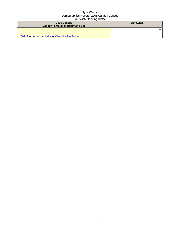| 2006 Census                                          | <b>Sandwich</b> |   |
|------------------------------------------------------|-----------------|---|
| Labour Force by Industry and Sex                     |                 |   |
|                                                      |                 | % |
|                                                      |                 |   |
| * 2002 North American Industry Classification System |                 |   |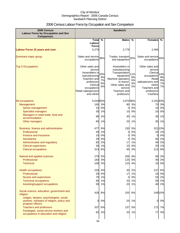# 2006 Census Labour Force by Occupation and Sex Comparison

| 2006 Census<br><b>Labour Force by Occupation and Sex</b><br><b>Comparison</b>        | <b>Sandwich</b>                      |               |                                        |          |                                      |          |
|--------------------------------------------------------------------------------------|--------------------------------------|---------------|----------------------------------------|----------|--------------------------------------|----------|
|                                                                                      | <b>Total</b>                         | $\frac{0}{0}$ | <b>Males</b>                           | %        | Females                              | %        |
|                                                                                      | Labour                               |               |                                        |          |                                      |          |
|                                                                                      | <b>Force</b>                         |               |                                        |          |                                      |          |
| <b>Labour Force 15 years and over</b>                                                | 5,279                                |               | 2,778                                  |          | 2,494                                |          |
| Dominant major group                                                                 | Sales and service 38%<br>occupations |               | Trades, transport 35%<br>and equipment |          | Sales and service 50%<br>occupations |          |
|                                                                                      |                                      |               |                                        |          |                                      |          |
| <b>Top 5 Occupations</b>                                                             | Other sales and                      |               | Assemblers in                          |          | Other sales and                      |          |
|                                                                                      | service                              |               | manufacturing                          |          | service                              |          |
|                                                                                      | Assemblers in<br>manufacturing       | 10%           | Transportation<br>equipment            | 11%      | Clerical<br>occupations              | 14%      |
|                                                                                      | Teachers and                         | 8%            | Machine operators                      | 8%       | Retail                               | 9%       |
|                                                                                      | professors                           | 7%            | in manuf.                              | 6%       | salespersons and                     | 9%       |
|                                                                                      | Clerical                             | 6%<br>6%      | Other sales and                        | 6%<br>5% | clerks                               | 7%<br>7% |
|                                                                                      | occupations                          |               | service                                |          | Teachers and                         |          |
|                                                                                      | Retail salespersons<br>and clerks    |               | Teachers and                           |          | professors<br>Cashiers               |          |
|                                                                                      |                                      |               | professors                             |          |                                      |          |
| All occupations                                                                      | 5,034 95%                            |               | 2,67096%                               |          | 2,33193%                             |          |
| Management                                                                           | 165                                  | 3%            | 80                                     | 3%       |                                      | 70 3%    |
| Senior management                                                                    | 10                                   | 0%            | 0                                      | 0%       | 10                                   | 0%       |
| <b>Specialist managers</b>                                                           | 30                                   | 1%            | 10                                     | 0%       | 10                                   | 0%       |
| Managers in retail trade, food and<br>accommodation                                  | 80                                   | 2%            | 40                                     | 1%       | 30                                   | 1%       |
| Other managers                                                                       | 65                                   | 1%            | 20                                     | 1%       | 30                                   | 1%       |
| Business, finance and administrative                                                 | 477                                  | 9%            | 130                                    | 5%       |                                      | 321 13%  |
| Professional                                                                         | 40                                   | 1%            | 0                                      | 0%       | 20                                   | 1%       |
| <b>Finance and insurance</b>                                                         | 10                                   | 0%            | 0                                      | 0%       | 0                                    | 0%       |
| <b>Secretaries</b>                                                                   | 20                                   | 0%            | 0                                      | 0%       | 50                                   | 2%       |
| Administrative and regulatory                                                        | 82                                   | 2%            | 17                                     | 1%       | 40                                   | 2%       |
| <b>Clerical supervisors</b>                                                          | 30                                   | 1%            | 10                                     | 0%       | 20                                   | 1%       |
| <b>Clerical occupations</b>                                                          | 313                                  | 6%            | 95                                     | 3%       | 213                                  | 9%       |
| Natural and applied sciences                                                         | 279                                  | 5%            | 256                                    | 9%       | 60                                   | 2%       |
| Professional                                                                         | 1831                                 | 3%            | 125                                    | 5%       | 40.                                  | 2%       |
| <b>Technical</b>                                                                     | 108                                  | 2%            | 123                                    | 4%       | 10                                   | 0%       |
| <b>Health occupations</b>                                                            |                                      | 234 4%        | 45                                     | 2%       | 147                                  | 6%       |
| Professional                                                                         | 20                                   | 0%            | 17                                     | 1%       | 10                                   | 0%       |
| Nurses and supervisors                                                               | 70                                   | 1%            | 0                                      | 0%       | 53                                   | 2%       |
| <b>Technical occupations</b>                                                         | 65                                   | 1%            | 20                                     | 1%       | 50                                   | 2%       |
| Assisting/support occupations                                                        | 50                                   | 1%            | 20                                     | 1%       | 40                                   | 2%       |
| Social science, education, government and<br>religion                                | 426                                  | 8%            | 155                                    | 6%       |                                      | 249 10%  |
| Judges, lawyers, psychologists, social<br>workers, ministers of religion, policy and | 0                                    | 0%            | 20                                     | 1%       | 0                                    | 0%       |
| program officers<br><b>Teachers and professors</b>                                   | 337                                  | 6%            | 137                                    | 5%       | 172                                  | 7%       |
| Paralegals, social service workers and                                               |                                      |               |                                        |          |                                      |          |
| occupations in education and religion                                                | 82                                   | 2%            |                                        | 20 1%    | 77                                   | 3%       |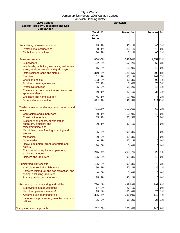| 2006 Census<br><b>Labour Force by Occupation and Sex</b><br>Comparison                                |                                        |                | <b>Sandwich</b> |                |                |                |
|-------------------------------------------------------------------------------------------------------|----------------------------------------|----------------|-----------------|----------------|----------------|----------------|
|                                                                                                       | <b>Total</b><br>Labour<br><b>Force</b> | %              | <b>Males</b>    | %              | Females        | %              |
| Art, culture, recreation and sport<br><b>Professional occupations</b><br><b>Technical occupations</b> | 115<br>30<br>80                        | 2%<br>1%<br>2% | 40<br>30<br>15  | 1%<br>1%<br>1% | 80<br>10<br>60 | 3%<br>0%<br>2% |
| Sales and service                                                                                     | 1,608 30%                              |                |                 | 547 20%        | 1,051 42%      |                |
| <b>Supervisors</b><br>Wholesale, technical, insurance, real estate                                    | 122<br>15                              | 2%<br>0%       | 57<br>10        | 2%<br>0%       | 65<br>10       | 3%<br>0%       |
| sales, retail, wholesale and grain buyers<br>Retail salespersons and clerks                           | 310                                    | 6%             | 125             | 5%             | 200            | 8%             |
| <b>Cashiers</b><br>Chefs and cooks                                                                    | 162<br>183                             | 3%<br>3%       | 20<br>80        | 1%<br>3%       | 168<br>90      | 7%<br>4%       |
| Food and beverage service                                                                             | 87                                     | 2%             | 10              | 0%             | 75             | 3%             |
| <b>Protective services</b><br>Travel and accommodation, recreation and                                | 85                                     | 2%             | 65              | 2%             | 15             | 1%             |
| sport attendants                                                                                      | 50                                     | 1%             | 20              | 1%             | 35             | 1%             |
| Childcare and home support<br>Other sales and service                                                 | 45<br>472                              | 1%<br>9%       | 10<br>147       | 0%<br>5%       | 75             | 3%<br>323 13%  |
| Trades, transport and equipment operators and<br>related                                              |                                        | 781 15%        |                 | 710 26%        | 60             | 2%             |
| Contractors and supervisors                                                                           | 50                                     | 1%             | 10 <sup>1</sup> | 0%             | 10             | 0%             |
| <b>Construction trades</b><br>Stationary engineers, power station                                     | 85                                     | 2%             | 95              | 3%             | 10             | 0%             |
| operators, electrical and<br>telecommunications                                                       | 30                                     | 1%             | 30              | 1%             | $\mathbf{0}$   | 0%             |
| Machinists, metal forming, shaping and<br>erecting                                                    | 95                                     | 2%             | 95              | 3%             | $\overline{0}$ | 0%             |
| <b>Mechanics</b>                                                                                      | 90                                     | 2%             | 83              | 3%             | 01             | 0%             |
| Other trades<br>Heavy equipment, crane operators and                                                  | 40                                     | 1%             | 20              | 1%             | Ol             | 0%             |
| drillers                                                                                              | 20                                     | 0%             | 10              | 0%             | οI             | 0%             |
| Transportation equipment operators,<br>excluding labourers                                            |                                        | 215 4%         |                 | 208 7%         |                | 20 1%          |
| <b>Helpers and labourers</b>                                                                          | 125                                    | 2%             | 95              | 3%             | 10             | 0%             |
| Primary industry-specific                                                                             | 135                                    | 3%             | 90              | 3%             | 70             | 3%             |
| Agriculture excluding labourers<br>Forestry, mining, oil and gas extraction, and                      | 90                                     | 2%             | 52              | 2%             | 35             | 1%             |
| fishing, excluding labourers                                                                          | 0                                      | 0%             | 0               | 0%             | $\overline{0}$ | $0\%$          |
| Primary production labourers                                                                          | 85                                     | 2%             | 45              | 2%             | 10             | 0%             |
| Processing, manufacturing and utilities                                                               |                                        | 720 14%        |                 | 499 18%        | 191            | 8%             |
| Supervisors in manufacturing                                                                          | 17                                     | 0%             | 27              | 1%             | 0              | 0%             |
| Machine operators in manuf.<br>Assemblers in manufacturing                                            | 185<br>385                             | 4%<br>7%       | 160             | 6%<br>288 10%  | 70<br>110      | 3%<br>4%       |
| Labourers in processing, manufacturing and<br>utilities                                               | 85                                     | 2%             | 65              | 2%             | 25             | 1%             |
| Occupation - Not applicable                                                                           | 262                                    | 5%             | 125             | 4%             | 140            | 6%             |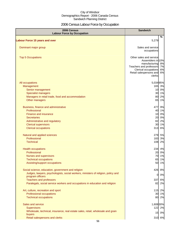# 2006 Census Labour Force by Occupation

| 2006 Census<br><b>Labour Force by Occupation</b>                                                      | <b>Sandwich</b>                       |    |
|-------------------------------------------------------------------------------------------------------|---------------------------------------|----|
| <b>Labour Force 15 years and over</b>                                                                 | 5,279                                 | %  |
|                                                                                                       |                                       |    |
| Dominant major group                                                                                  | Sales and service<br>occupations      |    |
| <b>Top 5 Occupations</b>                                                                              | Other sales and service               |    |
|                                                                                                       | Assemblers in 10%<br>manufacturing 8% |    |
|                                                                                                       | Teachers and professors 7%            |    |
|                                                                                                       | Clerical occupations                  | 6% |
|                                                                                                       | Retail salespersons and<br>clerks     | 6% |
| All occupations                                                                                       | 5,034 95%                             |    |
| Management                                                                                            | 165 3%                                |    |
| Senior management                                                                                     | 10 0%                                 |    |
| <b>Specialist managers</b>                                                                            | 30 1%                                 |    |
| Managers in retail trade, food and accommodation                                                      | 80                                    | 2% |
| Other managers                                                                                        | 65                                    | 1% |
| Business, finance and administrative                                                                  | 477                                   | 9% |
| Professional                                                                                          | 40 1%                                 |    |
| <b>Finance and insurance</b>                                                                          | 10 0%                                 |    |
| <b>Secretaries</b>                                                                                    | 20 0%                                 |    |
| Administrative and regulatory                                                                         | 82<br>30 1%                           | 2% |
| <b>Clerical supervisors</b><br><b>Clerical occupations</b>                                            | 313                                   | 6% |
| Natural and applied sciences                                                                          | 279 5%                                |    |
| Professional                                                                                          | 183 3%                                |    |
| <b>Technical</b>                                                                                      | 108 2%                                |    |
| <b>Health occupations</b>                                                                             | 234 4%                                |    |
| Professional                                                                                          | 20 0%                                 |    |
| Nurses and supervisors                                                                                | 70 1%                                 |    |
| <b>Technical occupations</b>                                                                          | 65                                    | 1% |
| Assisting/support occupations                                                                         | 50 1%                                 |    |
| Social science, education, government and religion                                                    | 426 8%                                |    |
| Judges, lawyers, psychologists, social workers, ministers of religion, policy and<br>program officers | $\mathbf{0}$                          | 0% |
| <b>Teachers and professors</b>                                                                        | 337                                   | 6% |
| Paralegals, social service workers and occupations in education and religion                          | 82                                    | 2% |
| Art, culture, recreation and sport                                                                    | $115$                                 | 2% |
| Professional occupations                                                                              | 30 1%                                 |    |
| <b>Technical occupations</b>                                                                          | 80 2%                                 |    |
| Sales and service                                                                                     | 1,608 30%                             |    |
| <b>Supervisors</b>                                                                                    | 122 2%                                |    |
| Wholesale, technical, insurance, real estate sales, retail, wholesale and grain<br>buyers             | 15 0%                                 |    |
| Retail salespersons and clerks                                                                        | 310 6%                                |    |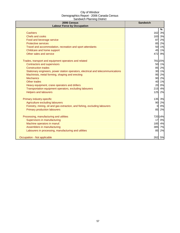| 2006 Census<br><b>Labour Force by Occupation</b>                                 | <b>Sandwich</b> |
|----------------------------------------------------------------------------------|-----------------|
|                                                                                  | %               |
| <b>Cashiers</b>                                                                  | 162<br>3%       |
| <b>Chefs and cooks</b>                                                           | 3%<br>183       |
| Food and beverage service                                                        | 87<br>2%        |
| <b>Protective services</b>                                                       | 85<br>2%        |
| Travel and accommodation, recreation and sport attendants                        | 50<br>1%        |
| Childcare and home support                                                       | 45<br>1%        |
| Other sales and service                                                          | 472<br>9%       |
| Trades, transport and equipment operators and related                            | 781 15%         |
| <b>Contractors and supervisors</b>                                               | 50<br>1%        |
| <b>Construction trades</b>                                                       | 85<br>2%        |
| Stationary engineers, power station operators, electrical and telecommunications | 30 1%           |
| Machinists, metal forming, shaping and erecting                                  | 2%<br>95        |
| <b>Mechanics</b>                                                                 | 90<br>2%        |
| Other trades                                                                     | 1%<br>40        |
| Heavy equipment, crane operators and drillers                                    | 20<br>0%        |
| Transportation equipment operators, excluding labourers                          | 215<br>4%       |
| <b>Helpers and labourers</b>                                                     | 125<br>2%       |
| Primary industry-specific                                                        | 135<br>3%       |
| Agriculture excluding labourers                                                  | 90<br>2%        |
| Forestry, mining, oil and gas extraction, and fishing, excluding labourers       | 0%<br>$\Omega$  |
| <b>Primary production labourers</b>                                              | 85<br>2%        |
| Processing, manufacturing and utilities                                          | 72014%          |
| Supervisors in manufacturing                                                     | 0%<br>17        |
| Machine operators in manuf.                                                      | 185<br>4%       |
| Assemblers in manufacturing                                                      | 385<br>7%       |
| Labourers in processing, manufacturing and utilities                             | 85<br>2%        |
| Occupation - Not applicable                                                      | 262<br>5%       |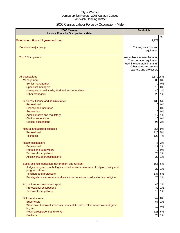# 2006 Census Labour Force by Occupation - Male

| 2006 Census<br><b>Labour Force by Occupation - Male</b>                                               | <b>Sandwich</b>                                                                                                                              |    |
|-------------------------------------------------------------------------------------------------------|----------------------------------------------------------------------------------------------------------------------------------------------|----|
| <b>Male Labour Force 15 years and over</b>                                                            | 2,778                                                                                                                                        | %  |
|                                                                                                       |                                                                                                                                              |    |
| Dominant major group                                                                                  | Trades, transport and<br>equipment                                                                                                           |    |
| <b>Top 5 Occupations</b>                                                                              | Assemblers in manufacturing<br>Transportation equipment<br>Machine operators in manuf.<br>Other sales and service<br>Teachers and professors |    |
| All occupations                                                                                       | 2,670 96%                                                                                                                                    |    |
| Management                                                                                            | 80 3%                                                                                                                                        |    |
| Senior management                                                                                     | $\overline{0}$                                                                                                                               | 0% |
| <b>Specialist managers</b>                                                                            | 10 0%                                                                                                                                        |    |
| Managers in retail trade, food and accommodation                                                      | 40                                                                                                                                           | 1% |
| Other managers                                                                                        | 20                                                                                                                                           | 1% |
| Business, finance and administrative                                                                  | 130                                                                                                                                          | 5% |
| Professional                                                                                          | $\overline{0}$                                                                                                                               | 0% |
| Finance and insurance                                                                                 | 0                                                                                                                                            | 0% |
| <b>Secretaries</b>                                                                                    | 0                                                                                                                                            | 0% |
| Administrative and regulatory                                                                         | 17                                                                                                                                           | 1% |
| <b>Clerical supervisors</b>                                                                           | 10                                                                                                                                           | 0% |
| <b>Clerical occupations</b>                                                                           | 95                                                                                                                                           | 3% |
| Natural and applied sciences                                                                          | 256 9%                                                                                                                                       |    |
| Professional                                                                                          | 125                                                                                                                                          | 5% |
| <b>Technical</b>                                                                                      | 123                                                                                                                                          | 4% |
| <b>Health occupations</b>                                                                             | 45                                                                                                                                           | 2% |
| Professional                                                                                          | 17                                                                                                                                           | 1% |
| <b>Nurses and supervisors</b>                                                                         | $\overline{0}$                                                                                                                               | 0% |
| <b>Technical occupations</b>                                                                          | 20                                                                                                                                           | 1% |
| Assisting/support occupations                                                                         | 20                                                                                                                                           | 1% |
| Social science, education, government and religion                                                    | 155                                                                                                                                          | 6% |
| Judges, lawyers, psychologists, social workers, ministers of religion, policy and<br>program officers | 20                                                                                                                                           | 1% |
| <b>Teachers and professors</b>                                                                        | 137                                                                                                                                          | 5% |
| Paralegals, social service workers and occupations in education and religion                          | 20 1%                                                                                                                                        |    |
| Art, culture, recreation and sport                                                                    | 40                                                                                                                                           | 1% |
| Professional occupations                                                                              | 30 1%                                                                                                                                        |    |
| <b>Technical occupations</b>                                                                          | 15 1%                                                                                                                                        |    |
| Sales and service                                                                                     | 547 20%                                                                                                                                      |    |
| <b>Supervisors</b>                                                                                    | 57                                                                                                                                           | 2% |
| Wholesale, technical, insurance, real estate sales, retail, wholesale and grain                       | 10 0%                                                                                                                                        |    |
| buyers<br>Retail salespersons and clerks                                                              | 125 5%                                                                                                                                       |    |
| <b>Cashiers</b>                                                                                       | 20 1%                                                                                                                                        |    |
|                                                                                                       |                                                                                                                                              |    |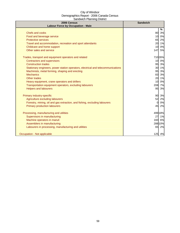| 2006 Census<br><b>Labour Force by Occupation - Male</b>                          | <b>Sandwich</b> |
|----------------------------------------------------------------------------------|-----------------|
|                                                                                  | %               |
| <b>Chefs and cooks</b>                                                           | 80<br>3%        |
| Food and beverage service                                                        | 0%<br>10        |
| <b>Protective services</b>                                                       | 65<br>2%        |
| Travel and accommodation, recreation and sport attendants                        | 20<br>1%        |
| Childcare and home support                                                       | 0%<br>10        |
| Other sales and service                                                          | 147<br>5%       |
| Trades, transport and equipment operators and related                            | 710 26%         |
| Contractors and supervisors                                                      | 10 0%           |
| <b>Construction trades</b>                                                       | 95<br>3%        |
| Stationary engineers, power station operators, electrical and telecommunications | 30<br>1%        |
| Machinists, metal forming, shaping and erecting                                  | 95<br>3%        |
| <b>Mechanics</b>                                                                 | 83<br>3%        |
| Other trades                                                                     | 20<br>1%        |
| Heavy equipment, crane operators and drillers                                    | 0%<br>10        |
| Transportation equipment operators, excluding labourers                          | 208<br>7%       |
| <b>Helpers and labourers</b>                                                     | 3%<br>95        |
| Primary industry-specific                                                        | 90<br>3%        |
| Agriculture excluding labourers                                                  | 52<br>2%        |
| Forestry, mining, oil and gas extraction, and fishing, excluding labourers       | 0%<br>$\Omega$  |
| <b>Primary production labourers</b>                                              | 45<br>2%        |
| Processing, manufacturing and utilities                                          | 49918%          |
| Supervisors in manufacturing                                                     | 27<br>1%        |
| Machine operators in manuf.                                                      | 160<br>6%       |
| Assemblers in manufacturing                                                      | 288 10%         |
| Labourers in processing, manufacturing and utilities                             | 65<br>2%        |
| Occupation - Not applicable                                                      | 125 4%          |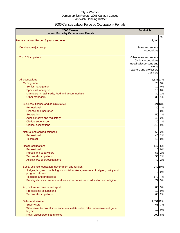# 2006 Census Labour Force by Occupation - Female

| 2006 Census<br><b>Labour Force by Occupation - Female</b>                                             | <b>Sandwich</b>                                                                      |
|-------------------------------------------------------------------------------------------------------|--------------------------------------------------------------------------------------|
| <b>Female Labour Force 15 years and over</b>                                                          | %<br>2,494                                                                           |
| Dominant major group                                                                                  | Sales and service<br>occupations                                                     |
| <b>Top 5 Occupations</b>                                                                              | Other sales and service<br>Clerical occupations<br>Retail salespersons and<br>clerks |
|                                                                                                       | Teachers and professors<br>Cashiers                                                  |
| All occupations                                                                                       | 2,33193%                                                                             |
| Management                                                                                            | 70 3%                                                                                |
| Senior management                                                                                     | 10 0%                                                                                |
| <b>Specialist managers</b>                                                                            | 0%<br>10                                                                             |
| Managers in retail trade, food and accommodation                                                      | 1%<br>30                                                                             |
| Other managers                                                                                        | 1%<br>30                                                                             |
| Business, finance and administrative                                                                  | 321 13%                                                                              |
| Professional                                                                                          | 1%<br>20                                                                             |
| Finance and insurance                                                                                 | 0%<br>0                                                                              |
| <b>Secretaries</b>                                                                                    | 50 2%                                                                                |
| Administrative and regulatory                                                                         | 2%<br>40                                                                             |
| <b>Clerical supervisors</b>                                                                           | 1%<br>20                                                                             |
| <b>Clerical occupations</b>                                                                           | 213<br>9%                                                                            |
| Natural and applied sciences                                                                          | 60 2%                                                                                |
| Professional                                                                                          | 2%<br>40                                                                             |
| <b>Technical</b>                                                                                      | 10<br>0%                                                                             |
| <b>Health occupations</b>                                                                             | 147 6%                                                                               |
| Professional                                                                                          | 10 0%                                                                                |
| Nurses and supervisors                                                                                | 53 2%                                                                                |
| <b>Technical occupations</b>                                                                          | 50 2%                                                                                |
| Assisting/support occupations                                                                         | 2%<br>40                                                                             |
| Social science, education, government and religion                                                    | 249 10%                                                                              |
| Judges, lawyers, psychologists, social workers, ministers of religion, policy and<br>program officers | 0%<br>$\mathbf{0}$                                                                   |
| <b>Teachers and professors</b>                                                                        | 172<br>7%                                                                            |
| Paralegals, social service workers and occupations in education and religion                          | 3%<br>77                                                                             |
| Art, culture, recreation and sport                                                                    | 3%<br>80                                                                             |
| Professional occupations                                                                              | 0%<br>10                                                                             |
| <b>Technical occupations</b>                                                                          | 60<br>2%                                                                             |
| Sales and service                                                                                     | 1,051 42%                                                                            |
| <b>Supervisors</b>                                                                                    | 65 3%                                                                                |
| Wholesale, technical, insurance, real estate sales, retail, wholesale and grain                       |                                                                                      |
| buyers                                                                                                | 10 0%                                                                                |
| Retail salespersons and clerks                                                                        | 200 8%                                                                               |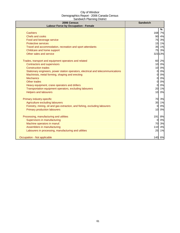| 2006 Census<br><b>Labour Force by Occupation - Female</b>                        | <b>Sandwich</b> |
|----------------------------------------------------------------------------------|-----------------|
|                                                                                  | %               |
| <b>Cashiers</b>                                                                  | 168 7%          |
| <b>Chefs and cooks</b>                                                           | 90 4%           |
| Food and beverage service                                                        | 75<br>3%        |
| <b>Protective services</b>                                                       | 1%<br>15        |
| Travel and accommodation, recreation and sport attendants                        | 35<br>1%        |
| Childcare and home support                                                       | 75<br>3%        |
| Other sales and service                                                          | 32313%          |
| Trades, transport and equipment operators and related                            | 60<br>2%        |
| <b>Contractors and supervisors</b>                                               | 10 0%           |
| <b>Construction trades</b>                                                       | 10 0%           |
| Stationary engineers, power station operators, electrical and telecommunications | 0%<br>$\Omega$  |
| Machinists, metal forming, shaping and erecting                                  | 0%<br>$\Omega$  |
| <b>Mechanics</b>                                                                 | 0%<br>$\Omega$  |
| Other trades                                                                     | 0%<br>0         |
| Heavy equipment, crane operators and drillers                                    | 0%<br>$\Omega$  |
| Transportation equipment operators, excluding labourers                          | 20<br>1%        |
| <b>Helpers and labourers</b>                                                     | 0%<br>10        |
| Primary industry-specific                                                        | 70<br>3%        |
| Agriculture excluding labourers                                                  | 35<br>1%        |
| Forestry, mining, oil and gas extraction, and fishing, excluding labourers       | 0%<br>$\Omega$  |
| <b>Primary production labourers</b>                                              | 0%<br>10        |
| Processing, manufacturing and utilities                                          | 191<br>8%       |
| Supervisors in manufacturing                                                     | 0%<br>$\Omega$  |
| Machine operators in manuf.                                                      | 70<br>3%        |
| Assemblers in manufacturing                                                      | 110<br>4%       |
| Labourers in processing, manufacturing and utilities                             | 1%<br>25        |
| Occupation - Not applicable                                                      | 140 6%          |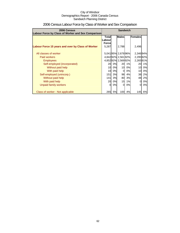| 2006 Census                                        | <b>Sandwich</b>        |    |                     |    |                 |    |
|----------------------------------------------------|------------------------|----|---------------------|----|-----------------|----|
| Labour Force by Class of Worker and Sex Comparison | <b>Males</b>           |    |                     |    |                 |    |
|                                                    | <b>Total</b><br>Labour |    |                     |    | Females         |    |
|                                                    | <b>Forcel</b>          |    |                     |    |                 |    |
| Labour Force 15 years and over by Class of Worker  | 5,287                  |    | 2,788               |    | 2,496           |    |
|                                                    |                        |    |                     |    |                 |    |
| All classes of worker                              |                        |    | 5,041 95% 2,678 96% |    | 2,34694%        |    |
| Paid workers                                       |                        |    | 4,84292% 2,56192%   |    | 2,295 92%       |    |
| <b>Employees</b>                                   |                        |    | 4,85292% 2,56992%   |    | 2,26591%        |    |
| Self-employed (incorporated)                       | 20                     | 0% | <b>20</b>           | 1% | 20              | 1% |
| Without paid help                                  | 10                     | 0% | 10                  | 0% | 10 <sup>1</sup> | 0% |
| With paid help                                     | 10                     | 0% | $\Omega$            | 0% | 10 <sup>1</sup> | 0% |
| Self-employed (unincorp.)                          | 151                    | 3% | 98                  | 4% | 38              | 2% |
| Without paid help                                  | 141                    | 3% | 80                  | 3% | 48              | 2% |
| With paid help                                     | 20                     | 0% | 15                  | 1% | 0               | 0% |
| Unpaid family workers                              | Ω                      | 0% | $\Omega$            | 0% | <sup>O</sup>    | 0% |
|                                                    |                        |    |                     |    |                 |    |
| Class of worker - Not applicable                   | 265                    | 5% | 100                 | 4% | 145I            | 6% |

# 2006 Census Labour Force by Class of Worker and Sex Comparison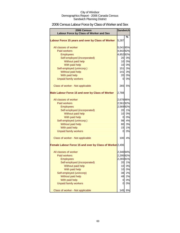# 2006 Census Labour Force by Class of Worker and Sex

| 2006 Census<br>Labour Force by Class of Worker and Sex   | <b>Sandwich</b> |       |
|----------------------------------------------------------|-----------------|-------|
|                                                          |                 |       |
| Labour Force 15 years and over by Class of Worker        | 5,287           | %     |
| All classes of worker                                    | 5,04195%        |       |
| <b>Paid workers</b>                                      | 4,84292%        |       |
| <b>Employees</b>                                         | 4,85292%        |       |
| Self-employed (incorporated)                             | 20              | 0%    |
| Without paid help                                        | 10              | 0%    |
| With paid help                                           | 10 <sup>1</sup> | 0%    |
| Self-employed (unincorp.)                                | 151             | 3%    |
| Without paid help                                        | $141$           | 3%    |
| With paid help                                           | 20              | 0%    |
| <b>Unpaid family workers</b>                             | $\overline{0}$  | 0%    |
|                                                          |                 |       |
| Class of worker - Not applicable                         | 265             | 5%    |
| Male Labour Force 15 and over by Class of Worker         | 2,788           |       |
| All classes of worker                                    | 2,678 96%       |       |
| <b>Paid workers</b>                                      | 2,56192%        |       |
| <b>Employees</b>                                         | 2,56992%        |       |
| Self-employed (incorporated)                             | 20              | 1%    |
| Without paid help                                        |                 | 10 0% |
| With paid help                                           |                 | 0 0%  |
| Self-employed (unincorp.)                                |                 | 98 4% |
| Without paid help                                        | 80              | 3%    |
| With paid help                                           | 15              | 1%    |
| <b>Unpaid family workers</b>                             | $\overline{0}$  | 0%    |
|                                                          |                 |       |
| Class of worker - Not applicable                         | 100             | 4%    |
| Female Labour Force 15 and over by Class of Worker 2,496 |                 |       |
| All classes of worker                                    | 2,34694%        |       |
| <b>Paid workers</b>                                      | 2,29592%        |       |
| Employees                                                | 2,26591%        |       |
| Self-employed (incorporated)                             | 20              | 1%    |
| Without paid help                                        | 10              | 0%    |
| With paid help                                           | 10              | 0%    |
| Self-employed (unincorp)                                 | 38              | 2%    |
| Without paid help                                        | 48              | 2%    |
| With paid help                                           | 0               | 0%    |
| <b>Unpaid family workers</b>                             | 0               | 0%    |
| Class of worker - Not applicable                         | 145             | 6%    |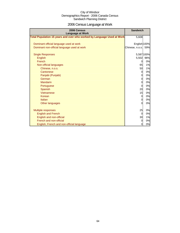# 2006 Census Language at Work

| 2006 Census<br><b>Language at Work</b>                                 | <b>Sandwich</b> |            |
|------------------------------------------------------------------------|-----------------|------------|
| Total Population 15 years and over who worked by Language Used at Work | 5,608           |            |
| Dominant official language used at work                                | English 100%    |            |
| Dominant non-official language used at work                            | Chinese, n.o.s. | 59%        |
| <b>Single Responses</b>                                                |                 | 5,587 100% |
| English                                                                | 5,502           | 98%        |
| French                                                                 | 0               | 0%         |
| Non-official languages                                                 | 65              | 1%         |
| Chinese, n.o.s.                                                        | 50              | 1%         |
| Cantonese                                                              | $\overline{0}$  | 0%         |
| Panjabi (Punjabi)                                                      | 0               | 0%         |
| German                                                                 | $\overline{0}$  | 0%         |
| <b>Mandarin</b>                                                        | $\overline{0}$  | 0%         |
| Portuguese                                                             | 0               | 0%         |
| Spanish                                                                | 20              | 0%         |
| Vietnamese                                                             | 15              | 0%         |
| Korean                                                                 | 0               | 0%         |
| Italian                                                                | $\overline{0}$  | 0%         |
| Other languages                                                        | $\Omega$        | 0%         |
| Multiple responses                                                     | 25              | 0%         |
| <b>English and French</b>                                              | 0               | 0%         |
| English and non-official                                               | 30              | 1%         |
| French and non-official                                                | $\overline{0}$  | 0%         |
| English, French and non-official language                              | $\overline{0}$  | 0%         |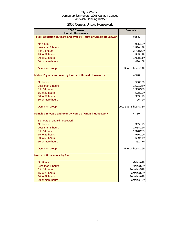# 2006 Census Unpaid Housework

| 2006 Census<br><b>Unpaid Housework</b>                                 | <b>Sandwich</b>        |         |
|------------------------------------------------------------------------|------------------------|---------|
| <b>Total Population 15 years and over by Hours of Unpaid Housework</b> | 9,335                  |         |
| No hours                                                               |                        | 935 10% |
| Less than 5 hours                                                      | 2,586 28%              |         |
| 5 to 14 hours                                                          | 2,728 29%              |         |
| 15 to 29 hours                                                         | 1,545 17%              |         |
| 30 to 59 hours                                                         | 1,028 11%              |         |
| 60 or more hours                                                       |                        | 436 5%  |
| Dominant group                                                         | 5 to 14 hours 29%      |         |
| Males 15 years and over by Hours of Unpaid Housework                   | 4,548                  |         |
| No hours                                                               |                        | 588 13% |
| Less than 5 hours                                                      | 1,571 35%              |         |
| 5 to 14 hours                                                          | 1,350 30%              |         |
| 15 to 29 hours                                                         |                        | 578 13% |
| 30 to 59 hours                                                         |                        | 303 7%  |
| 60 or more hours                                                       | 95                     | 2%      |
| Dominant group                                                         | Less than 5 hours 35%  |         |
| Females 15 years and over by Hours of Unpaid Housework                 | 4,759                  |         |
| By hours of unpaid housework                                           |                        |         |
| No hours                                                               |                        | 355 7%  |
| Less than 5 hours                                                      | 1,034 22%              |         |
| 5 to 14 hours                                                          | 1,378 29%              |         |
| 15 to 29 hours                                                         |                        | 976 20% |
| 30 to 59 hours                                                         |                        | 689 14% |
| 60 or more hours                                                       |                        | 351 7%  |
| Dominant group                                                         | 5 to 14 hours 29%      |         |
| <b>Hours of Housework by Sex</b>                                       |                        |         |
| <b>No Hours</b>                                                        | Males <sup>62%</sup>   |         |
| Less than 5 hours                                                      | Males 60%              |         |
| 5 to 14 hours                                                          | Females <sub>51%</sub> |         |
| 15 to 29 hours                                                         | Females <sup>63%</sup> |         |
| 30 to 59 hours                                                         | Females 69%            |         |
| 60 or more hours                                                       | Females <sup>79%</sup> |         |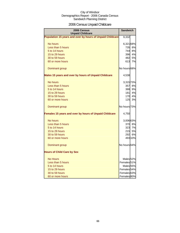# 2006 Census Unpaid Childcare

| 2006 Census<br><b>Unpaid Childcare</b>                    | <b>Sandwich</b>         |         |
|-----------------------------------------------------------|-------------------------|---------|
| Population 15 years and over by hours of Unpaid Childcare | 9,332                   |         |
| No hours                                                  | 6,321 68%               |         |
| Less than 5 hours                                         | 735                     | 8%      |
| 5 to 14 hours                                             | 744                     | 8%      |
| 15 to 29 hours                                            | 396                     | 4%      |
| 30 to 59 hours                                            | 482                     | 5%      |
| 60 or more hours                                          | 613                     | 7%      |
| Dominant group                                            | No hours 68%            |         |
| Males 15 years and over by hours of Unpaid Childcare      | 4,538                   |         |
| No hours                                                  | 3,315 73%               |         |
| Less than 5 hours                                         | 357                     | 8%      |
| 5 to 14 hours                                             | 388                     | 9%      |
| 15 to 29 hours                                            | <b>181l</b>             | 4%      |
| 30 to 59 hours                                            | 170I                    | 4%      |
| 60 or more hours                                          | 125                     | 3%      |
| Dominant group                                            | No hours <sup>73%</sup> |         |
| Females 15 years and over by hours of Unpaid Childcare    | 4,750                   |         |
| No hours                                                  | 3,006 63%               |         |
| Less than 5 hours                                         |                         | 370 8%  |
| 5 to 14 hours                                             |                         | 323 7%  |
| 15 to 29 hours                                            | 215                     | 5%      |
| 30 to 59 hours                                            | 292                     | 6%      |
| 60 or more hours                                          |                         | 493 10% |
| Dominant group                                            | No hours 64%            |         |
| <b>Hours of Child Care by Sex</b>                         |                         |         |
| <b>No Hours</b>                                           | Males <sub>52%</sub>    |         |
| Less than 5 hours                                         | Females <sup>51%</sup>  |         |
| 5 to 14 hours                                             | Males <sub>55%</sub>    |         |
| 15 to 29 hours                                            | Females 54%             |         |
| 30 to 59 hours                                            | Females <sup>63%</sup>  |         |
| 60 or more hours                                          | Females 80%             |         |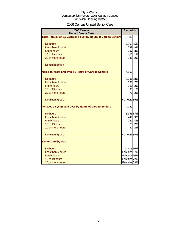# 2006 Census Unpaid Senior Care

| 2006 Census<br><b>Unpaid Senior Care</b>                              | <b>Sandwich</b>        |    |
|-----------------------------------------------------------------------|------------------------|----|
| <b>Total Population 15 years and over by Hours of Care to Seniors</b> | 9,332                  |    |
| No hours                                                              | 7,96885%               |    |
| Less than 5 hours                                                     | 789                    | 8% |
| 5 to 9 hours                                                          | 297                    | 3% |
| 10 to 19 hours                                                        | 106                    | 1% |
| 20 or more hours                                                      | 146                    | 2% |
| Dominant group                                                        |                        |    |
| Males 15 years and over by Hours of Care to Seniors                   | 4,553                  |    |
| No hours                                                              | 3,996 88%              |    |
| Less than 5 hours                                                     | <b>330</b>             | 7% |
| 5 to 9 hours                                                          | 105                    | 2% |
| 10 to 19 hours                                                        | 30                     | 1% |
| 20 or more hours                                                      | 70                     | 2% |
| Dominant group                                                        | No hours 89%           |    |
| Females 15 years and over by Hours of Care to Seniors                 | 4,759                  |    |
| No hours                                                              | 3,94383%               |    |
| Less than 5 hours                                                     | 446                    | 9% |
| 5 to 9 hours                                                          | 157                    | 3% |
| 10 to 19 hours                                                        | 78                     | 2% |
| 20 or more hours                                                      | 80                     | 2% |
| Dominant group                                                        | No hours 85%           |    |
| <b>Senior Care by Sex</b>                                             |                        |    |
| No hours                                                              | Males <sub>50%</sub>   |    |
| Less than 5 hours                                                     | Females <sub>57%</sub> |    |
| 5 to 9 hours                                                          | Females 60%            |    |
| 10 to 19 hours                                                        | Females <sup>72%</sup> |    |
| 20 or more hours                                                      | Females 53%            |    |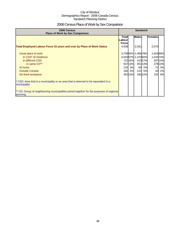# 2006 Census Place of Work by Sex Comparison

| 2006 Census<br><b>Place of Work by Sex Comparison</b>                                                 |                                  | <b>Sandwich</b> |                   |        |           |        |
|-------------------------------------------------------------------------------------------------------|----------------------------------|-----------------|-------------------|--------|-----------|--------|
|                                                                                                       | Totall<br>Labour<br><b>Force</b> |                 | <b>Males</b>      |        | Females   |        |
| <b>Total Employed Labour Force 15 years and over by Place of Work Status</b>                          | 4,538                            |                 | 2,451             |        | 2,073     |        |
| Usual place of work                                                                                   |                                  |                 | 3,75883% 1,90678% |        | 1,84589%  |        |
| In CSD <sup>*</sup> of residence                                                                      |                                  |                 | 3,04367% 1,47060% |        | 1,533 74% |        |
| In different CSD                                                                                      |                                  | 72216%          |                   | 41317% |           | 29714% |
| In same CD**                                                                                          |                                  | 63714%          |                   | 35114% |           | 27913% |
| At home                                                                                               | 120                              | 3%              | 60                | 2%     | 72        | 3%     |
| <b>Outside Canada</b>                                                                                 |                                  | 165 4%          | 122               | 5%     | 43        | 2%     |
| No fixed workplace                                                                                    |                                  | 45210%          |                   | 29512% | 132       | 6%     |
| * CSD: Area that is a municipality or an area that is deemed to be equivalent to a<br>municipality.   |                                  |                 |                   |        |           |        |
| ** CD: Group of neighbouring municipalities joined together for the purposes of regional<br>planning. |                                  |                 |                   |        |           |        |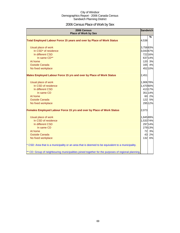# 2006 Census Place of Work by Sex

| 2006 Census<br><b>Place of Work by Sex</b>                                                         | <b>Sandwich</b> |         |
|----------------------------------------------------------------------------------------------------|-----------------|---------|
|                                                                                                    |                 | %       |
| Total Employed Labour Force 15 years and over by Place of Work Status                              | 4,538           |         |
| Usual place of work                                                                                | 3,758 83%       |         |
| In CSD* of residence                                                                               | 3,043 67%       |         |
| In different CSD                                                                                   |                 | 722 16% |
| In same CD**                                                                                       |                 | 637 14% |
| At home                                                                                            |                 | 120 3%  |
| <b>Outside Canada</b>                                                                              | 165             | 4%      |
| No fixed workplace                                                                                 |                 | 452 10% |
| Males Employed Labour Force 15 yrs and over by Place of Work Status                                | 2,451           |         |
| Usual place of work                                                                                | 1,906 78%       |         |
| In CSD of residence                                                                                | 1,470 60%       |         |
| In different CSD                                                                                   |                 | 413 17% |
| In same CD                                                                                         |                 | 351 14% |
| At home                                                                                            |                 | 60 2%   |
| <b>Outside Canada</b>                                                                              |                 | 122 5%  |
| No fixed workplace                                                                                 |                 | 295 12% |
| <b>Females Employed Labour Force 15 yrs and over by Place of Work Status</b>                       | 2,073           |         |
| Usual place of work                                                                                | 1,845 89%       |         |
| In CSD of residence                                                                                | 1,533 74%       |         |
| In different CSD                                                                                   |                 | 297 14% |
| In same CD                                                                                         |                 | 279 13% |
| At home                                                                                            | 72              | 3%      |
| <b>Outside Canada</b>                                                                              | 43              | 2%      |
| No fixed workplace                                                                                 | 132             | 6%      |
| * CSD: Area that is a municipality or an area that is deemed to be equivalent to a municipality.   |                 |         |
| ** CD: Group of neighbouring municipalities joined together for the purposes of regional planning. |                 |         |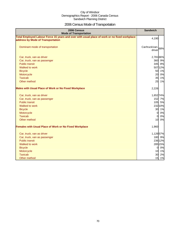# 2006 Census Mode of Transportation

| 2006 Census<br><b>Mode of Transportation</b>                                                                                      | <b>Sandwich</b>              |
|-----------------------------------------------------------------------------------------------------------------------------------|------------------------------|
| Total Employed Labour Force 15 years and over with usual place of work or no fixed workplace<br>address by Mode of Transportation | 4,190                        |
| Dominant mode of transportation                                                                                                   | Car/truck/van-168%<br>driver |
| Car, truck, van as driver                                                                                                         | 2,781 66%                    |
| Car, truck, van as passenger                                                                                                      | 360 9%                       |
| <b>Public transit</b>                                                                                                             | 345 8%                       |
| Walked to work                                                                                                                    | 50712%                       |
| <b>Bicycle</b>                                                                                                                    | 50 1%                        |
| Motorcycle                                                                                                                        | 20<br>0%                     |
| <b>Taxicab</b>                                                                                                                    | 35<br>1%                     |
| Other method                                                                                                                      | 25<br>1%                     |
| <b>Males with Usual Place of Work or No Fixed Workplace</b>                                                                       | 2,226                        |
| Car, truck, van as driver                                                                                                         | 1,652 74%                    |
| Car, truck, van as passenger                                                                                                      | 152 7%                       |
| <b>Public transit</b>                                                                                                             | 105 5%                       |
| Walked to work                                                                                                                    | 232 10%                      |
| <b>Bicycle</b>                                                                                                                    | 30 1%                        |
| Motorcycle                                                                                                                        | 0%<br>$\overline{0}$         |
| <b>Taxicab</b>                                                                                                                    | $\overline{0}$<br>0%         |
| Other method                                                                                                                      | 10 <sup>1</sup><br>0%        |
| <b>Females with Usual Place of Work or No Fixed Workplace</b>                                                                     | 1,960                        |
| Car, truck, van as driver                                                                                                         | 1,12657%                     |
| Car, truck, van as passenger                                                                                                      | 180 9%                       |
| <b>Public transit</b>                                                                                                             | 236 12%                      |
| Walked to work                                                                                                                    | 285 15%                      |
| <b>Bicycle</b>                                                                                                                    | $\overline{0}$<br>0%         |
| Motorcycle                                                                                                                        | 10 1%                        |
| <b>Taxicab</b>                                                                                                                    | 30<br>2%                     |
| Other method                                                                                                                      | 15<br>1%                     |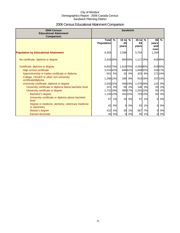# 2006 Census Educational Attainment Comparison

| 2006 Census<br><b>Educational Attainment</b><br>Comparison         | <b>Sandwich</b>                   |           |                        |         |                        |         |                            |         |
|--------------------------------------------------------------------|-----------------------------------|-----------|------------------------|---------|------------------------|---------|----------------------------|---------|
|                                                                    | <b>Total</b><br><b>Population</b> | $\%$      | $15$ to<br>24<br>years | %       | $25$ to<br>64<br>years | $\%$    | 65<br>years<br>and<br>over | $\%$    |
| <b>Population by Educational Attainment</b>                        | 9,303                             |           | 2,298                  |         | 5,754                  |         | 1,250                      |         |
| No certificate, diploma or degree                                  | 2,418 26%                         |           |                        | 684 30% | 1,117 19%              |         |                            | 61649%  |
| Certificate, diploma or degree                                     | 6,832 73%                         |           | 1,619 70%              |         | 4,594 80%              |         |                            | 61950%  |
| High school certificate                                            | 3,010 32%                         |           |                        | 94641%  | 1,848 32%              |         |                            | 21617%  |
| Apprenticeship or trades certificate or diploma                    |                                   | 501 5%    | 10 <sup>1</sup>        | 0%      |                        | 320 6%  |                            | 171 14% |
| College, CEGEP or other non-university<br>certificate/diploma      | 1,256 13%                         |           | 189                    | 8%      |                        | 910 16% |                            | 157 13% |
| University certificate, diploma or degree                          | 2,033 22%                         |           |                        | 446 19% | 1,476 26%              |         | 110                        | 9%      |
| University certificate or diploma below bachelor level             | 221                               | 2%        | 55                     | 2%      |                        | 146 3%  | 20                         | 2%      |
| University certificate or degree                                   | 1,731 19%                         |           |                        | 390 17% | 1,291 22%              |         | 50                         | 4%      |
| Bachelor's degree                                                  | 1,145 12%                         |           |                        | 34115%  |                        | 753 13% | 50                         | 4%      |
| University certificate or diploma above bachelor<br>level          | 57                                | 1%        | 10                     | 0%      | 47                     | 1%      | $\Omega$                   | 0%      |
| Degree in medicine, dentistry, veterinary medicine<br>or optometry | 42                                | 0%        | $\Omega$               | 0%      | 42                     | 1%      | $\overline{0}$             | 0%      |
| Master's degree                                                    | 422                               | <b>5%</b> | 35                     | 2%      | 387                    | 7%      | $\Omega$                   | 0%      |
| Earned doctorate                                                   | 40                                | 0%        | $\overline{0}$         | 0%      | 40                     | 1%      | $\Omega$                   | 0%      |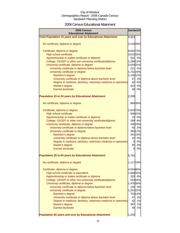### 2006 Census Educational Attainment

| <b>Sandwich</b><br><b>2006 Census</b><br><b>Educational Attainment</b> |           |             |  |  |
|------------------------------------------------------------------------|-----------|-------------|--|--|
| <b>Total Population 15 years and over by Educational Attainment</b>    | 9,303     |             |  |  |
|                                                                        |           |             |  |  |
| No certificate, diploma or degree                                      | 2,418 26% |             |  |  |
|                                                                        |           |             |  |  |
| Certificate, diploma or degree                                         | 6,832 73% |             |  |  |
| High school certificate                                                | 3,010 32% |             |  |  |
| Apprenticeship or trades certificate or diploma                        |           | 501 5%      |  |  |
| College, CEGEP or other non-university certificate/diploma             | 1,256 13% |             |  |  |
| University certificate, diploma or degree                              | 2,033 22% |             |  |  |
| University certificate or diploma below bachelor level                 |           | 221 2%      |  |  |
| University certificate or degree                                       | 1,731 19% |             |  |  |
| Bachelor's degree                                                      | 1,145 12% |             |  |  |
| University certificate or diploma above bachelor level                 | 57        | 1%<br>42 0% |  |  |
| Degree in medicine, dentistry, veterinary medicine or optometry        |           |             |  |  |
| Master's degree                                                        |           | 422 5%      |  |  |
| <b>Earned doctorate</b>                                                |           | 40 0%       |  |  |
| <b>Population 15 to 24 years by Educational Attainment</b>             | 2,298     |             |  |  |
|                                                                        |           |             |  |  |
| No certificate, diploma or degree                                      |           | 68430%      |  |  |
|                                                                        |           |             |  |  |
| Certificate, diploma or degree                                         | 1,619 70% |             |  |  |
| High school certificate                                                |           | 94641%      |  |  |
| Apprenticeship or trades certificate or diploma                        |           | 10 0%       |  |  |
| College, CEGEP or other non-university certificate/diploma             |           | 189 8%      |  |  |
| University certificate, diploma or degree                              |           | 446 19%     |  |  |
| University certificate or diploma below bachelor level                 |           | 55 2%       |  |  |
| University certificate or degree                                       |           | 390 17%     |  |  |
| Bachelor's degree                                                      |           | 341 15%     |  |  |
| University certificate or diploma above bachelor level                 |           | 10 0%       |  |  |
| Degree in medicine, dentistry, veterinary medicine or optometry        |           | 0 0%        |  |  |
| Master's degree                                                        | 35        | 2%          |  |  |
| <b>Earned doctorate</b>                                                | 01        | 0%          |  |  |
|                                                                        |           |             |  |  |
| Population 25 to 64 years by Educational Attainment                    | 5,754     |             |  |  |
|                                                                        |           |             |  |  |
| No certificate, diploma or degree                                      | 1,117 19% |             |  |  |
| Certificate, diploma or degree                                         | 4,594 80% |             |  |  |
| High school certificate or equivalent                                  | 1,848 32% |             |  |  |
| Apprenticeship or trades certificate or diploma                        |           | 320 6%      |  |  |
| College, CEGEP or other non-university certificate/diploma             |           | 910 16%     |  |  |
| University certificate, diploma or degree                              | 1,476 26% |             |  |  |
| University certificate or diploma below bachelor level                 |           | 146 3%      |  |  |
| University certificate or degree                                       | 1,291 22% |             |  |  |
| Bachelor's degree                                                      |           | 753 13%     |  |  |
| University certificate or diploma above bachelor level                 | 47        | 1%          |  |  |
| Degree in medicine, dentistry, veterinary medicine or optometry        | 42        | 1%          |  |  |
| Master's degree                                                        | 387       | 7%          |  |  |
| <b>Earned doctorate</b>                                                | 40        | 1%          |  |  |
|                                                                        |           |             |  |  |
| Population 65 years and over by Educational Attainment                 | 1,250     |             |  |  |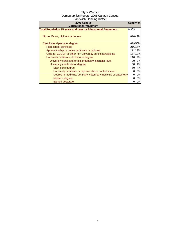| 2006 Census<br><b>Educational Attainment</b>                        | <b>Sandwich</b> |         |
|---------------------------------------------------------------------|-----------------|---------|
| <b>Total Population 15 years and over by Educational Attainment</b> | 9,303           |         |
| No certificate, diploma or degree                                   |                 | 61649%  |
| Certificate, diploma or degree                                      |                 | 61950%  |
| High school certificate                                             |                 | 216 17% |
| Apprenticeship or trades certificate or diploma                     |                 | 17114%  |
| College, CEGEP or other non-university certificate/diploma          |                 | 15713%  |
| University certificate, diploma or degree                           | 110             | 9%      |
| University certificate or diploma below bachelor level              | 20              | 2%      |
| University certificate or degree                                    | 50              | 4%      |
| Bachelor's degree                                                   | 50              | 4%      |
| University certificate or diploma above bachelor level              |                 | 0%      |
| Degree in medicine, dentistry, veterinary medicine or optometry     |                 | 0%      |
| Master's degree                                                     |                 | 0%      |
| <b>Earned doctorate</b>                                             |                 | 0%      |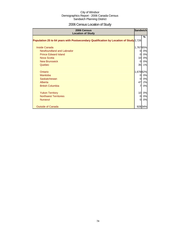# 2006 Census Location of Study

| 2006 Census<br><b>Location of Study</b>                                               |           | <b>Sandwich</b> |
|---------------------------------------------------------------------------------------|-----------|-----------------|
| Population 25 to 64 years with Postsecondary Qualification by Location of Study 2,726 |           | %               |
| <b>Inside Canada</b>                                                                  | 1,76765%  |                 |
| Newfoundland and Labrador                                                             | 0         | 0%              |
| <b>Prince Edward Island</b>                                                           | 0         | 0%              |
| Nova Scotia                                                                           | 10        | 0%              |
| <b>New Brunswick</b>                                                                  | $\Omega$  | 0%              |
| Quebec                                                                                | 35        | 1%              |
| Ontario                                                                               | 1,678 62% |                 |
| <b>Manitoba</b>                                                                       | 0         | 0%              |
| Saskatchewan                                                                          |           | 0%              |
| Alberta                                                                               | 47        | 2%              |
| <b>British Columbia</b>                                                               | 7         | 0%              |
| <b>Yukon Territory</b>                                                                | 10        | 0%              |
| <b>Northwest Territories</b>                                                          | 0         | 0%              |
| <b>Nunavut</b>                                                                        | 0         | 0%              |
| <b>Outside of Canada</b>                                                              |           | 92834%          |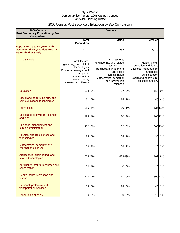# 2006 Census Post Secondary Education by Sex Comparison

| 2006 Census<br>Post Secondary Education by Sex                                                          |                                                                                                                                                               |         | <b>Sandwich</b>                                                                                                                                                           |         |                                                                                                                                                |         |
|---------------------------------------------------------------------------------------------------------|---------------------------------------------------------------------------------------------------------------------------------------------------------------|---------|---------------------------------------------------------------------------------------------------------------------------------------------------------------------------|---------|------------------------------------------------------------------------------------------------------------------------------------------------|---------|
| Comparison                                                                                              |                                                                                                                                                               |         |                                                                                                                                                                           |         |                                                                                                                                                |         |
|                                                                                                         | <b>Total</b><br><b>Population</b>                                                                                                                             |         | <b>Males</b>                                                                                                                                                              |         | <b>Females</b>                                                                                                                                 |         |
| Population 25 to 64 years with<br><b>Postsecondary Qualifications by</b><br><b>Major Field of Study</b> | 2,711                                                                                                                                                         |         | 1,432                                                                                                                                                                     |         | 1,279                                                                                                                                          |         |
| <b>Top 3 Fields</b>                                                                                     | Architecture,<br>engineering, and related<br>technologies<br>Business, management<br>and public<br>administration<br>Health, parks,<br>recreation and fitness |         | Architecture,<br>engineering, and related<br>technologies<br>Business, management<br>and public<br>administration<br>Mathematics, computer<br>and information<br>sciences |         | Health, parks,<br>recreation and fitness<br>Business, management<br>and public<br>administration<br>Social and behavioural<br>sciences and law |         |
| <b>Education</b>                                                                                        | 154                                                                                                                                                           | 6%      | 37                                                                                                                                                                        | 3%      | 117                                                                                                                                            | 9%      |
| Visual and performing arts, and<br>communications technologies                                          | 61                                                                                                                                                            | 2%      | 15                                                                                                                                                                        | 1%      | 45                                                                                                                                             | 4%      |
| <b>Humanities</b>                                                                                       | 155                                                                                                                                                           | 6%      | 20                                                                                                                                                                        | 1%      |                                                                                                                                                | 135 11% |
| Social and behavioural sciences<br>and law                                                              |                                                                                                                                                               | 285 11% | 120                                                                                                                                                                       | 8%      |                                                                                                                                                | 165 13% |
| Business, management and<br>public administration                                                       |                                                                                                                                                               | 482 18% |                                                                                                                                                                           | 182 13% |                                                                                                                                                | 300 23% |
| Physical and life sciences and<br>technologies                                                          | 135                                                                                                                                                           | 5%      |                                                                                                                                                                           | 105 7%  | 30                                                                                                                                             | 2%      |
| Mathematics, computer and<br>information sciences                                                       | 188                                                                                                                                                           | 7%      |                                                                                                                                                                           | 168 12% | 20                                                                                                                                             | 2%      |
| Architecture, engineering, and<br>related technologies                                                  |                                                                                                                                                               | 724 27% |                                                                                                                                                                           | 62343%  |                                                                                                                                                | 102 8%  |
| Agriculture, natural resources and<br>conservation                                                      |                                                                                                                                                               | 20 1%   | $\overline{0}$                                                                                                                                                            | 0%      | 20                                                                                                                                             | 2%      |
| Health, parks, recreation and<br>fitness                                                                |                                                                                                                                                               | 372 14% | 71                                                                                                                                                                        | 5%      |                                                                                                                                                | 300 23% |
| Personal, protective and<br>transportation services                                                     | 125                                                                                                                                                           | 5%      | 85                                                                                                                                                                        | 6%      | 40                                                                                                                                             | 3%      |
| Other fields of study                                                                                   |                                                                                                                                                               | 10 0%   | 01                                                                                                                                                                        | 0%      |                                                                                                                                                | 10 1%   |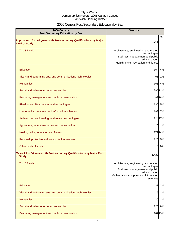# 2006 Census Post Secondary Education by Sex

| 2006 Census<br><b>Post Secondary Education by Sex</b>                                         | <b>Sandwich</b>                                                                                                                                                  |  |
|-----------------------------------------------------------------------------------------------|------------------------------------------------------------------------------------------------------------------------------------------------------------------|--|
| Population 25 to 64 years with Postsecondary Qualifications by Major<br><b>Field of Study</b> | $\%$<br>2,711                                                                                                                                                    |  |
| <b>Top 3 Fields</b>                                                                           | Architecture, engineering, and related<br>technologies<br>Business, management and public<br>administration<br>Health, parks, recreation and fitness             |  |
| Education                                                                                     | 154<br>6%                                                                                                                                                        |  |
| Visual and performing arts, and communications technologies                                   | 2%<br>61                                                                                                                                                         |  |
| <b>Humanities</b>                                                                             | 155<br>6%                                                                                                                                                        |  |
| Social and behavioural sciences and law                                                       | 28511%                                                                                                                                                           |  |
| Business, management and public administration                                                | 482 18%                                                                                                                                                          |  |
| Physical and life sciences and technologies                                                   | 135 5%                                                                                                                                                           |  |
| Mathematics, computer and information sciences                                                | 188 7%                                                                                                                                                           |  |
| Architecture, engineering, and related technologies                                           | 724 27%                                                                                                                                                          |  |
| Agriculture, natural resources and conservation                                               | 20<br>1%                                                                                                                                                         |  |
| Health, parks, recreation and fitness                                                         | 37214%                                                                                                                                                           |  |
| Personal, protective and transportation services                                              | 125 5%                                                                                                                                                           |  |
| Other fields of study                                                                         | 10<br>0%                                                                                                                                                         |  |
| Males 25 to 64 Years with Postsecondary Qualifications by Major Field<br>of Study             | 1,432                                                                                                                                                            |  |
| <b>Top 3 Fields</b>                                                                           | Architecture, engineering, and related<br>technologies<br>Business, management and public<br>administration<br>Mathematics, computer and information<br>sciences |  |
| <b>Education</b>                                                                              | 37<br>3%                                                                                                                                                         |  |
| Visual and performing arts, and communications technologies                                   | 1%<br>15                                                                                                                                                         |  |
| <b>Humanities</b>                                                                             | 20<br>1%                                                                                                                                                         |  |
| Social and behavioural sciences and law                                                       | 120<br>8%                                                                                                                                                        |  |
| Business, management and public administration                                                | 18213%                                                                                                                                                           |  |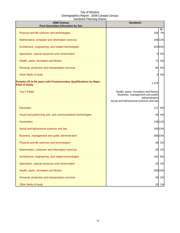| 2006 Census<br><b>Post Secondary Education by Sex</b>                                      | <b>Sandwich</b>                                                                                                                       |         |
|--------------------------------------------------------------------------------------------|---------------------------------------------------------------------------------------------------------------------------------------|---------|
| Physical and life sciences and technologies                                                | 105                                                                                                                                   | ℅<br>7% |
| Mathematics, computer and information sciences                                             |                                                                                                                                       | 16812%  |
| Architecture, engineering, and related technologies                                        |                                                                                                                                       | 62343%  |
| Agriculture, natural resources and conservation                                            | 0                                                                                                                                     | 0%      |
| Health, parks, recreation and fitness                                                      | 71                                                                                                                                    | 5%      |
| Personal, protective and transportation services                                           | 85                                                                                                                                    | 6%      |
| Other fields of study                                                                      | 0                                                                                                                                     | 0%      |
| Females 25 to 64 years with Postsecondary Qualifications by Major<br><b>Field of Study</b> | 1,279                                                                                                                                 |         |
| <b>Top 3 Fields</b>                                                                        | Health, parks, recreation and fitness<br>Business, management and public<br>administration<br>Social and behavioural sciences and law |         |
| <b>Education</b>                                                                           | 117                                                                                                                                   | 9%      |
| Visual and performing arts, and communications technologies                                | 45                                                                                                                                    | 4%      |
| <b>Humanities</b>                                                                          |                                                                                                                                       | 13511%  |
| Social and behavioural sciences and law                                                    |                                                                                                                                       | 165 13% |
| Business, management and public administration                                             |                                                                                                                                       | 300 23% |
| Physical and life sciences and technologies                                                |                                                                                                                                       | 30 2%   |
| Mathematics, computer and information sciences                                             | 20                                                                                                                                    | 2%      |
| Architecture, engineering, and related technologies                                        | 102                                                                                                                                   | 8%      |
| Agriculture, natural resources and conservation                                            | 20                                                                                                                                    | 2%      |
| Health, parks, recreation and fitness                                                      |                                                                                                                                       | 300 23% |
| Personal, protective and transportation services                                           | 40                                                                                                                                    | 3%      |
| Other fields of study                                                                      |                                                                                                                                       | 10 1%   |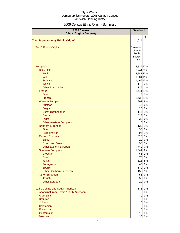# 2006 Census Ethnic Origin - Summary

| 2006 Census<br><b>Ethnic Origin - Summary</b> | <b>Sandwich</b> |                      |
|-----------------------------------------------|-----------------|----------------------|
|                                               |                 | %                    |
| <b>Total Population by Ethnic Origin*</b>     | 11,514          |                      |
| <b>Top 5 Ethnic Origins</b>                   | Canadian        |                      |
|                                               | French          |                      |
|                                               | English         |                      |
|                                               | Scottish        |                      |
|                                               | Irishl          |                      |
| European                                      |                 | 8,839 77%            |
| <b>British Isles</b>                          |                 | 3,744 33%            |
| <b>English</b>                                |                 | 2,281 20%            |
| <b>Irish</b>                                  |                 | 1,301 11%            |
| <b>Scottish</b>                               |                 | 1,466 13%            |
| Welsh                                         |                 | 175 2%               |
| <b>Other British Isles</b>                    |                 | 125 1%               |
| French                                        |                 | 2,44121%             |
| Acadian                                       |                 | 15 0%                |
| French                                        |                 | 2,438 21%            |
| <b>Western European</b>                       |                 | 9%<br>997            |
| Austrian                                      |                 | 0%<br>45             |
| <b>Belgian</b>                                |                 | 0%<br>20             |
| Dutch (Netherlands)                           |                 | 1%<br>145            |
| German                                        |                 | 814<br>7%            |
| <b>Swiss</b>                                  |                 | 0%<br>30             |
| <b>Other Western European</b>                 |                 | 0%<br>0              |
| Northern European                             |                 | 1%<br>130            |
| Finnish                                       |                 | 0%<br>30             |
| Scandinavian                                  |                 | 95<br>1%             |
| Eastern European                              |                 | 7%<br>826            |
| <b>Baltic</b>                                 |                 | 0%<br>20             |
| <b>Czech and Slovak</b>                       |                 | 1%<br>98             |
| <b>Other Eastern European</b>                 |                 | 749<br>7%            |
| Southern European                             | 1,041           | 9%                   |
| Croatian                                      |                 | 1%<br>65             |
| Greek                                         |                 | 1%<br>70             |
| Italian                                       |                 | 5%<br>613            |
| Portuguese                                    |                 | 0%<br>45             |
| Spanish                                       |                 | 179<br>2%            |
| <b>Other Southern European</b>                |                 | 1%<br>153            |
| <b>Other European</b>                         |                 | 0%<br>55             |
| <b>Jewish</b>                                 |                 | 55<br>0%             |
| <b>Other European</b>                         |                 | 0%<br>20             |
| Latin, Central and South American             |                 | 2%<br>178            |
| Aboriginal from Central/South American        |                 | 0%<br>$\mathbf 0$    |
| Argentinian                                   |                 | 0%<br>$\overline{0}$ |
| <b>Brazilian</b>                              |                 | 0%<br>$\overline{0}$ |
| Chilean                                       |                 | $\overline{0}$<br>0% |
| Colombian                                     |                 | $\mathbf 0$<br>0%    |
| Ecuadorian                                    |                 | 0%<br>$\mathbf{0}$   |
| Guatemalan                                    |                 | 0%<br>10             |
| Mexican                                       |                 | 0%<br>30             |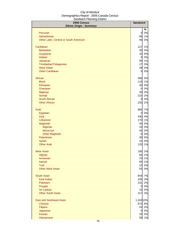| 2006 Census<br><b>Ethnic Origin - Summary</b> | <b>Sandwich</b> |          |
|-----------------------------------------------|-----------------|----------|
|                                               |                 | %        |
| Peruvian                                      | $\overline{0}$  | 0%       |
| Salvadorean                                   | 85              | 1%       |
| Other Latin, Central or South American        | 40              | 0%       |
| Caribbean                                     | 127             | 1%       |
| <b>Barbadian</b>                              | 30              | 0%       |
| Guyanese                                      | 10              | 0%       |
| <b>Haitian</b>                                | $\overline{0}$  | 0%       |
| Jamaican                                      | 95              | 1%       |
| Trinidadian/Tobagonian                        | 17              | 0%       |
| <b>West Indian</b>                            | 28              | 0%       |
| <b>Other Caribbean</b>                        | $\overline{0}$  | 0%       |
| African                                       | 596             | 5%       |
| <b>Black</b>                                  | 116             | 1%       |
| Ethiopian                                     | 30              | 0%       |
| Ghanaian                                      | $\overline{0}$  | 0%       |
| Nigerian<br>Somali                            | 35              | 0%       |
| South African                                 | 215             | 2%       |
| <b>Other African</b>                          | 01<br>235       | 0%<br>2% |
|                                               |                 |          |
| Arab                                          | 860             | 7%       |
| Egyptian                                      | $\mathbf{0}$    | 0%       |
| Iraqi                                         | 430             | 4%       |
| Lebanese                                      | 170             | 1%       |
| Maghrebi                                      | 45              | 0%       |
| Algerian<br>Moroccan                          | 10<br>45        | 0%<br>0% |
| <b>Other Maghrebi</b>                         | $\mathbf{0}$    | 0%       |
| Palestinian                                   | 30              | 0%       |
| Syrian                                        | 10              | 0%       |
| <b>Other Arab</b>                             | 120             | 1%       |
|                                               |                 |          |
| <b>West Asian</b>                             |                 | 195 2%   |
| Afghan                                        | 60              | 1%       |
| Armenian                                      | 70              | 1%       |
| <b>Iranian</b><br><b>Turk</b>                 | 65              | 1%       |
| <b>Other West Asian</b>                       | 10<br>55        | 0%<br>0% |
|                                               |                 |          |
| <b>South Asian</b>                            | 844             | 7%       |
| East Indian                                   | 335             | 3%       |
| Pakistani                                     | 231             | 2%       |
| Punjabi                                       | $\overline{a}$  | 0%       |
| Sri Lankan                                    | 10              | $0\%$    |
| <b>Other South Asian</b>                      | 317             | 3%       |
| <b>East and Southeast Asian</b>               | 1,163 10%       |          |
| <b>Chinese</b>                                | 872             | 8%       |
| Filipino                                      | 53              | 0%       |
| Japanese                                      | $\overline{0}$  | 0%       |
| Korean                                        | 25              | 0%       |
| Vietnamese                                    | 59              | 1%       |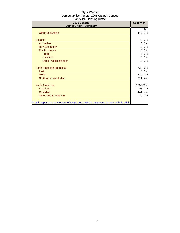| 2006 Census<br><b>Ethnic Origin - Summary</b>                                        |           | <b>Sandwich</b> |
|--------------------------------------------------------------------------------------|-----------|-----------------|
|                                                                                      |           | %               |
| <b>Other East Asian</b>                                                              | 142       | 1%              |
| Oceania                                                                              | 0         | 0%              |
| Australian                                                                           | 0         | 0%              |
| New Zealander                                                                        | 0         | 0%              |
| Pacific Islands                                                                      | 0         | 0%              |
| Fijian                                                                               | 0         | 0%              |
| Hawaiian                                                                             | 0         | 0%              |
| <b>Other Pacific Islander</b>                                                        | 0         | 0%              |
| North American Aboriginal                                                            | 638       | 6%              |
| <b>Inuit</b>                                                                         | 0         | 0%              |
| <b>Métis</b>                                                                         | 130       | 1%              |
| North American Indian                                                                | 511       | 4%              |
| North American                                                                       | 3,288 29% |                 |
| American                                                                             |           | 205 2%          |
| Canadian                                                                             | 3,14427%  |                 |
| <b>Other North American</b>                                                          | 10        | 0%              |
| *Total responses are the sum of single and multiple responses for each ethnic origin |           |                 |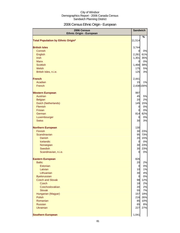# 2006 Census Ethnic Origin - European

| 2006 Census<br><b>Ethnic Origin - European</b> | <b>Sandwich</b>      |           |
|------------------------------------------------|----------------------|-----------|
|                                                |                      | %         |
| <b>Total Population by Ethnic Origin*</b>      | 11,514               |           |
| <b>British Isles</b>                           | 3,744                |           |
| Cornish                                        | 0                    | 0%        |
| English                                        | 2,281                | 61%       |
| <b>Irish</b>                                   | 1,301                | 35%       |
| <b>Manx</b>                                    | $\overline{0}$       | 0%        |
| <b>Scottish</b>                                | 1,466 39%            |           |
| Welsh                                          | 175                  | 5%        |
| British Isles, n.i.e.                          | 125                  | 3%        |
| <b>French</b>                                  | 2,441                |           |
| Acadian                                        | 15                   | 1%        |
| French                                         | 2,438 100%           |           |
| <b>Western European</b>                        | 997                  |           |
| Austrian                                       | 45                   | 5%        |
| <b>Belgian</b>                                 | 20                   | 2%        |
| Dutch (Netherlands)                            | 145                  | 15%       |
| <b>Flemish</b>                                 | $\overline{0}$       | 0%        |
| Frisian                                        | $\overline{0}$       | 0%        |
| German                                         | 814                  | 82%       |
| Luxembourger                                   | 0                    | 0%        |
| <b>Swiss</b>                                   | 30                   | 3%        |
| <b>Northern European</b>                       | 130                  |           |
| Finnish                                        | 30                   | 23%       |
| Scandinavian                                   | 95                   | 73%       |
| <b>Danish</b>                                  | 20                   | 15%       |
| Icelandic                                      | $\overline{O}$       | 0%        |
| Norwegian                                      |                      | 30 23%    |
| Swedish                                        | 30                   | 23%<br>0% |
| Scandinavian, n.i.e.                           | 0                    |           |
| <b>Eastern European</b>                        | 826                  |           |
| <b>Baltic</b>                                  | 20                   | 2%        |
| Estonian                                       | $\overline{0}$       | 0%        |
| Latvian                                        | 10                   | 1%        |
| Lithuanian                                     | 30                   | 4%        |
| <b>Byelorussian</b><br><b>Czech and Slovak</b> | $\overline{0}$<br>98 | 0%<br>12% |
| <b>Czech</b>                                   | 18                   | 2%        |
| Czechoslovakian                                | 20                   | 2%        |
| <b>Slovak</b>                                  | 55                   | 7%        |
| Hungarian (Magyar)                             | 157                  | 19%       |
| Polish                                         | 216                  | 26%       |
| Romanian                                       | 85                   | 10%       |
| <b>Russian</b>                                 | 65                   | 8%        |
| <b>Ukrainian</b>                               | 227                  | 27%       |
| <b>Southern European</b>                       | 1,041                |           |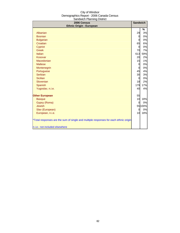| 2006 Census<br><b>Ethnic Origin - European</b>                                       | <b>Sandwich</b> |         |
|--------------------------------------------------------------------------------------|-----------------|---------|
|                                                                                      |                 | %       |
| Albanian                                                                             | 29              | 3%      |
| <b>Bosnian</b>                                                                       | $\overline{0}$  | 0%      |
| <b>Bulgarian</b>                                                                     | $\Omega$        | 0%      |
| Croatian                                                                             | 65              | 6%      |
| Cypriot                                                                              | $\overline{0}$  | 0%      |
| <b>Greek</b>                                                                         | 70              | 7%      |
| <b>Italian</b>                                                                       | 613             | 59%     |
| Kosovar                                                                              | 20              | 2%      |
| Macedonian                                                                           | 15              | 1%      |
| <b>Maltese</b>                                                                       | 0               | 0%      |
| Montenegrin                                                                          | $\overline{0}$  | 0%      |
| Portuguese                                                                           | 45              | 4%      |
| Serbian                                                                              | 30              | 3%      |
| <b>Sicilian</b>                                                                      | $\overline{0}$  | 0%      |
| Slovenian                                                                            | 18              | 2%      |
| <b>Spanish</b>                                                                       | 179             | 17%     |
| Yugoslav, n.i.e.                                                                     | 40              | 4%      |
| <b>Other European</b>                                                                | 55              |         |
| <b>Basque</b>                                                                        | 10              | 18%     |
| Gypsy (Roma)                                                                         | $\Omega$        | 0%      |
| <b>Jewish</b>                                                                        |                 | 55 100% |
| Slav (European)                                                                      | $\Omega$        | 0%      |
| European, n.i.e.                                                                     | 10 <sup>1</sup> | 18%     |
| *Total responses are the sum of single and multiple responses for each ethnic origin |                 |         |
| n.i.e.: not included elsewhere                                                       |                 |         |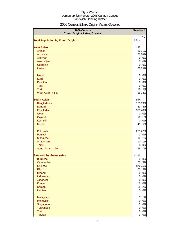# 2006 Census Ethnic Origin - Asian, Oceanic

| Ethnic Origin - Asian, Oceanic<br><b>Total Population by Ethnic Origin*</b> | 11,514         | $\%$    |
|-----------------------------------------------------------------------------|----------------|---------|
|                                                                             |                |         |
|                                                                             |                |         |
| <b>West Asian</b>                                                           | 195            |         |
| Afghan                                                                      |                | 6031%   |
| Armenian                                                                    |                | 7036%   |
| Assyrian                                                                    | $\overline{a}$ | 0%      |
| Azerbaijani                                                                 | $\overline{O}$ | 0%      |
| Georgian                                                                    | $\overline{0}$ | 0%      |
| Iranian                                                                     |                | 6533%   |
|                                                                             |                |         |
| <b>Israeli</b>                                                              | $\overline{O}$ | 0%      |
| <b>Kurd</b>                                                                 | $\overline{O}$ | 0%      |
| Pashtun                                                                     | $\overline{O}$ | 0%      |
| <b>Tatar</b>                                                                | $\overline{0}$ | 0%      |
| <b>Turk</b>                                                                 | 10             | 5%      |
| West Asian, n.i.e.                                                          |                | 5528%   |
| <b>South Asian</b>                                                          | 844            |         |
| Bangladeshi                                                                 |                | 163 19% |
| <b>Bengali</b>                                                              |                | 33 4%   |
| East Indian                                                                 |                | 33540%  |
| Goan                                                                        | $\overline{0}$ | 0%      |
| Gujarati                                                                    | 10             | 1%      |
| Kashmiri                                                                    | $\Omega$       | 0%      |
| Nepali                                                                      | 45             | 5%      |
| Pakistani                                                                   |                | 231 27% |
| Punjabi                                                                     | $\mathbf{0}$   | 0%      |
| <b>Sinhalese</b>                                                            | 10             | 1%      |
| Sri Lankan                                                                  | 10             | 1%      |
| Tamil                                                                       | 0              | 0%      |
| South Asian, n.i.e.                                                         | 55             | 7%      |
| <b>East and Southeast Asian</b>                                             | 1,163          |         |
| <b>Burmese</b>                                                              | $\mathbf{0}$   | 0%      |
| Cambodian                                                                   | 60             | 5%      |
| <b>Chinese</b>                                                              |                | 87275%  |
| Filipino                                                                    | 53             | 5%      |
| Hmong                                                                       | $\overline{O}$ | 0%      |
| Indonesian                                                                  | $\mathbf{0}$   | 0%      |
| Japanese                                                                    | $\mathbf{0}$   | 0%      |
| <b>Khmer</b>                                                                | $\overline{0}$ | 0%      |
| Korean                                                                      | 25             | 2%      |
| Laotian                                                                     | $\overline{O}$ | 0%      |
| Malaysian                                                                   | $\overline{7}$ | 1%      |
| Mongolian                                                                   | $\overline{0}$ | 0%      |
| Singaporean                                                                 | $\overline{0}$ | 0%      |
| <b>Taiwanese</b>                                                            | $\overline{0}$ | 0%      |
| Thai                                                                        | $\overline{0}$ | 0%      |
| Tibetan                                                                     | $\overline{0}$ | 0%      |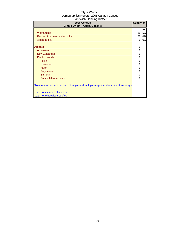| 2006 Census<br>Ethnic Origin - Asian, Oceanic                                        | <b>Sandwich</b> |    |
|--------------------------------------------------------------------------------------|-----------------|----|
|                                                                                      |                 | ℅  |
| Vietnamese                                                                           | 59              | 5% |
| East or Southeast Asian, n.i.e.                                                      | 75              | 6% |
| Asian, n.o.s.                                                                        | 0               | 0% |
| <b>Oceania</b>                                                                       |                 |    |
| Australian                                                                           |                 |    |
| <b>New Zealander</b>                                                                 |                 |    |
| Pacific Islands                                                                      |                 |    |
| Fijian                                                                               | 0               |    |
| <b>Hawaiian</b>                                                                      |                 |    |
| Maori                                                                                |                 |    |
| Polynesian                                                                           | 0               |    |
| Samoan                                                                               | 0               |    |
| Pacific Islander, n.i.e.                                                             |                 |    |
| *Total responses are the sum of single and multiple responses for each ethnic origin |                 |    |
| n.i.e.: not included elsewhere                                                       |                 |    |
| n.o.s: not otherwise specfied                                                        |                 |    |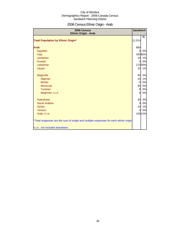# 2006 Census Ethnic Origin - Arab

| 2006 Census<br><b>Ethnic Origin - Arab</b>                                           | <b>Sandwich</b> |         |
|--------------------------------------------------------------------------------------|-----------------|---------|
|                                                                                      |                 | $\%$    |
| <b>Total Population by Ethnic Origin*</b>                                            | 11,514          |         |
| <b>Arab</b>                                                                          | 860             |         |
| Egyptian                                                                             | $\Omega$        | 0%      |
| Iraqi                                                                                |                 | 430 50% |
| Jordanian                                                                            | 10              | 1%      |
| Kuwaiti                                                                              | $\mathbf{0}$    | 0%      |
| Lebanese                                                                             |                 | 170 20% |
| Libyan                                                                               |                 | 10 1%   |
| Maghrebi                                                                             | 45              | 5%      |
| Algerian                                                                             | 10              | 1%      |
| <b>Berber</b>                                                                        | $\Omega$        | 0%      |
| Moroccan                                                                             | 45              | 5%      |
| Tunisian                                                                             | $\Omega$        | 0%      |
| Maghrebi, n.i.e.                                                                     | $\Omega$        | 0%      |
| Palestinian                                                                          | 30              | 3%      |
| Saudi Arabian                                                                        | $\overline{0}$  | 0%      |
| Syrian                                                                               | 10              | 1%      |
| Yemeni                                                                               | $\overline{0}$  | 0%      |
| Arab, n.i.e.                                                                         |                 | 100 12% |
| *Total responses are the sum of single and multiple responses for each ethnic origin |                 |         |
| n.i.e.: not included elsewhere                                                       |                 |         |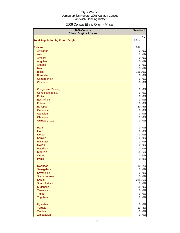# 2006 Census Ethnic Origin - African

| 2006 Census<br><b>Ethnic Origin - African</b> | <b>Sandwich</b> |         |
|-----------------------------------------------|-----------------|---------|
|                                               |                 | %       |
| <b>Total Population by Ethnic Origin*</b>     | 11,514          |         |
| <b>African</b>                                | 596             |         |
| Afrikaner                                     | $\mathbf{0}$    | 0%      |
| Akan                                          | $\overline{0}$  | 0%      |
| Amhara                                        | $\overline{0}$  | $0\%$   |
| Angolan                                       | $\overline{0}$  | 0%      |
| Ashanti                                       | $\overline{0}$  | $0\%$   |
| <b>Bantu</b>                                  | 0               | 0%      |
| <b>Black</b>                                  |                 | 116 20% |
| <b>Burundian</b>                              | $\overline{0}$  | 0%      |
| Cameroonian                                   | $\overline{0}$  | 0%      |
| Chadian                                       | $\overline{0}$  | 0%      |
|                                               |                 |         |
| Congolese (Zairian)                           | $\overline{0}$  | 0%      |
| Congolese, n.o.s.                             | $\overline{0}$  | $0\%$   |
| <b>Dinka</b>                                  | $\overline{0}$  | 0%      |
| <b>East African</b>                           | $\overline{0}$  | 0%      |
| Eritrean                                      | 0               | 0%      |
| Ethiopian                                     | 30              | 5%      |
| Gabonese                                      | $\overline{0}$  | 0%      |
| Gambian                                       | 0               | $0\%$   |
| Ghanaian                                      | 0               | $0\%$   |
| Guinean, n.o.s.                               | 0               | 0%      |
|                                               |                 |         |
| Harari                                        | $\overline{0}$  | 0%      |
| Ibo                                           | $\overline{0}$  | 0%      |
| <b>Ivorian</b>                                | $\overline{0}$  | 0%      |
| Kenyan                                        | $\overline{0}$  | 0%      |
| <b>Malagasy</b>                               | $\overline{0}$  | 0%      |
| <b>Malian</b>                                 | $\overline{0}$  | 0%      |
| <b>Mauritian</b>                              | 0               | 0%      |
| Nigerian                                      | 35              | 6%      |
| Oromo                                         | $\mathbf 0$     | $0\%$   |
| Peulh                                         | <sub>0</sub>    | $0\%$   |
|                                               |                 |         |
| Rwandan                                       | 10 <sub>1</sub> | 2%      |
| Senegalese                                    | $\overline{a}$  | 0%      |
| Seychellois                                   | $\overline{O}$  | 0%      |
| Sierra Leonean                                | $\mathbf{0}$    | 0%      |
| Somali                                        |                 | 21536%  |
| South African                                 | $\overline{0}$  | $0\%$   |
| Sudanese                                      | 55              | 9%      |
| Tanzanian                                     | $\mathbf{0}$    | 0%      |
| Tigrian                                       | $\overline{a}$  | 0%      |
| <b>Togolese</b>                               | $\overline{0}$  | 0%      |
|                                               |                 |         |
| Ugandan                                       | $\overline{O}$  | 0%      |
| Yoruba                                        | 20              | 3%      |
| Zambian                                       | $\overline{0}$  | $0\%$   |
| Zimbabwean                                    | 0               | 0%      |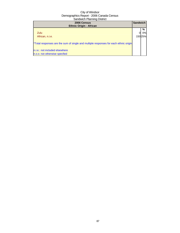| 2006 Census<br><b>Ethnic Origin - African</b>                                        | <b>Sandwich</b> |          |
|--------------------------------------------------------------------------------------|-----------------|----------|
| Zulu                                                                                 |                 | %<br>0%l |
| African, n.i.e.                                                                      |                 | 15025%   |
| *Total responses are the sum of single and multiple responses for each ethnic origin |                 |          |
| n.i.e.: not included elsewhere<br>n.o.s: not otherwise specfied                      |                 |          |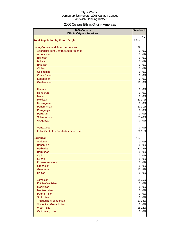# 2006 Census Ethnic Origin - Americas

| 2006 Census<br><b>Ethnic Origin - Americas</b> | <b>Sandwich</b>                  |             |
|------------------------------------------------|----------------------------------|-------------|
|                                                |                                  | $\%$        |
| <b>Total Population by Ethnic Origin*</b>      | 11,514                           |             |
| <b>Latin, Central and South American</b>       | 178                              |             |
| Aboriginal from Central/South America          | $\mathbf{0}$                     | 0%          |
| Argentinian                                    | $\overline{0}$                   | 0%          |
| <b>Belizean</b>                                | $\overline{0}$                   | 0%          |
| <b>Bolivian</b>                                | $\overline{0}$                   | 0%          |
| <b>Brazilian</b>                               | $\overline{0}$                   | 0%          |
| Chilean                                        | $\overline{0}$                   | 0%          |
| Colombian                                      | $\overline{0}$                   | 0%          |
| <b>Costa Rican</b>                             | $\overline{0}$                   | 0%          |
| Ecuadorian                                     | 0                                | 0%          |
| Guatemalan                                     | 10                               | 6%          |
| Hispanic                                       | 0                                | 0%          |
| Honduran                                       | $\overline{0}$                   | 0%          |
| Maya                                           | 0                                | 0%          |
| Mexican                                        |                                  | 3017%       |
| Nicaraguan                                     | 0                                | 0%          |
| Panamanian                                     |                                  | 2011%       |
| Paraguayan                                     | $\overline{0}$                   | 0%          |
| Peruvian                                       | 0                                | 0%          |
| Salvadorean                                    |                                  | 8548%       |
| Uruguayan                                      | $\overline{0}$                   | 0%          |
| Venezuelan                                     | 0                                | 0%          |
| Latin, Central or South American, n.i.e.       |                                  | 2011%       |
|                                                |                                  |             |
| <b>Caribbean</b>                               | 127                              |             |
| Antiguan                                       | $\overline{0}$                   | 0%          |
| <b>Bahamian</b><br><b>Barbadian</b>            | 0                                | 0%<br>3024% |
| Bermudan                                       | $\overline{0}$                   | 0%          |
| Carib                                          | 0                                | 0%          |
| Cuban                                          | 0                                | 0%          |
| Dominican, n.o.s.                              | $\overline{0}$                   | 0%          |
| Grenadian                                      | $\overline{0}$                   | 0%          |
| Guyanese                                       | 10                               | 8%          |
| <b>Haitian</b>                                 | $\overline{0}$                   | 0%          |
|                                                |                                  |             |
| Jamaican                                       |                                  | 9575%       |
| Kittitian/Nevisian<br><b>Martinican</b>        | $\overline{0}$<br>$\overline{0}$ | 0%<br>0%    |
| Montserratan                                   | $\overline{0}$                   | 0%          |
| <b>Puerto Rican</b>                            | $\overline{0}$                   | 0%          |
| St. Lucian                                     | $\overline{0}$                   | 0%          |
| Trinidadian/Tobagonian                         |                                  | 1713%       |
| Vincentian/Grenadinian                         | $\mathbf{0}$                     | 0%          |
| West Indian                                    |                                  | 28 22%      |
| Caribbean, n.i.e.                              |                                  | 0 0%        |
|                                                |                                  |             |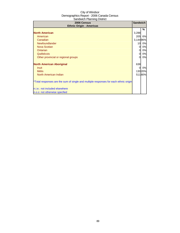| 2006 Census<br><b>Ethnic Origin - Americas</b>                                       | <b>Sandwich</b> |        |
|--------------------------------------------------------------------------------------|-----------------|--------|
|                                                                                      |                 | %      |
| <b>North American</b>                                                                | 3,288           |        |
| American                                                                             | 205             | 6%     |
| Canadian                                                                             | 3,14496%        |        |
| Newfoundlander                                                                       | 10              | 0%     |
| <b>Nova Scotian</b>                                                                  | 0               | 0%     |
| Ontarian                                                                             | 0               | 0%     |
| Québécois                                                                            | 0               | 0%     |
| Other provincial or regional groups                                                  | $\Omega$        | 0%     |
| <b>North American Aboriginal</b>                                                     | 638             |        |
| Inuit                                                                                | 0               | 0%     |
| <b>Métis</b>                                                                         |                 | 13020% |
| North American Indian                                                                |                 | 51180% |
| *Total responses are the sum of single and multiple responses for each ethnic origin |                 |        |
| n.i.e.: not included elsewhere                                                       |                 |        |
| n.o.s: not otherwise specfied                                                        |                 |        |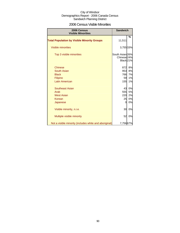### 2006 Census Visible Minorities

| 2006 Census<br><b>Visible Minorities</b>               | <b>Sandwich</b>                                        |    |
|--------------------------------------------------------|--------------------------------------------------------|----|
| <b>Total Population by Visible Minority Groups</b>     | 11,511                                                 | %  |
| Visible minorities                                     | 3,755 33%                                              |    |
| Top 3 visible minorities                               | South Asian 26%<br>Chinese <sub>24%</sub><br>Black 21% |    |
| <b>Chinese</b>                                         | 872                                                    | 8% |
| South Asian                                            | 953                                                    | 8% |
| <b>Black</b>                                           | 766                                                    | 7% |
| Filipino                                               | 59                                                     | 1% |
| <b>Latin American</b>                                  | 155                                                    | 1% |
| Southeast Asian                                        | 43                                                     | 0% |
| Arab                                                   | 555                                                    | 5% |
| <b>West Asian</b>                                      | 220                                                    | 2% |
| Korean                                                 | 25                                                     | 0% |
| Japanese                                               | 0                                                      | 0% |
| Visible minority, n.i.e.                               | 30                                                     | 0% |
| Multiple visible minority                              | 52                                                     | 0% |
| Not a visible minority (includes white and aboriginal) | 7,756 67%                                              |    |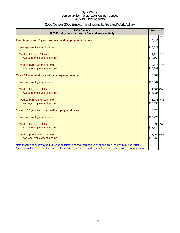# 2006 Census 2005 Employment Income by Sex and Work Activity

| 2006 Census<br>2005 Employment Income by Sex and Work Activity                                              | <b>Sandwich</b> |
|-------------------------------------------------------------------------------------------------------------|-----------------|
|                                                                                                             | %               |
| Total Population 15 years and over with employment income                                                   | 5,436           |
| Average employment income                                                                                   | \$25,528        |
| Worked full year, full time                                                                                 | 2,324 43%       |
| Average employment income                                                                                   | \$40,168        |
| Worked part year or part time                                                                               | 2,57747%        |
| Average employment income                                                                                   | \$15,982        |
| Males 15 years and over with employment income                                                              | 2,907           |
| Average employment income                                                                                   | \$29,864        |
| Worked full year, full time                                                                                 | 1,30545%        |
| Average employment income                                                                                   | \$45,036        |
| Worked part year or part time                                                                               | 1,28844%        |
| Average employment income                                                                                   | \$20,053        |
| Females 15 years and over with employment income                                                            | 2,520           |
| Average employment income                                                                                   | \$20,476        |
| Worked full year, full time                                                                                 | 890 35%         |
| Average employment income                                                                                   | \$35,314        |
| Worked part year or part time                                                                               | 1,269 50%       |
| Average employment income                                                                                   | \$12,063        |
| Note that the sum of "worked full year, full time" and "worked part year or part time" counts may not equal |                 |
| "persons with employment income". This is due to persons reporting employment income from a previous year.  |                 |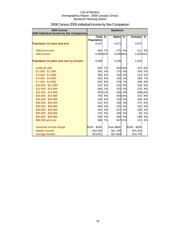| 2006 Census<br>2005 Individual Income by Sex Comparison |                              |         | <b>Sandwich</b> |               |                |        |
|---------------------------------------------------------|------------------------------|---------|-----------------|---------------|----------------|--------|
|                                                         | Total %<br><b>Population</b> |         | Males           | $\frac{9}{6}$ | <b>Females</b> | $\%$   |
| Population 15 years and over                            | 9,167                        |         | 4,472           |               | 4,672          |        |
| Without income                                          | 684                          | 7%      | <b>275</b>      | 6%            | 411            | 9%     |
| With income                                             | 8,48993%                     |         | 4,208 94%       |               | 4,26391%       |        |
| Population 15 years and over by Income                  | 8,489                        |         | 4,208           |               | 4,263          |        |
| <b>Under \$1,000</b>                                    | 635                          | 7%      |                 | 402 10%       | 241            | 6%     |
| $$1,000 - $2,999$                                       | 392                          | 5%      | 170             | 4%            | 204            | 5%     |
| $$3,000 - $4,999$                                       | 395                          | 5%      | 160             | 4%            | 210            | 5%     |
| $$5,000 - $6,999$                                       | 403                          | 5%      | 105             | 2%            | 285            | 7%     |
| $$7,000 - $9,999$                                       | 642                          | 8%      | 276             | 7%            | 356            | 8%     |
| $$10,000 - $11,999$                                     | 547                          | 6%      |                 | 225 5%        | 334            | 8%     |
| \$12,000 - \$14,999                                     | 584                          | 7%      | 203             | 5%            | 376            | 9%     |
| \$15,000 - \$19,999                                     |                              | 952 11% | 338             | 8%            |                | 58014% |
| \$20,000 - \$24,999                                     | 740                          | 9%      |                 | 434 10%       | 337            | 8%     |
| \$25,000 - \$29,999                                     | 530                          | 6%      |                 | 229 5%        | 268            | 6%     |
| \$30,000 - \$34,999                                     | 514                          | 6%      |                 | 196 5%        | 272            | 6%     |
| \$35,000 - \$39,999                                     | 464                          | 5%      | 235             | 6%            | 161            | 4%     |
| \$40,000 - \$44,999                                     | 342                          | 4%      | 227             | 5%            | 108            | 3%     |
| \$45,000 - \$49,999                                     | 224                          | 3%      | 160             | 4%            | 33             | 1%     |
| \$50,000 - \$59,999                                     | 450                          | 5%      | 248             | 6%            | 188            | 4%     |
| \$60,000 and over                                       | 588                          | 7%      |                 | 457 11%       | 121            | 3%     |
| <b>Dominant Income Range</b>                            | \$15K - \$20K                |         | Over \$60K      |               | \$15K - \$20K  |        |
| Median Income                                           | \$18,166                     |         | \$21,766        |               | \$15,262       |        |
| Average Income                                          | \$23,691                     |         | \$27,664        |               | \$19,792       |        |

# 2006 Census 2005 Individual Income by Sex Comparison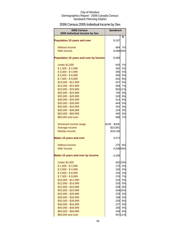# 2006 Census 2005 Individual Income by Sex

| 2006 Census<br>2005 Individual Income by Sex | <b>Sandwich</b>   |               |
|----------------------------------------------|-------------------|---------------|
| <b>Population 15 years and over</b>          | 9,167             | %             |
| Without income                               | 684I              | 7%            |
| With income                                  | 8,48993%          |               |
| Population 15 years and over by Income       | 8,489             |               |
| <b>Under \$1,000</b>                         | 635               | 7%            |
| $$1,000 - $2,999$                            | 392               | 5%            |
| $$3,000 - $4,999$                            | 395               | 5%            |
| $$5,000 - $6,999$                            | 403               | 5%            |
| $$7,000 - $9,999$                            | 642               | 8%            |
| \$10,000 - \$11,999                          | 547               | 6%            |
| \$12,000 - \$14,999                          | 584               | 7%            |
| \$15,000 - \$19,999                          |                   | 952 11%       |
| \$20,000 - \$24,999                          | 740               | 9%            |
| \$25,000 - \$29,999                          | 530               | 6%            |
| \$30,000 - \$34,999                          | 514               | 6%            |
| \$35,000 - \$39,999                          | 464l              | 5%            |
| \$40,000 - \$44,999<br>\$45,000 - \$49,999   | 342<br><b>224</b> | 4%<br>3%      |
| \$50,000 - \$59,999                          | 450               | 5%            |
| \$60,000 and over                            | 588               | 7%            |
|                                              |                   |               |
| Dominant income range                        | \$15K - \$20K     |               |
| Average income                               | \$23,691          |               |
| <b>Median income</b>                         | \$18,166          |               |
| <b>Males 15 years and over</b>               | 4,472             |               |
| Without income                               | 2751              | 6%            |
| With income                                  | 4,20894%          |               |
| <b>Males 15 years and over by Income</b>     | 4,208             |               |
| <b>Under \$1,000</b>                         |                   | 402 10%       |
| $$1,000 - $2,999$                            | <b>170</b>        | 4%            |
| $$3,000 - $4,999$                            | 160               | 4%            |
| $$5,000 - $6,999$                            | 105               | 2%            |
| $$7,000 - $9,999$                            | 276               | 7%            |
| \$10,000 - \$11,999                          | 225               | 5%            |
| \$12,000 - \$14,999                          | 203               | 5%            |
| \$15,000 - \$19,999<br>\$20,000 - \$24,999   | 338               | 8%<br>434 10% |
| \$25,000 - \$29,999                          | 229               | 5%            |
| \$30,000 - \$34,999                          | 196               | 5%            |
| \$35,000 - \$39,999                          | 235               | 6%            |
| \$40,000 - \$44,999                          | 227               | 5%            |
| \$45,000 - \$49,999                          | 160               | 4%            |
| \$50,000 - \$59,999                          | 248               | 6%            |
| \$60,000 and over                            |                   | 45711%        |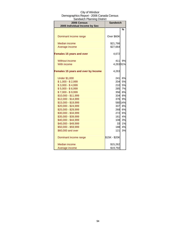| ,,,,,,,,,,,,<br><b>2006 Census</b><br>2005 Individual Income by Sex | <b>Sandwich</b> |         |  |
|---------------------------------------------------------------------|-----------------|---------|--|
|                                                                     |                 | %       |  |
|                                                                     |                 |         |  |
| Dominant income range                                               | Over \$60K      |         |  |
| <b>Median income</b>                                                | \$21,766        |         |  |
| Average income                                                      | \$27,664        |         |  |
| <b>Females 15 years and over</b>                                    | 4,672           |         |  |
| <b>Without income</b>                                               | 411             | 9%      |  |
| With income                                                         | 4,26391%        |         |  |
| Females 15 years and over by Income                                 | 4,263           |         |  |
| <b>Under \$1,000</b>                                                | 241             | 6%      |  |
| $$1,000 - $2,999$                                                   | 204             | 5%      |  |
| $$3,000 - $4,999$                                                   | 210             | 5%      |  |
| $$5,000 - $6,999$                                                   | 285             | 7%      |  |
| $$7,000 - $9,999$                                                   | 356             | 8%      |  |
| $$10,000 - $11,999$                                                 | 334l            | 8%      |  |
| \$12,000 - \$14,999                                                 | 376             | 9%      |  |
| \$15,000 - \$19,999                                                 |                 | 580 14% |  |
| \$20,000 - \$24,999                                                 | 337             | 8%      |  |
| \$25,000 - \$29,999                                                 | 268             | 6%      |  |
| \$30,000 - \$34,999                                                 | 272             | 6%      |  |
| \$35,000 - \$39,999                                                 | 161             | 4%      |  |
| \$40,000 - \$44,999                                                 | 108             | 3%      |  |
| \$45,000 - \$49,999                                                 | 33              | 1%      |  |
| \$50,000 - \$59,999                                                 | 188             | 4%      |  |
| \$60,000 and over                                                   | 121             | 3%      |  |
| Dominant income range                                               | \$15K - \$20K   |         |  |
| Median income                                                       | \$15,262        |         |  |
| Average income                                                      | \$19,792        |         |  |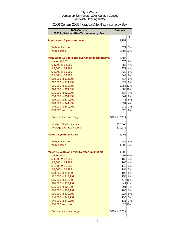# 2006 Census 2005 Individual After-Tax Income by Sex

| 2006 Census                                      | <b>Sandwich</b> |                  |
|--------------------------------------------------|-----------------|------------------|
| 2005 Individual After-Tax Income by Sex          |                 |                  |
| <b>Population 15 years and over</b>              | 9,152           | %                |
| Without income                                   | 677             | 7%               |
| With income                                      | 8,48493%        |                  |
|                                                  |                 |                  |
| Population 15 years and over by after-tax income | 8,484           |                  |
| <b>Under \$1,000</b>                             | 670             | 8%               |
| \$1,000 to \$2,999                               | 382             | 4%               |
| \$3,000 to \$4,999                               | 371             | 4%               |
| \$5,000 to \$6,999                               |                 | 428 5%<br>649 8% |
| \$7,000 to \$9,999<br>\$10,000 to \$11,999       | 517             | 6%               |
| \$12,000 to \$14,999                             | 672             | 8%               |
| \$15,000 to \$19,999                             | 1,055 12%       |                  |
| \$20,000 to \$24,999                             |                 | 883 10%          |
| \$25,000 to \$29,999                             | 634             | 7%               |
| \$30,000 to \$34,999                             | 544             | 6%               |
| \$35,000 to \$39,999                             | 473             | 6%               |
| \$40,000 to \$44,999                             | 331             | 4%               |
| \$45,000 to \$49,999                             | 230             | 3%               |
| \$50,000 and over                                | 528             | 6%               |
| Dominant income range                            | \$15K to \$20K  |                  |
| Median after-tax income                          | \$17,346        |                  |
| Average after-tax income                         | \$20,976        |                  |
| <b>Males 15 years and over</b>                   | 4,468           |                  |
| Without income                                   | 282             | 6%               |
| With income                                      | 4,20994%        |                  |
| Males 15 years and over by after-tax income      | 4,209           |                  |
| <b>Under \$1,000</b>                             |                 | 402 10%          |
| \$1,000 to \$2,999                               | 165             | 4%               |
| \$3,000 to \$4,999                               |                 | 165 4%           |
| \$5,000 to \$6,999<br>\$7,000 to \$9,999         |                 | 142 3%<br>294 7% |
| \$10,000 to \$11,999                             |                 | 190 5%           |
| \$12,000 to \$14,999                             |                 | 254 6%           |
| \$15,000 to \$19,999                             |                 | 417 10%          |
| \$20,000 to \$24,999                             |                 | 447 11%          |
| \$25,000 to \$29,999                             | 291             | 7%               |
| \$30,000 to \$34,999                             | 285             | 7%               |
| \$35,000 to \$39,999                             | 327             | 8%               |
| \$40,000 to \$44,999                             |                 | 198 5%           |
| \$45,000 to \$49,999                             | 135             | 3%               |
| \$50,000 and over                                |                 | 426 10%          |
| Dominant income range                            | \$20K to \$25K  |                  |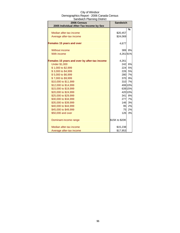| City of Windsor                          |
|------------------------------------------|
| Demographics Report - 2006 Canada Census |
| Sandwich Planning District               |

| 2006 Census<br>2005 Individual After-Tax Income by Sex | <b>Sandwich</b> |           |
|--------------------------------------------------------|-----------------|-----------|
|                                                        |                 | $\%$      |
| Median after-tax income                                | \$20,457        |           |
| Average after-tax income                               | \$24,069        |           |
| <b>Females 15 years and over</b>                       | 4,677           |           |
| Without income                                         | 389             | <b>8%</b> |
| With income                                            | 4,26191%        |           |
| Females 15 years and over by after-tax income          | 4,261           |           |
| <b>Under \$1,000</b>                                   | 242             | 6%        |
| \$1,000 to \$2,999                                     |                 | 224 5%    |
| \$3,000 to \$4,999                                     |                 | 226 5%    |
| \$5,000 to \$6,999                                     | 280             | 7%        |
| \$7,000 to \$9,999                                     |                 | 370 9%    |
| \$10,000 to \$11,999                                   |                 | 310 7%    |
| \$12,000 to \$14,999                                   |                 | 406 10%   |
| \$15,000 to \$19,999                                   |                 | 639 15%   |
| \$20,000 to \$24,999                                   |                 | 420 10%   |
| \$25,000 to \$29,999                                   | 341             | 8%        |
| \$30,000 to \$34,999                                   |                 | 277 7%    |
| \$35,000 to \$39,999                                   | 146             | 3%        |
| \$40,000 to \$44,999                                   | 95              | 2%        |
| \$45,000 to \$49,999                                   | 75              | 2%        |
| \$50,000 and over                                      | 126             | 3%        |
| Dominant income range                                  | \$15K to \$20K  |           |
| Median after-tax income                                | \$15,238        |           |
| Average after-tax income                               | \$17,953        |           |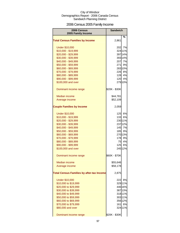# 2006 Census 2005 Family Income

| 2006 Census<br>2005 Family Income                | <b>Sandwich</b> |         |
|--------------------------------------------------|-----------------|---------|
|                                                  |                 | %       |
| <b>Total Census Families by Income</b>           | 2,861           |         |
| <b>Under \$10,000</b>                            | 202             | 7%      |
| \$10,000 - \$19,999                              |                 | 324 11% |
| \$20,000 - \$29,999                              |                 | 397 14% |
| \$30,000 - \$39,999                              |                 | 393 14% |
| \$40,000 - \$49,999                              | 207             | 7%      |
| \$50,000 - \$59,999                              | 271             | 9%      |
| \$60,000 - \$69,999                              |                 | 28310%  |
| \$70,000 - \$79,999                              |                 | 226 8%  |
| \$80,000 - \$89,999                              |                 | 128 4%  |
| \$90,000 - \$99,999                              | 120             | 4%      |
| \$100,000 and over                               |                 | 279 10% |
| Dominant income range                            | \$20K - \$30K   |         |
| Median income                                    | \$44,781        |         |
| Average income                                   | \$52,109        |         |
| <b>Couple Families by Income</b>                 | 2,059           |         |
| <b>Under \$10,000</b>                            | 125             | 6%      |
| \$10,000 - \$19,999                              | 133             | 6%      |
| \$20,000 - \$29,999                              |                 | 230 11% |
| \$30,000 - \$39,999                              |                 | 23712%  |
| \$40,000 - \$49,999                              |                 | 145 7%  |
| \$50,000 - \$59,999                              | 185             | 9%      |
| \$60,000 - \$69,999                              |                 | 27013%  |
| \$70,000 - \$79,999                              | 178             | 9%      |
| \$80,000 - \$89,999                              | 75              | 4%      |
| \$90,000 - \$99,999                              | 125             | 6%      |
| \$100,000 and over                               |                 | 245 12% |
| Dominant income range                            | \$60K - \$70K   |         |
| <b>Median income</b>                             | \$55,646        |         |
| Average income                                   | \$58,178        |         |
| <b>Total Census Families by after-tax Income</b> | 2,875           |         |
| <b>Under \$10,000</b>                            | 222             | 8%      |
| \$10,000 to \$19,999                             |                 | 32911%  |
| \$20,000 to \$29,999                             |                 | 446 16% |
| \$30,000 to \$39,999                             |                 | 38713%  |
| \$40,000 to \$49,999                             |                 | 318 11% |
| \$50,000 to \$59,999                             |                 | 303 11% |
| \$60,000 to \$69,999                             |                 | 356 12% |
| \$70,000 to \$79,999                             | 161             | 6%      |
| \$80,000 and over                                |                 | 324 11% |
| Dominant income range                            | \$20K - \$30K   |         |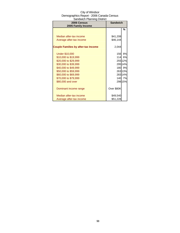| 2006 Census<br>2005 Family Income          | <b>Sandwich</b> |         |
|--------------------------------------------|-----------------|---------|
|                                            |                 | %       |
|                                            |                 |         |
| Median after-tax income                    | \$41,208        |         |
| Average after-tax income                   | \$46,144        |         |
| <b>Couple Families by after-tax Income</b> | 2,044           |         |
| <b>Under \$10,000</b>                      | 156             | 8%      |
| \$10,000 to \$19,999                       | 114             | 6%      |
| \$20,000 to \$29,999                       |                 | 255 12% |
| \$30,000 to \$39,999                       |                 | 295 14% |
| \$40,000 to \$49,999                       |                 | 180 9%  |
| \$50,000 to \$59,999                       |                 | 26313%  |
| \$60,000 to \$69,999                       |                 | 28314%  |
| \$70,000 to \$79,999                       |                 | 140 7%  |
| \$80,000 and over                          |                 | 298 15% |
| Dominant income range                      | Over \$80K      |         |
| Median after-tax income                    | \$49,540        |         |
| Average after-tax income                   | \$51,228        |         |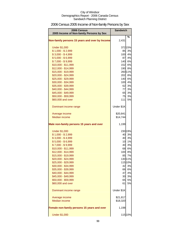# 2006 Census 2005 Income of Non-family Persons by Sex

| 2006 Census<br>2005 Income of Non-family Persons by Sex | <b>Sandwich</b> |         |
|---------------------------------------------------------|-----------------|---------|
| Non-family persons 15 years and over by Income          | 2,431           | %       |
| <b>Under \$1,000</b>                                    |                 | 372 15% |
| $$1,000 - $2,999$                                       |                 | 85 3%   |
| $$3,000 - $4,999$                                       |                 | 100 4%  |
| $$5,000 - $6,999$                                       | 87              | 4%      |
| $$7,000 - $9,999$                                       |                 | 140 6%  |
| \$10,000 - \$11,999                                     | 152             | 6%      |
| \$12,000 - \$14,999                                     |                 | 190 8%  |
| \$15,000 - \$19,999                                     |                 | 26011%  |
| \$20,000 - \$24,999                                     | 202             | 8%      |
| \$25,000 - \$29,999                                     | 140             | 6%      |
| \$30,000 - \$34,999                                     | 100             | 4%      |
| \$35,000 - \$39,999                                     | 62              | 3%      |
| \$40,000 - \$44,999                                     | 77              | 3%      |
| \$45,000 - \$49,999                                     | 65              | 3%      |
| \$50,000 - \$59,999                                     | 75              | 3%      |
| \$60,000 and over                                       | 111             | 5%      |
| Dominant income range                                   | Under \$1K      |         |
| Average income                                          | \$20,841        |         |
| <b>Median income</b>                                    | \$14,744        |         |
| Male non-family persons 15 years and over               | 1,199           |         |
| <b>Under \$1,000</b>                                    |                 | 230 19% |
| $$1,000 - $2,999$                                       | 40              | 3%      |
| $$3,000 - $4,999$                                       | 40              | 3%      |
| $$5,000 - $6,999$                                       | 10              | 1%      |
| $$7,000 - $9,999$                                       | 40              | 3%      |
| \$10,000 - \$11,999                                     |                 | 68 6%   |
| \$12,000 - \$14,999                                     |                 | 100 8%  |
| \$15,000 - \$19,999                                     | 85              | 7%      |
| \$20,000 - \$24,999                                     |                 | 130 11% |
| \$25,000 - \$29,999                                     |                 | 115 10% |
| \$30,000 - \$34,999                                     |                 | 42 3%   |
| \$35,000 - \$39,999                                     |                 | 66 6%   |
| \$40,000 - \$44,999                                     | 47              | 4%      |
| \$45,000 - \$49,999                                     | 30              | 3%      |
| \$50,000 - \$59,999                                     | 65              | 5%      |
| \$60,000 and over                                       | 61              | 5%      |
| Dominant income range                                   | Under \$1K      |         |
| Average income                                          | \$21,817        |         |
| <b>Median income</b>                                    | \$18,320        |         |
| Female non-family persons 15 years and over             | 1,198           |         |
| <b>Under \$1,000</b>                                    |                 | 115 10% |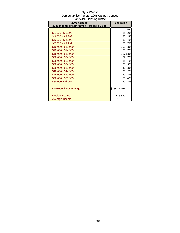| 2006 Census<br>2005 Income of Non-family Persons by Sex | <b>Sandwich</b> |         |
|---------------------------------------------------------|-----------------|---------|
|                                                         |                 |         |
|                                                         |                 | %       |
| \$1,000 - \$2,999                                       | 25              | 2%      |
| $$3,000 - $4,999$                                       | 50              | 4%      |
| $$5,000 - $6,999$                                       | 50              | 4%      |
| \$7,000 - \$9,999                                       | 85              | 7%      |
| \$10,000 - \$11,999                                     | 102             | 8%      |
| \$12,000 - \$14,999                                     | 80              | 7%      |
| \$15,000 - \$19,999                                     |                 | 217 18% |
| \$20,000 - \$24,999                                     | 87              | 7%      |
| \$25,000 - \$29,999                                     | 85              | 7%      |
| \$30,000 - \$34,999                                     | 60              | 5%      |
| \$35,000 - \$39,999                                     | 40              | 3%      |
| \$40,000 - \$44,999                                     | 20              | 2%      |
| \$45,000 - \$49,999                                     | 40              | 3%      |
| \$50,000 - \$59,999                                     | 50              | 4%      |
| \$60,000 and over                                       | 40              | 3%      |
|                                                         |                 |         |
| Dominant income range                                   | \$15K - \$20K   |         |
|                                                         |                 |         |
| Median income                                           | \$16,520        |         |
| Average income                                          | \$18,566        |         |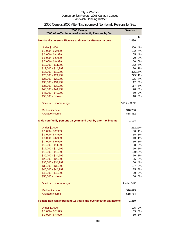| 2006 Census<br>2005 After-Tax Income of Non-family Persons by Sex | <b>Sandwich</b> |         |
|-------------------------------------------------------------------|-----------------|---------|
|                                                                   |                 | %       |
| Non-family persons 15 years and over by after-tax income          | 2,436           |         |
| <b>Under \$1,000</b>                                              |                 | 350 14% |
| $$1,000 - $2,999$                                                 |                 | 102 4%  |
| $$3,000 - $4,999$                                                 |                 | 105 4%  |
| $$5,000 - $6,999$                                                 |                 | 70 3%   |
| $$7,000 - $9,999$                                                 |                 | 150 6%  |
| \$10,000 - \$11,999                                               | 152             | 6%      |
| \$12,000 - \$14,999                                               |                 | 180 7%  |
| \$15,000 - \$19,999                                               |                 | 375 15% |
| \$20,000 - \$24,999                                               |                 | 275 11% |
| \$25,000 - \$29,999                                               | 175             | 7%      |
| \$30,000 - \$34,999                                               | 112             | 5%      |
| \$35,000 - \$39,999                                               | 117             | 5%      |
| \$40,000 - \$44,999                                               | 70              | 3%      |
| \$45,000 - \$49,999                                               | 50              | 2%      |
| \$50,000 and over                                                 | 118             | 5%      |
| Dominant income range                                             | \$15K - \$20K   |         |
| Median income                                                     | \$16,230        |         |
| Average income                                                    | \$18,352        |         |
|                                                                   |                 |         |
| Male non-family persons 15 years and over by after-tax income     | 1,194           |         |
| <b>Under \$1,000</b>                                              |                 | 262 22% |
| $$1,000 - $2,999$                                                 | 50              | 4%      |
| $$3,000 - $4,999$                                                 | 35              | 3%      |
| $$5,000 - $6,999$                                                 | 10              | 1%      |
| $$7,000 - $9,999$                                                 | 30              | 3%      |
| \$10,000 - \$11,999                                               | 58              | 5%      |
| \$12,000 - \$14,999                                               | 90              | 8%      |
| \$15,000 - \$19,999                                               |                 | 120 10% |
| \$20,000 - \$24,999                                               |                 | 160 13% |
| \$25,000 - \$29,999                                               | 65              | 5%      |
| \$30,000 - \$34,999                                               | 50              | 4%      |
| \$35,000 - \$39,999                                               | 107             | 9%      |
| \$40,000 - \$44,999                                               | 35              | 3%      |
| \$45,000 - \$49,999                                               | 20              | 2%      |
| \$50,000 and over                                                 | 66              | 6%      |
| Dominant income range                                             | Under \$1K      |         |
| Median income                                                     | \$16,825        |         |
| Average income                                                    | \$18,754        |         |
| Female non-family persons 15 years and over by after-tax income   | 1,219           |         |
|                                                                   |                 |         |
| <b>Under \$1,000</b>                                              | 105             | 9%      |
| $$1,000 - $2,999$                                                 | 35              | 3%      |
| $$3,000 - $4,999$                                                 | 60              | 5%      |

# 2006 Census 2005 After-Tax Income of Non-family Persons by Sex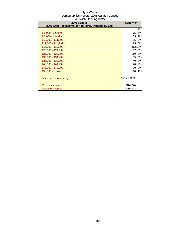| 50.1<br>2006 Census                                | <b>Sandwich</b> |           |
|----------------------------------------------------|-----------------|-----------|
| 2005 After-Tax Income of Non-family Persons by Sex |                 |           |
|                                                    |                 | ℅         |
| $$5,000 - $6,999$                                  | 75              | 6%        |
| $$7,000 - $9,999$                                  | <b>105</b>      | 9%        |
| $$10,000 - $11,999$                                | 95              | 8%        |
| $$12,000 - $14,999$                                |                 | 11510%    |
| \$15,000 - \$19,999                                |                 | 212 18%   |
| $$20,000 - $24,999$                                | 57              | <b>5%</b> |
| \$25,000 - \$29,999                                | 110             | 9%        |
| \$30,000 - \$34,999                                | 65              | <b>5%</b> |
| \$35,000 - \$39,999                                | 40              | 3%        |
| \$40,000 - \$44,999                                | 20              | 2%        |
| \$45,000 - \$49,999                                | 20              | 2%        |
| \$50,000 and over                                  | 10              | 1%        |
|                                                    |                 |           |
| Dominant income range                              | \$15K - \$20K   |           |
|                                                    |                 |           |
| Median income                                      | \$14,274        |           |
| Average income                                     | \$16,843        |           |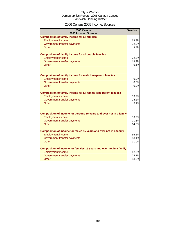### 2006 Census 2005 Income: Sources

| 2006 Census<br>2005 Income: Sources                                     | <b>Sandwich</b> |
|-------------------------------------------------------------------------|-----------------|
| <b>Composition of family income for all families</b>                    |                 |
| <b>Employment income</b>                                                | 68.8%           |
| Government transfer payments                                            | 22.0%           |
| Other                                                                   | 9.4%            |
|                                                                         |                 |
| <b>Composition of family income for all couple families</b>             |                 |
| <b>Employment income</b>                                                | 72.2%           |
| Government transfer payments                                            | 18.9%           |
| <b>Other</b>                                                            | 9.1%            |
|                                                                         |                 |
|                                                                         |                 |
| <b>Composition of family income for male lone-parent families</b>       | 0.0%            |
| <b>Employment income</b><br>Government transfer payments                | 0.0%            |
| Other                                                                   | 0.0%            |
|                                                                         |                 |
| <b>Composition of family income for all female lone-parent families</b> |                 |
| <b>Employment income</b>                                                | 33.7%           |
| Government transfer payments                                            | 25.2%           |
| Other                                                                   | 6.1%            |
|                                                                         |                 |
|                                                                         |                 |
| Composition of income for persons 15 years and over not in a family     |                 |
| <b>Employment income</b>                                                | 59.9%           |
| Government transfer payments                                            | 21.8%           |
| <b>Other</b>                                                            | 14.3%           |
|                                                                         |                 |
| Composition of income for males 15 years and over not in a family       |                 |
| <b>Employment income</b>                                                | 56.5%           |
| Government transfer payments                                            | 13.1%           |
| Other                                                                   | 11.0%           |
| Composition of income for females 15 years and over not in a family     |                 |
| <b>Employment income</b>                                                | 42.8%           |
| Government transfer payments                                            | 25.7%           |
| Other                                                                   | 13.5%           |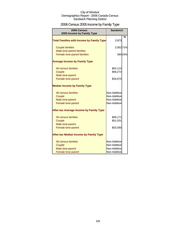# 2006 Census 2005 Income by Family Type

| 2006 Census<br>2005 Income by Family Type                | <b>Sandwich</b>              |               |
|----------------------------------------------------------|------------------------------|---------------|
| <b>Total Families with Income by Family Type</b>         | 2,873                        | $\frac{9}{6}$ |
| <b>Couple families</b>                                   | 2,052 71%                    |               |
| Male lone-parent families<br>Female lone-parent families |                              | 560 19%       |
| <b>Average Income by Family Type</b>                     |                              |               |
| All census families<br>Couple                            | \$52,113<br>\$58,272         |               |
| Male lone-parent<br>Female lone-parent                   | \$34,674                     |               |
| <b>Median Income by Family Type</b>                      |                              |               |
| All census families                                      | Non-Additive                 |               |
| Couple                                                   | Non-Additive<br>Non-Additive |               |
| Male lone-parent<br>Female lone-parent                   | Non-Additive                 |               |
| <b>After-tax Average Income by Family Type</b>           |                              |               |
| All census families                                      | \$46,171                     |               |
| Couple                                                   | \$51,201                     |               |
| Male lone-parent<br>Female lone-parent                   | \$32,050                     |               |
| <b>After-tax Median Income by Family Type</b>            |                              |               |
| All census families                                      | Non-Additive                 |               |
| Couple                                                   | Non-Additive                 |               |
| Male lone-parent                                         | Non-Additive                 |               |
| Female lone-parent                                       | Non-Additive                 |               |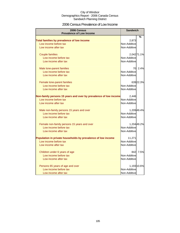### 2006 Census Prevalence of Low Income

| <b>2006 Census</b><br><b>Prevalence of Low Income</b>            | <b>Sandwich</b> |             |
|------------------------------------------------------------------|-----------------|-------------|
|                                                                  |                 | %           |
| Total families by prevalence of low income                       | 2,873           |             |
| Low income before tax                                            | Non-Additive    |             |
| Low income after tax                                             | Non-Additive    |             |
|                                                                  |                 |             |
| <b>Couple families</b>                                           |                 | 2,042 71.1% |
| Low income before tax                                            | Non-Additive    |             |
| Low income after tax                                             | Non-Additive    |             |
|                                                                  |                 |             |
| Male lone-parent families                                        |                 | 70 2.4%     |
| Low income before tax                                            | Non-Additive    |             |
| Low income after tax                                             | Non-Additive    |             |
|                                                                  |                 |             |
| Female lone-parent families                                      |                 | 639 22.3%   |
| Low income before tax                                            | Non-Additive    |             |
| Low income after tax                                             | Non-Additive    |             |
|                                                                  |                 |             |
| Non-family persons 15 years and over by prevalence of low income | 2,446           |             |
| Low income before tax                                            | Non-Additive    |             |
| Low income after tax                                             | Non-Additive    |             |
| Male non-family persons 15 years and over                        |                 | 1,209 49.4% |
| Low income before tax                                            | Non-Additive    |             |
| Low income after tax                                             | Non-Additive    |             |
|                                                                  |                 |             |
| Female non-family persons 15 years and over                      |                 | 1,204 49.2% |
| Low income before tax                                            | Non-Additive    |             |
| Low income after tax                                             | Non-Additive    |             |
|                                                                  |                 |             |
| Population in private households by prevalence of low income     | 11,271          |             |
| Low income before tax                                            | Non-Additive    |             |
| Low income after tax                                             | Non-Additive    |             |
| Children under 6 years of age                                    | 842             | 7.5%        |
| Low income before tax                                            | Non-Additive    |             |
| Low income after tax                                             | Non-Additive    |             |
|                                                                  |                 |             |
| Persons 65 years of age and over                                 |                 | 1,193 10.6% |
| Low income before tax                                            | Non-Additive    |             |
| Low income after tax                                             | Non-Additive    |             |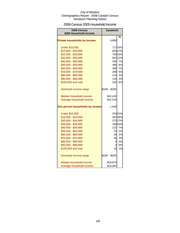### 2006 Census 2005 Household Income

| 2006 Census<br>2005 Household Income | <b>Sandwich</b> |         |
|--------------------------------------|-----------------|---------|
|                                      |                 |         |
| <b>Private households by income</b>  | 4,858           | %       |
| <b>Under \$10,000</b>                |                 | 717 15% |
| \$10,000 - \$19,999                  |                 | 82317%  |
| \$20,000 - \$29,999                  |                 | 709 15% |
| \$30,000 - \$39,999                  |                 | 567 12% |
| \$40,000 - \$49,999                  |                 | 336 7%  |
| \$50,000 - \$59,999                  |                 | 396 8%  |
| \$60,000 - \$69,999                  | 358             | 7%      |
| \$70,000 - \$79,999                  | 289             | 6%      |
| \$80,000 - \$89,999                  | 144             | 3%      |
| \$90,000 - \$99,999                  | 126             | 3%      |
| \$100,000 and over                   | 310             | 6%      |
| Dominant income range                | \$10K - \$20K   |         |
| Median household income              | \$32,432        |         |
| Average household income             | \$41,516        |         |
| One person households by income      | 1,648           |         |
| <b>Under \$10,000</b>                |                 | 37022%  |
| \$10,000 - \$19,999                  |                 | 467 28% |
| \$20,000 - \$29,999                  |                 | 272 17% |
| \$30,000 - \$39,999                  |                 | 166 10% |
| \$40,000 - \$49,999                  |                 | 122 7%  |
| \$50,000 - \$59,999                  | 75              | 5%      |
| \$60,000 - \$69,999                  | 40              | 2%      |
| \$70,000 - \$79,999                  | 46              | 3%      |
| \$80,000 - \$89,999                  | $\overline{a}$  | 0%      |
| \$90,000 - \$99,999                  | 0               | 0%      |
| \$100,000 and over                   | 10              | 1%      |
| Dominant income range                | \$10K - \$20K   |         |
| Median household income              | \$18,873        |         |
| Average household income             | \$24,067        |         |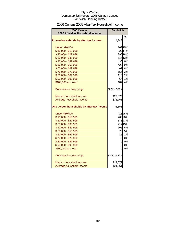### 2006 Census 2005 After-Tax Household Income

| 2006 Census<br>2005 After-Tax Household Income | <b>Sandwich</b> |         |
|------------------------------------------------|-----------------|---------|
|                                                |                 | %       |
| Private households by after-tax income         | 4,848           |         |
| <b>Under \$10,000</b>                          |                 | 709 15% |
| \$10,000 - \$19,999                            |                 | 822 17% |
| \$20,000 - \$29,999                            |                 | 890 18% |
| \$30,000 - \$39,999                            |                 | 616 13% |
| \$40,000 - \$49,999                            | 430             | 9%      |
| \$50,000 - \$59,999                            | 429             | 9%      |
| \$60,000 - \$69,999                            | 407             | 8%      |
| \$70,000 - \$79,999                            | 156             | 3%      |
| \$80,000 - \$89,999                            | 110             | 2%      |
| \$90,000 - \$99,999                            | 64              | 1%      |
| \$100,000 and over                             | 187             | 4%      |
| Dominant income range                          | \$20K - \$30K   |         |
| Median household income                        | \$29,875        |         |
| Average household income                       | \$36,761        |         |
| One person households by after-tax income      | 1,658           |         |
| <b>Under \$10,000</b>                          |                 | 41525%  |
| \$10,000 - \$19,999                            |                 | 460 28% |
| \$20,000 - \$29,999                            |                 | 37823%  |
| \$30,000 - \$39,999                            |                 | 217 13% |
| \$40,000 - \$49,999                            |                 | 106 6%  |
| \$50,000 - \$59,999                            | 76              | 5%      |
| \$60,000 - \$69,999                            | 16              | 1%      |
| \$70,000 - \$79,999                            | $\overline{0}$  | 0%      |
| \$80,000 - \$89,999                            | $\overline{0}$  | 0%      |
| \$90,000 - \$99,999                            | $\overline{O}$  | 0%      |
| \$100,000 and over                             | 0               | 0%      |
| Dominant income range                          | \$10K - \$20K   |         |
| Median household income                        | \$19,079        |         |
| Average household income                       | \$21,261        |         |